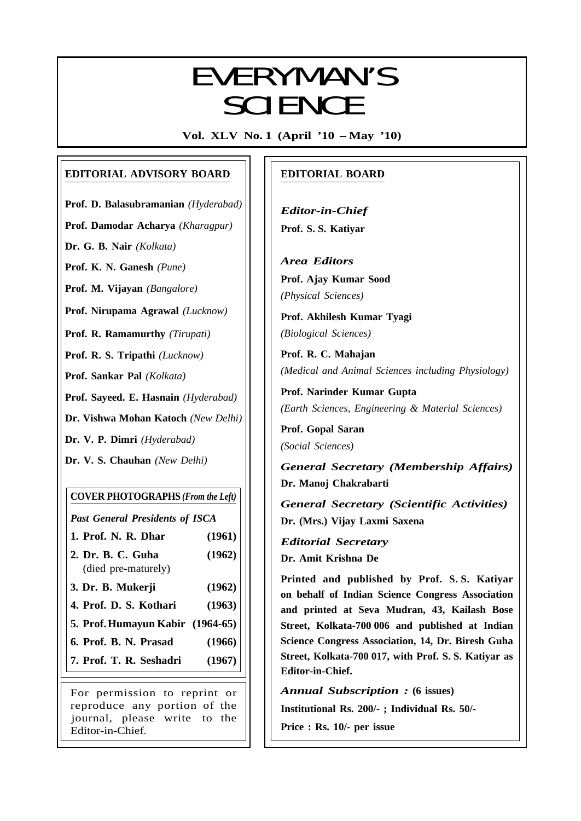# EVEDVAANI/C EVERYMAN'S SCIENCE

**Vol. XLV No. 1 (April '10 – May '10)**

## **EDITORIAL ADVISORY BOARD**

**Prof. D. Balasubramanian** *(Hyderabad)*

**Prof. Damodar Acharya** *(Kharagpur)*

**Dr. G. B. Nair** *(Kolkata)*

**Prof. K. N. Ganesh** *(Pune)*

**Prof. M. Vijayan** *(Bangalore)*

**Prof. Nirupama Agrawal** *(Lucknow)*

**Prof. R. Ramamurthy** *(Tirupati)*

**Prof. R. S. Tripathi** *(Lucknow)*

**Prof. Sankar Pal** *(Kolkata)*

**Prof. Sayeed. E. Hasnain** *(Hyderabad)*

**Dr. Vishwa Mohan Katoch** *(New Delhi)*

**Dr. V. P. Dimri** *(Hyderabad)*

**Dr. V. S. Chauhan** *(New Delhi)*

## **COVER PHOTOGRAPHS** *(From the Left)*

*Past General Presidents of ISCA*

- **1. Prof. N. R. Dhar (1961)**
- **2. Dr. B. C. Guha (1962)** (died pre-maturely)
- **3. Dr. B. Mukerji (1962)**
- **4. Prof. D. S. Kothari (1963)**
- **5. Prof.Humayun Kabir (1964-65)**
- **6. Prof. B. N. Prasad (1966)**
- **7. Prof. T. R. Seshadri (1967)**

For permission to reprint or reproduce any portion of the journal, please write to the Editor-in-Chief.

## **EDITORIAL BOARD**

*Editor-in-Chief* **Prof. S. S. Katiyar**

*Area Editors* **Prof. Ajay Kumar Sood** *(Physical Sciences)*

**Prof. Akhilesh Kumar Tyagi** *(Biological Sciences)*

**Prof. R. C. Mahajan** *(Medical and Animal Sciences including Physiology)*

**Prof. Narinder Kumar Gupta** *(Earth Sciences, Engineering & Material Sciences)*

**Prof. Gopal Saran** *(Social Sciences)*

*General Secretary (Membership Affairs)* **Dr. Manoj Chakrabarti**

*General Secretary (Scientific Activities)* **Dr. (Mrs.) Vijay Laxmi Saxena**

*Editorial Secretary* **Dr. Amit Krishna De**

**Printed and published by Prof. S. S. Katiyar on behalf of Indian Science Congress Association and printed at Seva Mudran, 43, Kailash Bose Street, Kolkata-700 006 and published at Indian Science Congress Association, 14, Dr. Biresh Guha Street, Kolkata-700 017, with Prof. S. S. Katiyar as Editor-in-Chief.**

*Annual Subscription :* **(6 issues)**

**Institutional Rs. 200/- ; Individual Rs. 50/-**

**Price : Rs. 10/- per issue**

1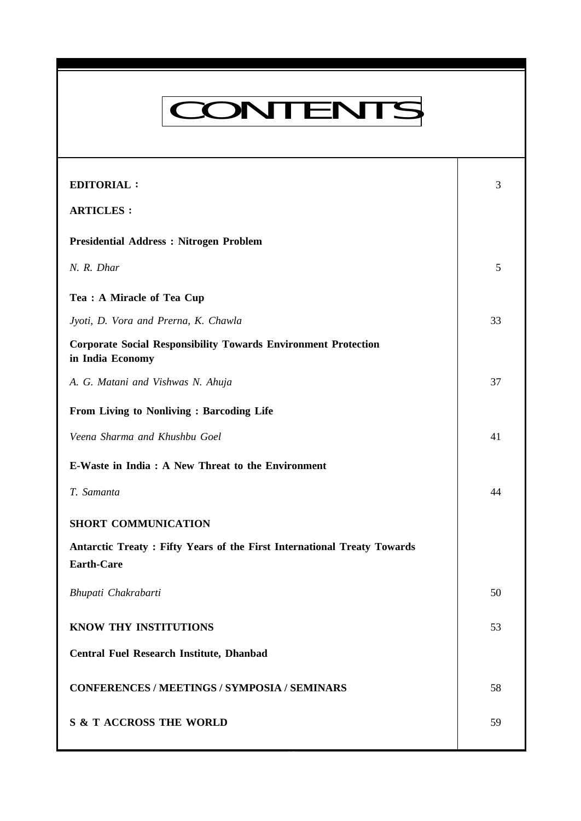# CONTENTS

**Everyman's Science VOL. XLV NO. 1, April '10 — May '10**

| <b>EDITORIAL:</b>                                                                            | 3  |
|----------------------------------------------------------------------------------------------|----|
| <b>ARTICLES:</b>                                                                             |    |
| <b>Presidential Address: Nitrogen Problem</b>                                                |    |
| N. R. Dhar                                                                                   | 5  |
| Tea : A Miracle of Tea Cup                                                                   |    |
| Jyoti, D. Vora and Prerna, K. Chawla                                                         | 33 |
| <b>Corporate Social Responsibility Towards Environment Protection</b><br>in India Economy    |    |
| A. G. Matani and Vishwas N. Ahuja                                                            | 37 |
| From Living to Nonliving : Barcoding Life                                                    |    |
| Veena Sharma and Khushbu Goel                                                                | 41 |
| E-Waste in India : A New Threat to the Environment                                           |    |
| T. Samanta                                                                                   | 44 |
| <b>SHORT COMMUNICATION</b>                                                                   |    |
| Antarctic Treaty: Fifty Years of the First International Treaty Towards<br><b>Earth-Care</b> |    |
| Bhupati Chakrabarti                                                                          | 50 |
| KNOW THY INSTITUTIONS                                                                        | 53 |
| <b>Central Fuel Research Institute, Dhanbad</b>                                              |    |
| <b>CONFERENCES / MEETINGS / SYMPOSIA / SEMINARS</b>                                          | 58 |
| <b>S &amp; T ACCROSS THE WORLD</b>                                                           | 59 |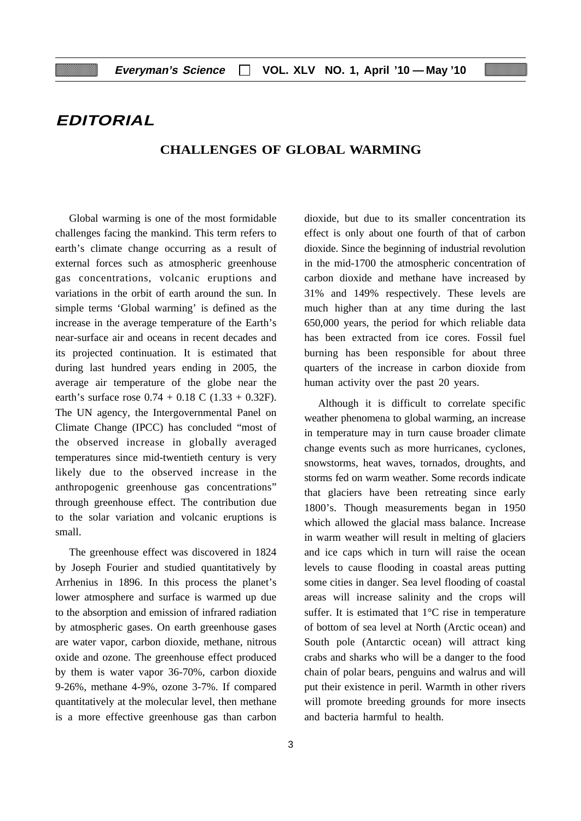## **EDITORIAL**

#### **CHALLENGES OF GLOBAL WARMING**

Global warming is one of the most formidable challenges facing the mankind. This term refers to earth's climate change occurring as a result of external forces such as atmospheric greenhouse gas concentrations, volcanic eruptions and variations in the orbit of earth around the sun. In simple terms 'Global warming' is defined as the increase in the average temperature of the Earth's near-surface air and oceans in recent decades and its projected continuation. It is estimated that during last hundred years ending in 2005, the average air temperature of the globe near the earth's surface rose  $0.74 + 0.18$  C  $(1.33 + 0.32)$ F). The UN agency, the Intergovernmental Panel on Climate Change (IPCC) has concluded "most of the observed increase in globally averaged temperatures since mid-twentieth century is very likely due to the observed increase in the anthropogenic greenhouse gas concentrations" through greenhouse effect. The contribution due to the solar variation and volcanic eruptions is small.

The greenhouse effect was discovered in 1824 by Joseph Fourier and studied quantitatively by Arrhenius in 1896. In this process the planet's lower atmosphere and surface is warmed up due to the absorption and emission of infrared radiation by atmospheric gases. On earth greenhouse gases are water vapor, carbon dioxide, methane, nitrous oxide and ozone. The greenhouse effect produced by them is water vapor 36-70%, carbon dioxide 9-26%, methane 4-9%, ozone 3-7%. If compared quantitatively at the molecular level, then methane is a more effective greenhouse gas than carbon

dioxide, but due to its smaller concentration its effect is only about one fourth of that of carbon dioxide. Since the beginning of industrial revolution in the mid-1700 the atmospheric concentration of carbon dioxide and methane have increased by 31% and 149% respectively. These levels are much higher than at any time during the last 650,000 years, the period for which reliable data has been extracted from ice cores. Fossil fuel burning has been responsible for about three quarters of the increase in carbon dioxide from human activity over the past 20 years.

Although it is difficult to correlate specific weather phenomena to global warming, an increase in temperature may in turn cause broader climate change events such as more hurricanes, cyclones, snowstorms, heat waves, tornados, droughts, and storms fed on warm weather. Some records indicate that glaciers have been retreating since early 1800's. Though measurements began in 1950 which allowed the glacial mass balance. Increase in warm weather will result in melting of glaciers and ice caps which in turn will raise the ocean levels to cause flooding in coastal areas putting some cities in danger. Sea level flooding of coastal areas will increase salinity and the crops will suffer. It is estimated that  $1^{\circ}$ C rise in temperature of bottom of sea level at North (Arctic ocean) and South pole (Antarctic ocean) will attract king crabs and sharks who will be a danger to the food chain of polar bears, penguins and walrus and will put their existence in peril. Warmth in other rivers will promote breeding grounds for more insects and bacteria harmful to health.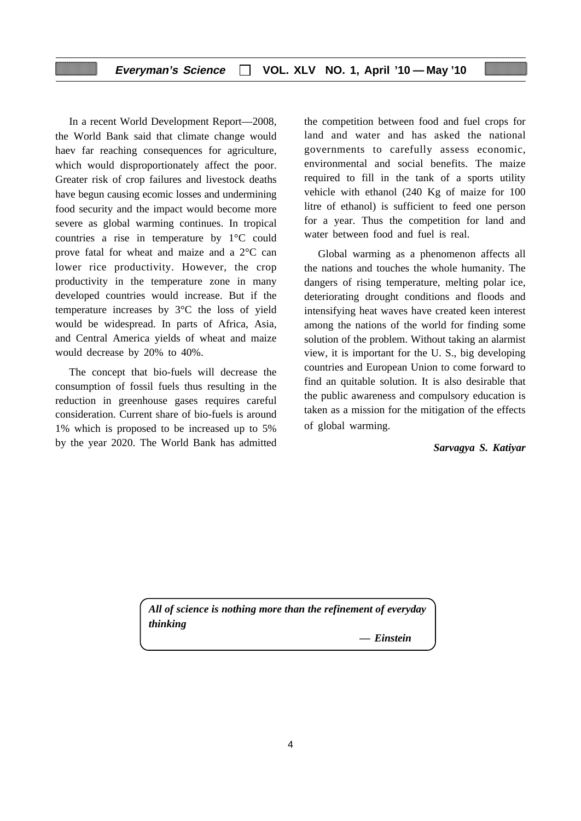### **Everyman's Science VOL. XLV NO. 1, April '10 — May '10**

In a recent World Development Report—2008, the World Bank said that climate change would haev far reaching consequences for agriculture, which would disproportionately affect the poor. Greater risk of crop failures and livestock deaths have begun causing ecomic losses and undermining food security and the impact would become more severe as global warming continues. In tropical countries a rise in temperature by 1°C could prove fatal for wheat and maize and a 2°C can lower rice productivity. However, the crop productivity in the temperature zone in many developed countries would increase. But if the temperature increases by 3°C the loss of yield would be widespread. In parts of Africa, Asia, and Central America yields of wheat and maize would decrease by 20% to 40%.

The concept that bio-fuels will decrease the consumption of fossil fuels thus resulting in the reduction in greenhouse gases requires careful consideration. Current share of bio-fuels is around 1% which is proposed to be increased up to 5% by the year 2020. The World Bank has admitted

the competition between food and fuel crops for land and water and has asked the national governments to carefully assess economic, environmental and social benefits. The maize required to fill in the tank of a sports utility vehicle with ethanol (240 Kg of maize for 100 litre of ethanol) is sufficient to feed one person for a year. Thus the competition for land and water between food and fuel is real.

Global warming as a phenomenon affects all the nations and touches the whole humanity. The dangers of rising temperature, melting polar ice, deteriorating drought conditions and floods and intensifying heat waves have created keen interest among the nations of the world for finding some solution of the problem. Without taking an alarmist view, it is important for the U. S., big developing countries and European Union to come forward to find an quitable solution. It is also desirable that the public awareness and compulsory education is taken as a mission for the mitigation of the effects of global warming.

*Sarvagya S. Katiyar*

*All of science is nothing more than the refinement of everyday thinking*

*— Einstein*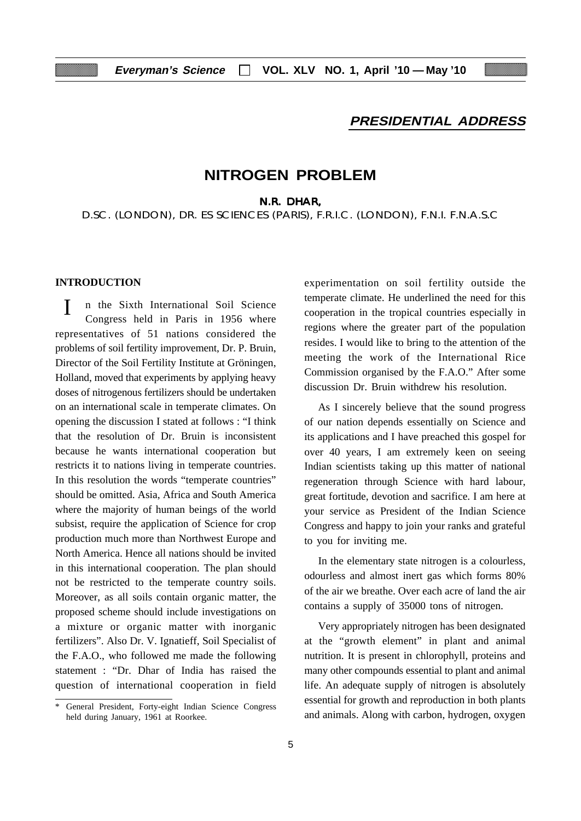## **PRESIDENTIAL ADDRESS**

## **NITROGEN PROBLEM**

N.R. DHAR,

D.SC. (LONDON), DR. ES SCIENCES (PARIS), F.R.I.C. (LONDON), F.N.I. F.N.A.S.C

## **INTRODUCTION**

 I n the Sixth International Soil Science Congress held in Paris in 1956 where representatives of 51 nations considered the problems of soil fertility improvement, Dr. P. Bruin, Director of the Soil Fertility Institute at Gröningen, Holland, moved that experiments by applying heavy doses of nitrogenous fertilizers should be undertaken on an international scale in temperate climates. On opening the discussion I stated at follows : "I think that the resolution of Dr. Bruin is inconsistent because he wants international cooperation but restricts it to nations living in temperate countries. In this resolution the words "temperate countries" should be omitted. Asia, Africa and South America where the majority of human beings of the world subsist, require the application of Science for crop production much more than Northwest Europe and North America. Hence all nations should be invited in this international cooperation. The plan should not be restricted to the temperate country soils. Moreover, as all soils contain organic matter, the proposed scheme should include investigations on a mixture or organic matter with inorganic fertilizers". Also Dr. V. Ignatieff, Soil Specialist of the F.A.O., who followed me made the following statement : "Dr. Dhar of India has raised the question of international cooperation in field

experimentation on soil fertility outside the temperate climate. He underlined the need for this cooperation in the tropical countries especially in regions where the greater part of the population resides. I would like to bring to the attention of the meeting the work of the International Rice Commission organised by the F.A.O." After some discussion Dr. Bruin withdrew his resolution.

As I sincerely believe that the sound progress of our nation depends essentially on Science and its applications and I have preached this gospel for over 40 years, I am extremely keen on seeing Indian scientists taking up this matter of national regeneration through Science with hard labour, great fortitude, devotion and sacrifice. I am here at your service as President of the Indian Science Congress and happy to join your ranks and grateful to you for inviting me.

In the elementary state nitrogen is a colourless, odourless and almost inert gas which forms 80% of the air we breathe. Over each acre of land the air contains a supply of 35000 tons of nitrogen.

Very appropriately nitrogen has been designated at the "growth element" in plant and animal nutrition. It is present in chlorophyll, proteins and many other compounds essential to plant and animal life. An adequate supply of nitrogen is absolutely essential for growth and reproduction in both plants and animals. Along with carbon, hydrogen, oxygen

General President, Forty-eight Indian Science Congress held during January, 1961 at Roorkee.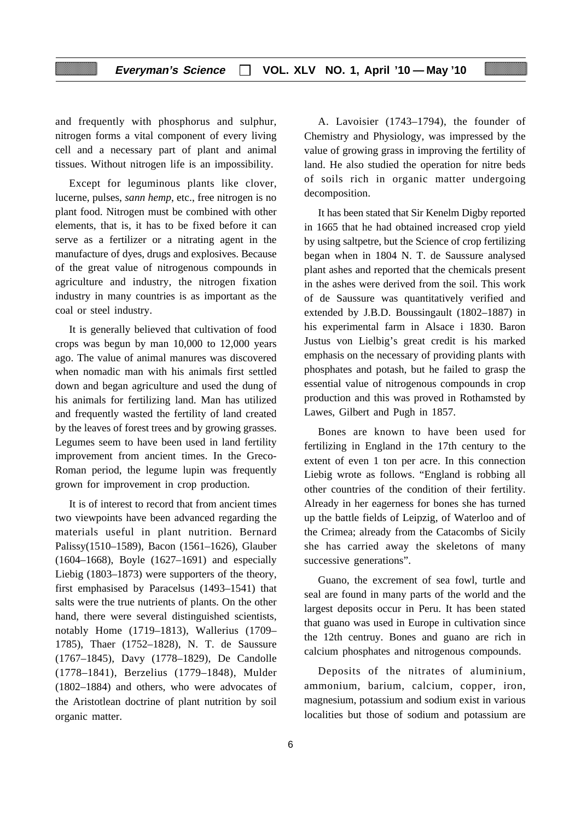## **Everyman's Science VOL. XLV NO. 1, April '10 — May '10**

and frequently with phosphorus and sulphur, nitrogen forms a vital component of every living cell and a necessary part of plant and animal tissues. Without nitrogen life is an impossibility.

Except for leguminous plants like clover, lucerne, pulses, *sann hemp*, etc., free nitrogen is no plant food. Nitrogen must be combined with other elements, that is, it has to be fixed before it can serve as a fertilizer or a nitrating agent in the manufacture of dyes, drugs and explosives. Because of the great value of nitrogenous compounds in agriculture and industry, the nitrogen fixation industry in many countries is as important as the coal or steel industry.

It is generally believed that cultivation of food crops was begun by man 10,000 to 12,000 years ago. The value of animal manures was discovered when nomadic man with his animals first settled down and began agriculture and used the dung of his animals for fertilizing land. Man has utilized and frequently wasted the fertility of land created by the leaves of forest trees and by growing grasses. Legumes seem to have been used in land fertility improvement from ancient times. In the Greco-Roman period, the legume lupin was frequently grown for improvement in crop production.

It is of interest to record that from ancient times two viewpoints have been advanced regarding the materials useful in plant nutrition. Bernard Palissy(1510–1589), Bacon (1561–1626), Glauber (1604–1668), Boyle (1627–1691) and especially Liebig (1803–1873) were supporters of the theory, first emphasised by Paracelsus (1493–1541) that salts were the true nutrients of plants. On the other hand, there were several distinguished scientists, notably Home (1719–1813), Wallerius (1709– 1785), Thaer (1752–1828), N. T. de Saussure (1767–1845), Davy (1778–1829), De Candolle (1778–1841), Berzelius (1779–1848), Mulder (1802–1884) and others, who were advocates of the Aristotlean doctrine of plant nutrition by soil organic matter.

A. Lavoisier (1743–1794), the founder of Chemistry and Physiology, was impressed by the value of growing grass in improving the fertility of land. He also studied the operation for nitre beds of soils rich in organic matter undergoing decomposition.

It has been stated that Sir Kenelm Digby reported in 1665 that he had obtained increased crop yield by using saltpetre, but the Science of crop fertilizing began when in 1804 N. T. de Saussure analysed plant ashes and reported that the chemicals present in the ashes were derived from the soil. This work of de Saussure was quantitatively verified and extended by J.B.D. Boussingault (1802–1887) in his experimental farm in Alsace i 1830. Baron Justus von Lielbig's great credit is his marked emphasis on the necessary of providing plants with phosphates and potash, but he failed to grasp the essential value of nitrogenous compounds in crop production and this was proved in Rothamsted by Lawes, Gilbert and Pugh in 1857.

Bones are known to have been used for fertilizing in England in the 17th century to the extent of even 1 ton per acre. In this connection Liebig wrote as follows. "England is robbing all other countries of the condition of their fertility. Already in her eagerness for bones she has turned up the battle fields of Leipzig, of Waterloo and of the Crimea; already from the Catacombs of Sicily she has carried away the skeletons of many successive generations".

Guano, the excrement of sea fowl, turtle and seal are found in many parts of the world and the largest deposits occur in Peru. It has been stated that guano was used in Europe in cultivation since the 12th centruy. Bones and guano are rich in calcium phosphates and nitrogenous compounds.

Deposits of the nitrates of aluminium, ammonium, barium, calcium, copper, iron, magnesium, potassium and sodium exist in various localities but those of sodium and potassium are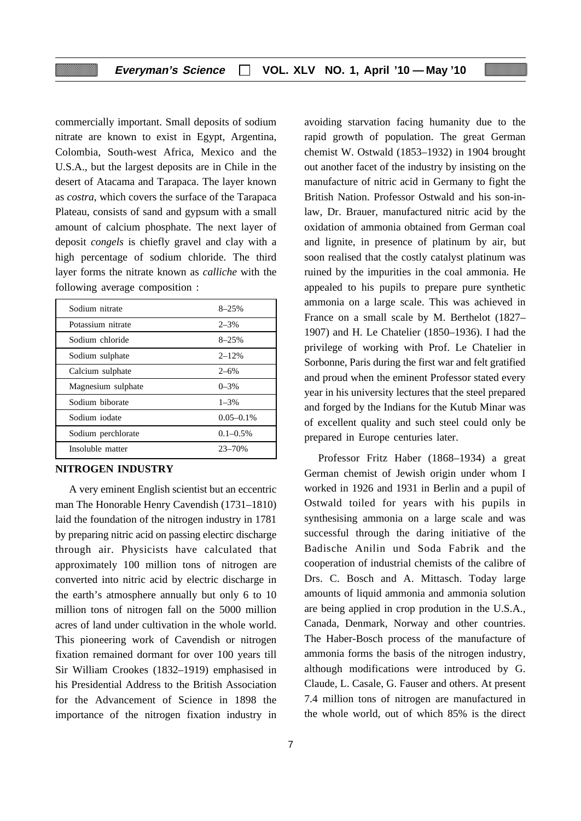commercially important. Small deposits of sodium nitrate are known to exist in Egypt, Argentina, Colombia, South-west Africa, Mexico and the U.S.A., but the largest deposits are in Chile in the desert of Atacama and Tarapaca. The layer known as *costra*, which covers the surface of the Tarapaca Plateau, consists of sand and gypsum with a small amount of calcium phosphate. The next layer of deposit *congels* is chiefly gravel and clay with a high percentage of sodium chloride. The third layer forms the nitrate known as *calliche* with the following average composition :

| Sodium nitrate     | $8 - 25%$      |
|--------------------|----------------|
| Potassium nitrate  | $2 - 3\%$      |
| Sodium chloride    | $8 - 25%$      |
| Sodium sulphate    | $2 - 12%$      |
| Calcium sulphate   | $2 - 6\%$      |
| Magnesium sulphate | $0 - 3\%$      |
| Sodium biborate    | $1 - 3\%$      |
| Sodium iodate      | $0.05 - 0.1\%$ |
| Sodium perchlorate | $0.1 - 0.5\%$  |
| Insoluble matter   | $23 - 70%$     |

#### **NITROGEN INDUSTRY**

A very eminent English scientist but an eccentric man The Honorable Henry Cavendish (1731–1810) laid the foundation of the nitrogen industry in 1781 by preparing nitric acid on passing electirc discharge through air. Physicists have calculated that approximately 100 million tons of nitrogen are converted into nitric acid by electric discharge in the earth's atmosphere annually but only 6 to 10 million tons of nitrogen fall on the 5000 million acres of land under cultivation in the whole world. This pioneering work of Cavendish or nitrogen fixation remained dormant for over 100 years till Sir William Crookes (1832–1919) emphasised in his Presidential Address to the British Association for the Advancement of Science in 1898 the importance of the nitrogen fixation industry in

avoiding starvation facing humanity due to the rapid growth of population. The great German chemist W. Ostwald (1853–1932) in 1904 brought out another facet of the industry by insisting on the manufacture of nitric acid in Germany to fight the British Nation. Professor Ostwald and his son-inlaw, Dr. Brauer, manufactured nitric acid by the oxidation of ammonia obtained from German coal and lignite, in presence of platinum by air, but soon realised that the costly catalyst platinum was ruined by the impurities in the coal ammonia. He appealed to his pupils to prepare pure synthetic ammonia on a large scale. This was achieved in France on a small scale by M. Berthelot (1827– 1907) and H. Le Chatelier (1850–1936). I had the privilege of working with Prof. Le Chatelier in Sorbonne, Paris during the first war and felt gratified and proud when the eminent Professor stated every year in his university lectures that the steel prepared and forged by the Indians for the Kutub Minar was of excellent quality and such steel could only be prepared in Europe centuries later.

Professor Fritz Haber (1868–1934) a great German chemist of Jewish origin under whom I worked in 1926 and 1931 in Berlin and a pupil of Ostwald toiled for years with his pupils in synthesising ammonia on a large scale and was successful through the daring initiative of the Badische Anilin und Soda Fabrik and the cooperation of industrial chemists of the calibre of Drs. C. Bosch and A. Mittasch. Today large amounts of liquid ammonia and ammonia solution are being applied in crop prodution in the U.S.A., Canada, Denmark, Norway and other countries. The Haber-Bosch process of the manufacture of ammonia forms the basis of the nitrogen industry, although modifications were introduced by G. Claude, L. Casale, G. Fauser and others. At present 7.4 million tons of nitrogen are manufactured in the whole world, out of which 85% is the direct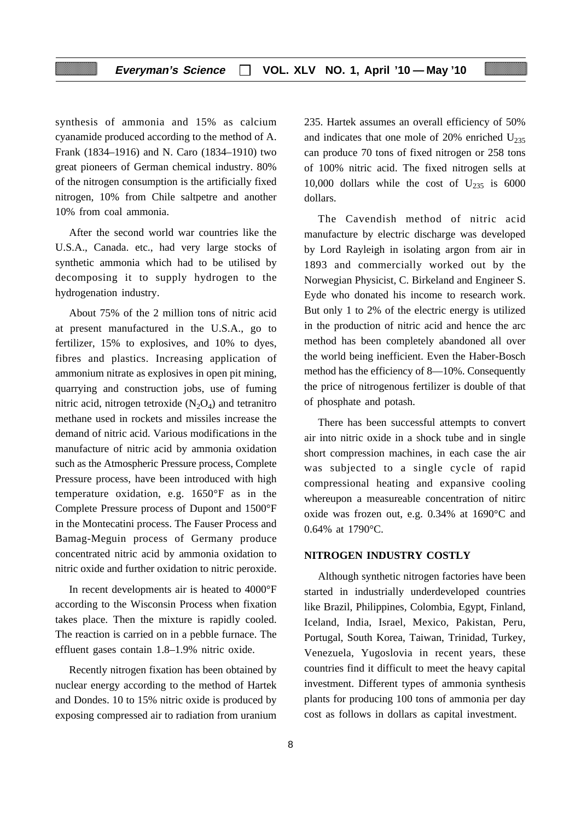synthesis of ammonia and 15% as calcium cyanamide produced according to the method of A. Frank (1834–1916) and N. Caro (1834–1910) two great pioneers of German chemical industry. 80% of the nitrogen consumption is the artificially fixed nitrogen, 10% from Chile saltpetre and another 10% from coal ammonia.

After the second world war countries like the U.S.A., Canada. etc., had very large stocks of synthetic ammonia which had to be utilised by decomposing it to supply hydrogen to the hydrogenation industry.

About 75% of the 2 million tons of nitric acid at present manufactured in the U.S.A., go to fertilizer, 15% to explosives, and 10% to dyes, fibres and plastics. Increasing application of ammonium nitrate as explosives in open pit mining, quarrying and construction jobs, use of fuming nitric acid, nitrogen tetroxide  $(N_2O_4)$  and tetranitro methane used in rockets and missiles increase the demand of nitric acid. Various modifications in the manufacture of nitric acid by ammonia oxidation such as the Atmospheric Pressure process, Complete Pressure process, have been introduced with high temperature oxidation, e.g. 1650°F as in the Complete Pressure process of Dupont and 1500°F in the Montecatini process. The Fauser Process and Bamag-Meguin process of Germany produce concentrated nitric acid by ammonia oxidation to nitric oxide and further oxidation to nitric peroxide.

In recent developments air is heated to 4000°F according to the Wisconsin Process when fixation takes place. Then the mixture is rapidly cooled. The reaction is carried on in a pebble furnace. The effluent gases contain 1.8–1.9% nitric oxide.

Recently nitrogen fixation has been obtained by nuclear energy according to the method of Hartek and Dondes. 10 to 15% nitric oxide is produced by exposing compressed air to radiation from uranium 235. Hartek assumes an overall efficiency of 50% and indicates that one mole of 20% enriched  $U_{235}$ can produce 70 tons of fixed nitrogen or 258 tons of 100% nitric acid. The fixed nitrogen sells at 10,000 dollars while the cost of  $U_{235}$  is 6000 dollars.

The Cavendish method of nitric acid manufacture by electric discharge was developed by Lord Rayleigh in isolating argon from air in 1893 and commercially worked out by the Norwegian Physicist, C. Birkeland and Engineer S. Eyde who donated his income to research work. But only 1 to 2% of the electric energy is utilized in the production of nitric acid and hence the arc method has been completely abandoned all over the world being inefficient. Even the Haber-Bosch method has the efficiency of 8—10%. Consequently the price of nitrogenous fertilizer is double of that of phosphate and potash.

There has been successful attempts to convert air into nitric oxide in a shock tube and in single short compression machines, in each case the air was subjected to a single cycle of rapid compressional heating and expansive cooling whereupon a measureable concentration of nitirc oxide was frozen out, e.g. 0.34% at 1690°C and 0.64% at 1790°C.

#### **NITROGEN INDUSTRY COSTLY**

Although synthetic nitrogen factories have been started in industrially underdeveloped countries like Brazil, Philippines, Colombia, Egypt, Finland, Iceland, India, Israel, Mexico, Pakistan, Peru, Portugal, South Korea, Taiwan, Trinidad, Turkey, Venezuela, Yugoslovia in recent years, these countries find it difficult to meet the heavy capital investment. Different types of ammonia synthesis plants for producing 100 tons of ammonia per day cost as follows in dollars as capital investment.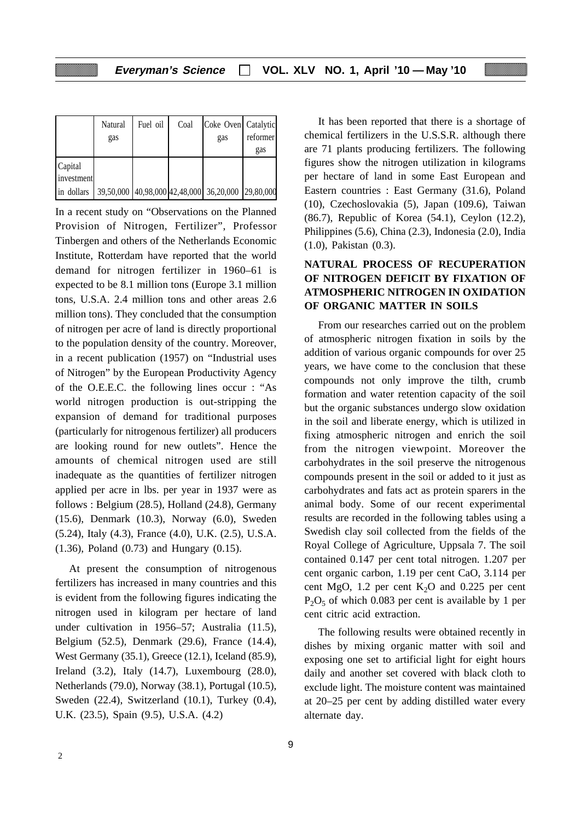|                       | Natural | Fuel oil | Coal | Coke Oven Catalytic                                                                       |          |
|-----------------------|---------|----------|------|-------------------------------------------------------------------------------------------|----------|
|                       | gas     |          |      | gas                                                                                       | reformer |
|                       |         |          |      |                                                                                           | gas      |
| Capital<br>investment |         |          |      |                                                                                           |          |
| in dollars            |         |          |      | $\vert$ 39,50,000 $\vert$ 40,98,000 $\vert$ 42,48,000 $\vert$ 36,20,000 $\vert$ 29,80,000 |          |

In a recent study on "Observations on the Planned Provision of Nitrogen, Fertilizer", Professor Tinbergen and others of the Netherlands Economic Institute, Rotterdam have reported that the world demand for nitrogen fertilizer in 1960–61 is expected to be 8.1 million tons (Europe 3.1 million tons, U.S.A. 2.4 million tons and other areas 2.6 million tons). They concluded that the consumption of nitrogen per acre of land is directly proportional to the population density of the country. Moreover, in a recent publication (1957) on "Industrial uses of Nitrogen" by the European Productivity Agency of the O.E.E.C. the following lines occur : "As world nitrogen production is out-stripping the expansion of demand for traditional purposes (particularly for nitrogenous fertilizer) all producers are looking round for new outlets". Hence the amounts of chemical nitrogen used are still inadequate as the quantities of fertilizer nitrogen applied per acre in lbs. per year in 1937 were as follows : Belgium (28.5), Holland (24.8), Germany (15.6), Denmark (10.3), Norway (6.0), Sweden (5.24), Italy (4.3), France (4.0), U.K. (2.5), U.S.A. (1.36), Poland (0.73) and Hungary (0.15).

At present the consumption of nitrogenous fertilizers has increased in many countries and this is evident from the following figures indicating the nitrogen used in kilogram per hectare of land under cultivation in 1956–57; Australia (11.5), Belgium (52.5), Denmark (29.6), France (14.4), West Germany (35.1), Greece (12.1), Iceland (85.9), Ireland (3.2), Italy (14.7), Luxembourg (28.0), Netherlands (79.0), Norway (38.1), Portugal (10.5), Sweden (22.4), Switzerland (10.1), Turkey (0.4), U.K. (23.5), Spain (9.5), U.S.A. (4.2)

It has been reported that there is a shortage of chemical fertilizers in the U.S.S.R. although there are 71 plants producing fertilizers. The following figures show the nitrogen utilization in kilograms per hectare of land in some East European and Eastern countries : East Germany (31.6), Poland (10), Czechoslovakia (5), Japan (109.6), Taiwan (86.7), Republic of Korea (54.1), Ceylon (12.2), Philippines (5.6), China (2.3), Indonesia (2.0), India (1.0), Pakistan (0.3).

## **NATURAL PROCESS OF RECUPERATION OF NITROGEN DEFICIT BY FIXATION OF ATMOSPHERIC NITROGEN IN OXIDATION OF ORGANIC MATTER IN SOILS**

From our researches carried out on the problem of atmospheric nitrogen fixation in soils by the addition of various organic compounds for over 25 years, we have come to the conclusion that these compounds not only improve the tilth, crumb formation and water retention capacity of the soil but the organic substances undergo slow oxidation in the soil and liberate energy, which is utilized in fixing atmospheric nitrogen and enrich the soil from the nitrogen viewpoint. Moreover the carbohydrates in the soil preserve the nitrogenous compounds present in the soil or added to it just as carbohydrates and fats act as protein sparers in the animal body. Some of our recent experimental results are recorded in the following tables using a Swedish clay soil collected from the fields of the Royal College of Agriculture, Uppsala 7. The soil contained 0.147 per cent total nitrogen. 1.207 per cent organic carbon, 1.19 per cent CaO, 3.114 per cent MgO, 1.2 per cent  $K_2O$  and 0.225 per cent  $P_2O_5$  of which 0.083 per cent is available by 1 per cent citric acid extraction.

The following results were obtained recently in dishes by mixing organic matter with soil and exposing one set to artificial light for eight hours daily and another set covered with black cloth to exclude light. The moisture content was maintained at 20–25 per cent by adding distilled water every alternate day.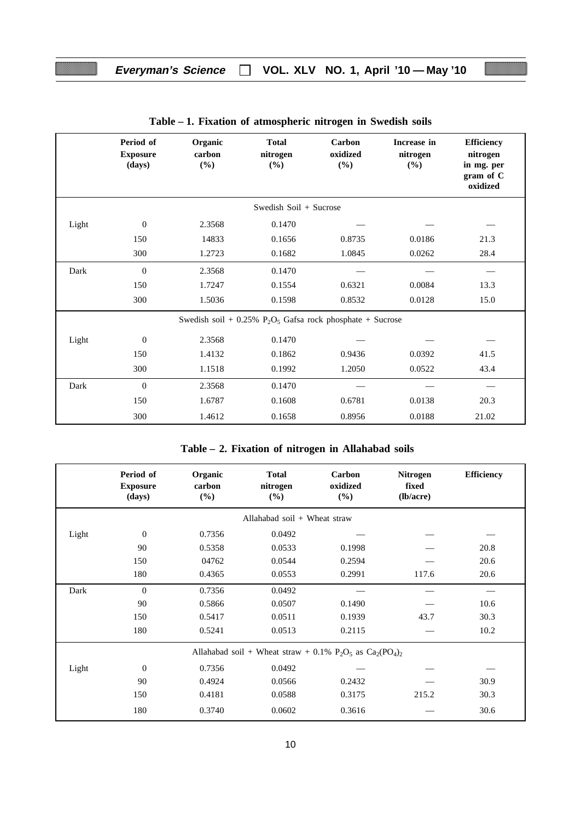|       | Period of<br><b>Exposure</b><br>(days) | Organic<br>carbon<br>$(\%)$ | <b>Total</b><br>nitrogen<br>$(\%)$                                                   | Carbon<br>oxidized<br>$(\%)$ | Increase in<br>nitrogen<br>(%) | <b>Efficiency</b><br>nitrogen<br>in mg. per<br>gram of C<br>oxidized |
|-------|----------------------------------------|-----------------------------|--------------------------------------------------------------------------------------|------------------------------|--------------------------------|----------------------------------------------------------------------|
|       |                                        |                             | Swedish Soil + Sucrose                                                               |                              |                                |                                                                      |
| Light | $\mathbf{0}$                           | 2.3568                      | 0.1470                                                                               |                              |                                |                                                                      |
|       | 150                                    | 14833                       | 0.1656                                                                               | 0.8735                       | 0.0186                         | 21.3                                                                 |
|       | 300                                    | 1.2723                      | 0.1682                                                                               | 1.0845                       | 0.0262                         | 28.4                                                                 |
| Dark  | $\mathbf{0}$                           | 2.3568                      | 0.1470                                                                               |                              |                                |                                                                      |
|       | 150                                    | 1.7247                      | 0.1554                                                                               | 0.6321                       | 0.0084                         | 13.3                                                                 |
|       | 300                                    | 1.5036                      | 0.1598                                                                               | 0.8532                       | 0.0128                         | 15.0                                                                 |
|       |                                        |                             | Swedish soil + $0.25\%$ P <sub>2</sub> O <sub>5</sub> Gafsa rock phosphate + Sucrose |                              |                                |                                                                      |
| Light | $\mathbf{0}$                           | 2.3568                      | 0.1470                                                                               |                              |                                |                                                                      |
|       | 150                                    | 1.4132                      | 0.1862                                                                               | 0.9436                       | 0.0392                         | 41.5                                                                 |
|       | 300                                    | 1.1518                      | 0.1992                                                                               | 1.2050                       | 0.0522                         | 43.4                                                                 |
| Dark  | $\overline{0}$                         | 2.3568                      | 0.1470                                                                               |                              |                                |                                                                      |
|       | 150                                    | 1.6787                      | 0.1608                                                                               | 0.6781                       | 0.0138                         | 20.3                                                                 |
|       | 300                                    | 1.4612                      | 0.1658                                                                               | 0.8956                       | 0.0188                         | 21.02                                                                |

**Table – 1. Fixation of atmospheric nitrogen in Swedish soils**

|       | Period of<br><b>Exposure</b><br>(days) | Organic<br>carbon<br>$($ %) | <b>Total</b><br>nitrogen<br>$(\%)$                             | Carbon<br>oxidized<br>$($ %) | <b>Nitrogen</b><br>fixed<br>$(lb/acre)$ | <b>Efficiency</b> |
|-------|----------------------------------------|-----------------------------|----------------------------------------------------------------|------------------------------|-----------------------------------------|-------------------|
|       |                                        |                             | Allahabad soil $+$ Wheat straw                                 |                              |                                         |                   |
| Light | $\mathbf{0}$                           | 0.7356                      | 0.0492                                                         |                              |                                         |                   |
|       | 90                                     | 0.5358                      | 0.0533                                                         | 0.1998                       |                                         | 20.8              |
|       | 150                                    | 04762                       | 0.0544                                                         | 0.2594                       |                                         | 20.6              |
|       | 180                                    | 0.4365                      | 0.0553                                                         | 0.2991                       | 117.6                                   | 20.6              |
| Dark  | $\Omega$                               | 0.7356                      | 0.0492                                                         |                              |                                         |                   |
|       | 90                                     | 0.5866                      | 0.0507                                                         | 0.1490                       |                                         | 10.6              |
|       | 150                                    | 0.5417                      | 0.0511                                                         | 0.1939                       | 43.7                                    | 30.3              |
|       | 180                                    | 0.5241                      | 0.0513                                                         | 0.2115                       |                                         | 10.2              |
|       |                                        |                             | Allahabad soil + Wheat straw + 0.1% $P_2O_5$ as $Ca_2(PO_4)_2$ |                              |                                         |                   |
| Light | $\boldsymbol{0}$                       | 0.7356                      | 0.0492                                                         |                              |                                         |                   |
|       | 90                                     | 0.4924                      | 0.0566                                                         | 0.2432                       |                                         | 30.9              |
|       | 150                                    | 0.4181                      | 0.0588                                                         | 0.3175                       | 215.2                                   | 30.3              |
|       | 180                                    | 0.3740                      | 0.0602                                                         | 0.3616                       |                                         | 30.6              |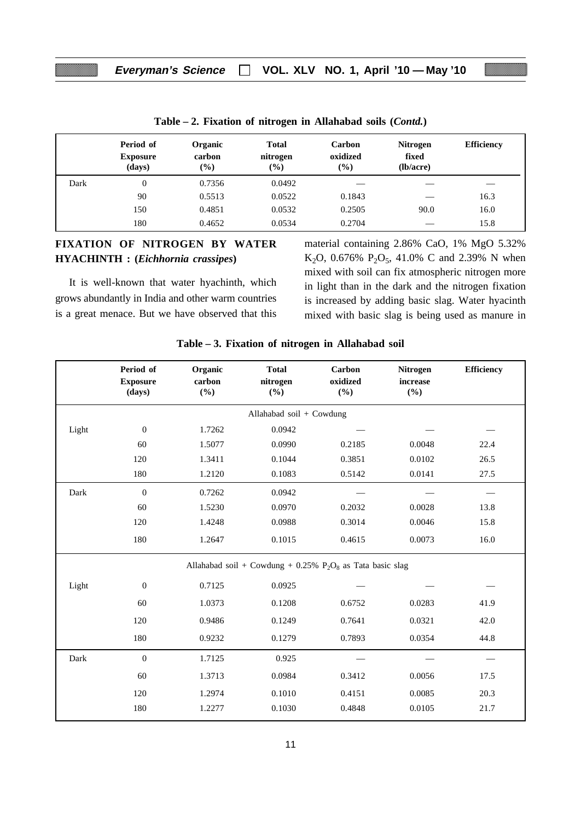|      | Period of<br><b>Exposure</b><br>(days) | Organic<br>carbon<br>$(\%)$ | <b>Total</b><br>nitrogen<br>(%) | Carbon<br>oxidized<br>$\frac{9}{6}$ | <b>Nitrogen</b><br>fixed<br>$(lb/acre)$ | <b>Efficiency</b> |
|------|----------------------------------------|-----------------------------|---------------------------------|-------------------------------------|-----------------------------------------|-------------------|
| Dark | $\mathbf{0}$                           | 0.7356                      | 0.0492                          |                                     |                                         |                   |
|      | 90                                     | 0.5513                      | 0.0522                          | 0.1843                              | $\overline{\phantom{a}}$                | 16.3              |
|      | 150                                    | 0.4851                      | 0.0532                          | 0.2505                              | 90.0                                    | 16.0              |
|      | 180                                    | 0.4652                      | 0.0534                          | 0.2704                              |                                         | 15.8              |

**Table – 2. Fixation of nitrogen in Allahabad soils (***Contd.***)**

## **FIXATION OF NITROGEN BY WATER HYACHINTH : (***Eichhornia crassipes***)**

It is well-known that water hyachinth, which grows abundantly in India and other warm countries is a great menace. But we have observed that this material containing 2.86% CaO, 1% MgO 5.32% K<sub>2</sub>O, 0.676% P<sub>2</sub>O<sub>5</sub>, 41.0% C and 2.39% N when mixed with soil can fix atmospheric nitrogen more in light than in the dark and the nitrogen fixation is increased by adding basic slag. Water hyacinth mixed with basic slag is being used as manure in

|       | Period of<br><b>Exposure</b><br>(days) | Organic<br>carbon<br>(%) | <b>Total</b><br>nitrogen<br>$(\%)$                                                   | Carbon<br>oxidized<br>$(\%)$ | Nitrogen<br>increase<br>(%) | Efficiency |
|-------|----------------------------------------|--------------------------|--------------------------------------------------------------------------------------|------------------------------|-----------------------------|------------|
|       |                                        |                          | Allahabad soil + Cowdung                                                             |                              |                             |            |
| Light | $\boldsymbol{0}$                       | 1.7262                   | 0.0942                                                                               |                              |                             |            |
|       | 60                                     | 1.5077                   | 0.0990                                                                               | 0.2185                       | 0.0048                      | 22.4       |
|       | 120                                    | 1.3411                   | 0.1044                                                                               | 0.3851                       | 0.0102                      | 26.5       |
|       | 180                                    | 1.2120                   | 0.1083                                                                               | 0.5142                       | 0.0141                      | 27.5       |
| Dark  | $\boldsymbol{0}$                       | 0.7262                   | 0.0942                                                                               |                              |                             |            |
|       | 60                                     | 1.5230                   | 0.0970                                                                               | 0.2032                       | 0.0028                      | 13.8       |
|       | 120                                    | 1.4248                   | 0.0988                                                                               | 0.3014                       | 0.0046                      | 15.8       |
|       | 180                                    | 1.2647                   | 0.1015                                                                               | 0.4615                       | 0.0073                      | 16.0       |
|       |                                        |                          | Allahabad soil + Cowdung + $0.25\%$ P <sub>2</sub> O <sub>8</sub> as Tata basic slag |                              |                             |            |
| Light | $\boldsymbol{0}$                       | 0.7125                   | 0.0925                                                                               |                              |                             |            |
|       | 60                                     | 1.0373                   | 0.1208                                                                               | 0.6752                       | 0.0283                      | 41.9       |
|       | 120                                    | 0.9486                   | 0.1249                                                                               | 0.7641                       | 0.0321                      | 42.0       |
|       | 180                                    | 0.9232                   | 0.1279                                                                               | 0.7893                       | 0.0354                      | 44.8       |
| Dark  | $\boldsymbol{0}$                       | 1.7125                   | 0.925                                                                                |                              |                             |            |
|       | 60                                     | 1.3713                   | 0.0984                                                                               | 0.3412                       | 0.0056                      | 17.5       |
|       | 120                                    | 1.2974                   | 0.1010                                                                               | 0.4151                       | 0.0085                      | 20.3       |
|       | 180                                    | 1.2277                   | 0.1030                                                                               | 0.4848                       | 0.0105                      | 21.7       |

#### **Table – 3. Fixation of nitrogen in Allahabad soil**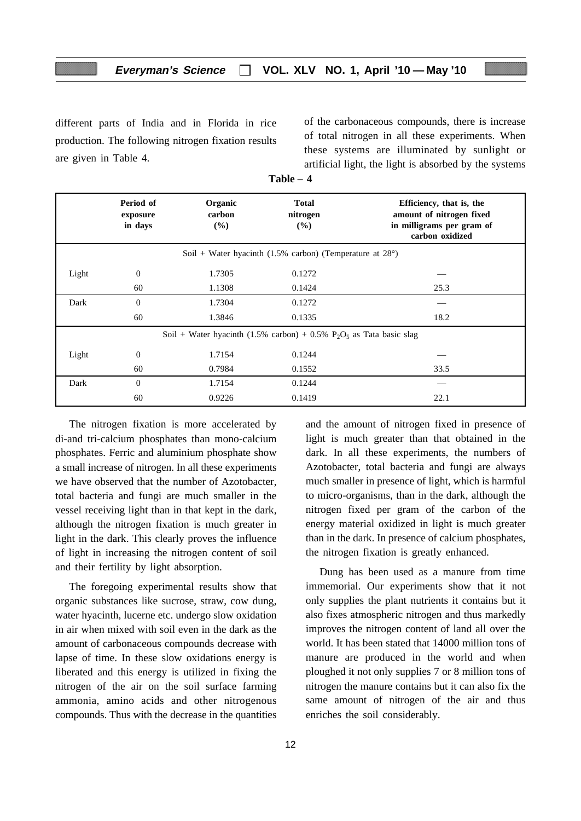## **Everyman's Science VOL. XLV NO. 1, April '10 — May '10**

different parts of India and in Florida in rice production. The following nitrogen fixation results are given in Table 4.

of the carbonaceous compounds, there is increase of total nitrogen in all these experiments. When these systems are illuminated by sunlight or artificial light, the light is absorbed by the systems

|                                                                    | Period of<br>exposure<br>in days | Organic<br>carbon<br>(%) | <b>Total</b><br>nitrogen<br>(%)                                        | Efficiency, that is, the<br>amount of nitrogen fixed<br>in milligrams per gram of<br>carbon oxidized |  |
|--------------------------------------------------------------------|----------------------------------|--------------------------|------------------------------------------------------------------------|------------------------------------------------------------------------------------------------------|--|
| Soil + Water hyacinth (1.5% carbon) (Temperature at $28^{\circ}$ ) |                                  |                          |                                                                        |                                                                                                      |  |
| Light                                                              | $\theta$                         | 1.7305                   | 0.1272                                                                 |                                                                                                      |  |
|                                                                    | 60                               | 1.1308                   | 0.1424                                                                 | 25.3                                                                                                 |  |
| Dark                                                               | $\theta$                         | 1.7304                   | 0.1272                                                                 |                                                                                                      |  |
|                                                                    | 60                               | 1.3846                   | 0.1335                                                                 | 18.2                                                                                                 |  |
|                                                                    |                                  |                          | Soil + Water hyacinth (1.5% carbon) + 0.5% $P_2O_5$ as Tata basic slag |                                                                                                      |  |
| Light                                                              | $\boldsymbol{0}$                 | 1.7154                   | 0.1244                                                                 |                                                                                                      |  |
|                                                                    | 60                               | 0.7984                   | 0.1552                                                                 | 33.5                                                                                                 |  |
| Dark                                                               | $\Omega$                         | 1.7154                   | 0.1244                                                                 |                                                                                                      |  |
|                                                                    | 60                               | 0.9226                   | 0.1419                                                                 | 22.1                                                                                                 |  |

**Table – 4**

The nitrogen fixation is more accelerated by di-and tri-calcium phosphates than mono-calcium phosphates. Ferric and aluminium phosphate show a small increase of nitrogen. In all these experiments we have observed that the number of Azotobacter, total bacteria and fungi are much smaller in the vessel receiving light than in that kept in the dark, although the nitrogen fixation is much greater in light in the dark. This clearly proves the influence of light in increasing the nitrogen content of soil and their fertility by light absorption.

The foregoing experimental results show that organic substances like sucrose, straw, cow dung, water hyacinth, lucerne etc. undergo slow oxidation in air when mixed with soil even in the dark as the amount of carbonaceous compounds decrease with lapse of time. In these slow oxidations energy is liberated and this energy is utilized in fixing the nitrogen of the air on the soil surface farming ammonia, amino acids and other nitrogenous compounds. Thus with the decrease in the quantities

and the amount of nitrogen fixed in presence of light is much greater than that obtained in the dark. In all these experiments, the numbers of Azotobacter, total bacteria and fungi are always much smaller in presence of light, which is harmful to micro-organisms, than in the dark, although the nitrogen fixed per gram of the carbon of the energy material oxidized in light is much greater than in the dark. In presence of calcium phosphates, the nitrogen fixation is greatly enhanced.

Dung has been used as a manure from time immemorial. Our experiments show that it not only supplies the plant nutrients it contains but it also fixes atmospheric nitrogen and thus markedly improves the nitrogen content of land all over the world. It has been stated that 14000 million tons of manure are produced in the world and when ploughed it not only supplies 7 or 8 million tons of nitrogen the manure contains but it can also fix the same amount of nitrogen of the air and thus enriches the soil considerably.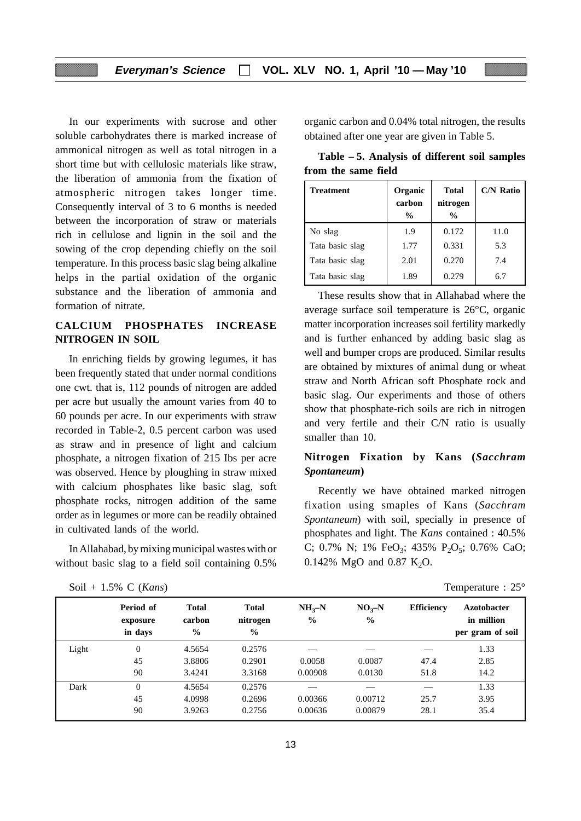In our experiments with sucrose and other soluble carbohydrates there is marked increase of ammonical nitrogen as well as total nitrogen in a short time but with cellulosic materials like straw, the liberation of ammonia from the fixation of atmospheric nitrogen takes longer time. Consequently interval of 3 to 6 months is needed between the incorporation of straw or materials rich in cellulose and lignin in the soil and the sowing of the crop depending chiefly on the soil temperature. In this process basic slag being alkaline helps in the partial oxidation of the organic substance and the liberation of ammonia and formation of nitrate.

#### **CALCIUM PHOSPHATES INCREASE NITROGEN IN SOIL**

In enriching fields by growing legumes, it has been frequently stated that under normal conditions one cwt. that is, 112 pounds of nitrogen are added per acre but usually the amount varies from 40 to 60 pounds per acre. In our experiments with straw recorded in Table-2, 0.5 percent carbon was used as straw and in presence of light and calcium phosphate, a nitrogen fixation of 215 Ibs per acre was observed. Hence by ploughing in straw mixed with calcium phosphates like basic slag, soft phosphate rocks, nitrogen addition of the same order as in legumes or more can be readily obtained in cultivated lands of the world.

In Allahabad, by mixing municipal wastes with or without basic slag to a field soil containing 0.5%

|  | Soil + 1.5% C ( <i>Kans</i> ) | Temperature : $25^{\circ}$ |  |
|--|-------------------------------|----------------------------|--|
|  |                               |                            |  |

organic carbon and 0.04% total nitrogen, the results obtained after one year are given in Table 5.

| Table – 5. Analysis of different soil samples |  |
|-----------------------------------------------|--|
| from the same field                           |  |

| <b>Treatment</b> | Organic<br>carbon<br>$\frac{0}{0}$ | <b>Total</b><br>nitrogen<br>$\frac{0}{0}$ | <b>C/N Ratio</b> |
|------------------|------------------------------------|-------------------------------------------|------------------|
| No slag          | 1.9                                | 0.172                                     | 11.0             |
| Tata basic slag  | 1.77                               | 0.331                                     | 5.3              |
| Tata basic slag  | 2.01                               | 0.270                                     | 7.4              |
| Tata basic slag  | 1.89                               | 0.279                                     | 6.7              |

These results show that in Allahabad where the average surface soil temperature is 26°C, organic matter incorporation increases soil fertility markedly and is further enhanced by adding basic slag as well and bumper crops are produced. Similar results are obtained by mixtures of animal dung or wheat straw and North African soft Phosphate rock and basic slag. Our experiments and those of others show that phosphate-rich soils are rich in nitrogen and very fertile and their C/N ratio is usually smaller than 10.

## **Nitrogen Fixation by Kans (***Sacchram Spontaneum***)**

Recently we have obtained marked nitrogen fixation using smaples of Kans (*Sacchram Spontaneum*) with soil, specially in presence of phosphates and light. The *Kans* contained : 40.5% C; 0.7% N; 1% FeO<sub>3</sub>; 435% P<sub>2</sub>O<sub>5</sub>; 0.76% CaO; 0.142% MgO and 0.87 K<sub>2</sub>O.

| Temperature : $25^{\circ}$ |  |
|----------------------------|--|
|----------------------------|--|

|       | Period of<br>exposure<br>in days | <b>Total</b><br>carbon<br>$\frac{0}{0}$ | <b>Total</b><br>nitrogen<br>$\frac{0}{0}$ | $NH3-N$<br>$\frac{6}{6}$ | $NO3-N$<br>$\frac{6}{9}$ | <b>Efficiency</b> | <b>Azotobacter</b><br>in million<br>per gram of soil |
|-------|----------------------------------|-----------------------------------------|-------------------------------------------|--------------------------|--------------------------|-------------------|------------------------------------------------------|
| Light | $\theta$                         | 4.5654                                  | 0.2576                                    |                          |                          |                   | 1.33                                                 |
|       | 45                               | 3.8806                                  | 0.2901                                    | 0.0058                   | 0.0087                   | 47.4              | 2.85                                                 |
|       | 90                               | 3.4241                                  | 3.3168                                    | 0.00908                  | 0.0130                   | 51.8              | 14.2                                                 |
| Dark  | $\theta$                         | 4.5654                                  | 0.2576                                    |                          |                          |                   | 1.33                                                 |
|       | 45                               | 4.0998                                  | 0.2696                                    | 0.00366                  | 0.00712                  | 25.7              | 3.95                                                 |
|       | 90                               | 3.9263                                  | 0.2756                                    | 0.00636                  | 0.00879                  | 28.1              | 35.4                                                 |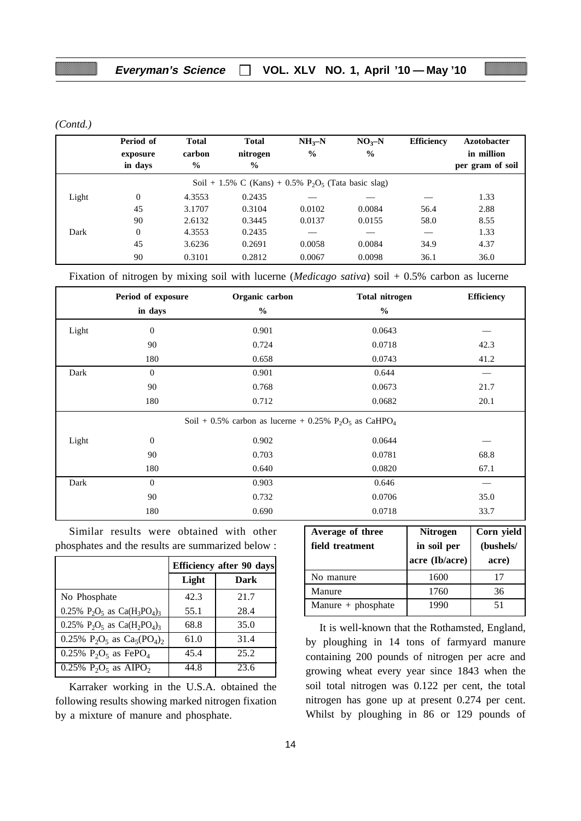*(Contd.)*

|       | Period of<br>exposure<br>in days | <b>Total</b><br>carbon<br>$\frac{0}{0}$ | <b>Total</b><br>nitrogen<br>$\frac{0}{0}$                                      | $NH_{3}-N$<br>$\frac{0}{0}$ | $NOx-N$<br>$\frac{0}{0}$ | <b>Efficiency</b> | <b>Azotobacter</b><br>in million<br>per gram of soil |
|-------|----------------------------------|-----------------------------------------|--------------------------------------------------------------------------------|-----------------------------|--------------------------|-------------------|------------------------------------------------------|
|       |                                  |                                         | Soil + 1.5% C (Kans) + $0.5\%$ P <sub>2</sub> O <sub>5</sub> (Tata basic slag) |                             |                          |                   |                                                      |
| Light | $\Omega$                         | 4.3553                                  | 0.2435                                                                         |                             |                          |                   | 1.33                                                 |
|       | 45                               | 3.1707                                  | 0.3104                                                                         | 0.0102                      | 0.0084                   | 56.4              | 2.88                                                 |
|       | 90                               | 2.6132                                  | 0.3445                                                                         | 0.0137                      | 0.0155                   | 58.0              | 8.55                                                 |
| Dark  | $\Omega$                         | 4.3553                                  | 0.2435                                                                         |                             |                          |                   | 1.33                                                 |
|       | 45                               | 3.6236                                  | 0.2691                                                                         | 0.0058                      | 0.0084                   | 34.9              | 4.37                                                 |
|       | 90                               | 0.3101                                  | 0.2812                                                                         | 0.0067                      | 0.0098                   | 36.1              | 36.0                                                 |

Fixation of nitrogen by mixing soil with lucerne (*Medicago sativa*) soil + 0.5% carbon as lucerne

|       | Period of exposure | Organic carbon                                                       | <b>Total nitrogen</b> | <b>Efficiency</b> |
|-------|--------------------|----------------------------------------------------------------------|-----------------------|-------------------|
|       | in days            | $\%$                                                                 | $\%$                  |                   |
| Light | $\boldsymbol{0}$   | 0.901                                                                | 0.0643                |                   |
|       | 90                 | 0.724                                                                | 0.0718                | 42.3              |
|       | 180                | 0.658                                                                | 0.0743                | 41.2              |
| Dark  | $\mathbf{0}$       | 0.901                                                                | 0.644                 |                   |
|       | 90                 | 0.768                                                                | 0.0673                | 21.7              |
|       | 180                | 0.712                                                                | 0.0682                | 20.1              |
|       |                    | Soil + 0.5% carbon as lucerne + 0.25% $P_2O_5$ as CaHPO <sub>4</sub> |                       |                   |
| Light | $\theta$           | 0.902                                                                | 0.0644                |                   |
|       | 90                 | 0.703                                                                | 0.0781                | 68.8              |
|       | 180                | 0.640                                                                | 0.0820                | 67.1              |
| Dark  | $\mathbf{0}$       | 0.903                                                                | 0.646                 |                   |
|       | 90                 | 0.732                                                                | 0.0706                | 35.0              |
|       | 180                | 0.690                                                                | 0.0718                | 33.7              |

Similar results were obtained with other phosphates and the results are summarized below :

|                                                             | <b>Efficiency after 90 days</b> |      |  |  |  |
|-------------------------------------------------------------|---------------------------------|------|--|--|--|
|                                                             | Light                           | Dark |  |  |  |
| No Phosphate                                                | 42.3                            | 21.7 |  |  |  |
| 0.25% $P_2O_5$ as $Ca(H_3PO_4)_3$                           | 55.1                            | 28.4 |  |  |  |
| 0.25% $P_2O_5$ as $Ca(H_2PO_4)_3$                           | 68.8                            | 35.0 |  |  |  |
| 0.25% $P_2O_5$ as $Ca_5(PO_4)_2$                            | 61.0                            | 31.4 |  |  |  |
| 0.25% $P_2O_5$ as FePO <sub>4</sub>                         | 45.4                            | 25.2 |  |  |  |
| $0.25\%$ P <sub>2</sub> O <sub>5</sub> as AIPO <sub>2</sub> | 44.8                            | 23.6 |  |  |  |

Karraker working in the U.S.A. obtained the following results showing marked nitrogen fixation by a mixture of manure and phosphate.

| Average of three<br>field treatment | <b>Nitrogen</b><br>in soil per<br>acre (Ib/acre) | Corn yield<br>(bushels/<br>acre) |  |  |
|-------------------------------------|--------------------------------------------------|----------------------------------|--|--|
| No manure                           | 1600                                             | 17                               |  |  |
| Manure                              | 1760                                             | 36                               |  |  |
| Manure $+$ phosphate                | 1990                                             | 51                               |  |  |

It is well-known that the Rothamsted, England, by ploughing in 14 tons of farmyard manure containing 200 pounds of nitrogen per acre and growing wheat every year since 1843 when the soil total nitrogen was 0.122 per cent, the total nitrogen has gone up at present 0.274 per cent. Whilst by ploughing in 86 or 129 pounds of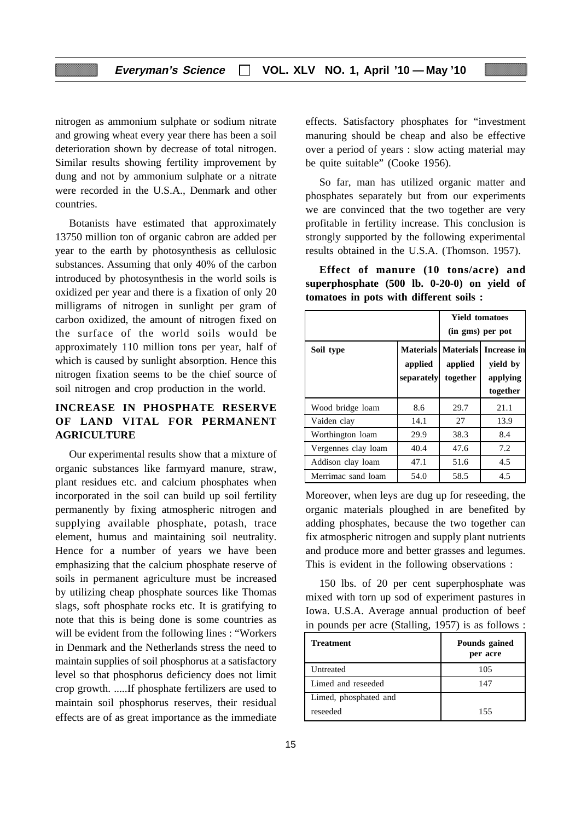nitrogen as ammonium sulphate or sodium nitrate and growing wheat every year there has been a soil deterioration shown by decrease of total nitrogen. Similar results showing fertility improvement by dung and not by ammonium sulphate or a nitrate were recorded in the U.S.A., Denmark and other countries.

Botanists have estimated that approximately 13750 million ton of organic cabron are added per year to the earth by photosynthesis as cellulosic substances. Assuming that only 40% of the carbon introduced by photosynthesis in the world soils is oxidized per year and there is a fixation of only 20 milligrams of nitrogen in sunlight per gram of carbon oxidized, the amount of nitrogen fixed on the surface of the world soils would be approximately 110 million tons per year, half of which is caused by sunlight absorption. Hence this nitrogen fixation seems to be the chief source of soil nitrogen and crop production in the world.

## **INCREASE IN PHOSPHATE RESERVE OF LAND VITAL FOR PERMANENT AGRICULTURE**

Our experimental results show that a mixture of organic substances like farmyard manure, straw, plant residues etc. and calcium phosphates when incorporated in the soil can build up soil fertility permanently by fixing atmospheric nitrogen and supplying available phosphate, potash, trace element, humus and maintaining soil neutrality. Hence for a number of years we have been emphasizing that the calcium phosphate reserve of soils in permanent agriculture must be increased by utilizing cheap phosphate sources like Thomas slags, soft phosphate rocks etc. It is gratifying to note that this is being done is some countries as will be evident from the following lines : "Workers in Denmark and the Netherlands stress the need to maintain supplies of soil phosphorus at a satisfactory level so that phosphorus deficiency does not limit crop growth. .....If phosphate fertilizers are used to maintain soil phosphorus reserves, their residual effects are of as great importance as the immediate

effects. Satisfactory phosphates for "investment manuring should be cheap and also be effective over a period of years : slow acting material may be quite suitable" (Cooke 1956).

So far, man has utilized organic matter and phosphates separately but from our experiments we are convinced that the two together are very profitable in fertility increase. This conclusion is strongly supported by the following experimental results obtained in the U.S.A. (Thomson. 1957).

**Effect of manure (10 tons/acre) and superphosphate (500 lb. 0-20-0) on yield of tomatoes in pots with different soils :**

|                     | <b>Yield tomatoes</b><br>(in gms) per pot |                                                       |                                                 |
|---------------------|-------------------------------------------|-------------------------------------------------------|-------------------------------------------------|
| Soil type           | applied<br>separately                     | <b>Materials   Materials  </b><br>applied<br>together | Increase in<br>yield by<br>applying<br>together |
| Wood bridge loam    | 8.6                                       | 29.7                                                  | 21.1                                            |
| Vaiden clay         | 14.1                                      | 27                                                    | 13.9                                            |
| Worthington loam    | 29.9                                      | 38.3                                                  | 8.4                                             |
| Vergennes clay loam | 40.4                                      | 47.6                                                  | 7.2                                             |
| Addison clay loam   | 47.1                                      | 51.6                                                  | 4.5                                             |
| Merrimac sand loam  | 54.0                                      | 58.5                                                  | 4.5                                             |

Moreover, when leys are dug up for reseeding, the organic materials ploughed in are benefited by adding phosphates, because the two together can fix atmospheric nitrogen and supply plant nutrients and produce more and better grasses and legumes. This is evident in the following observations :

150 lbs. of 20 per cent superphosphate was mixed with torn up sod of experiment pastures in Iowa. U.S.A. Average annual production of beef in pounds per acre (Stalling, 1957) is as follows :

| <b>Treatment</b>      | Pounds gained<br>per acre |
|-----------------------|---------------------------|
| <b>Untreated</b>      | 105                       |
| Limed and reseeded    | 147                       |
| Limed, phosphated and |                           |
| reseeded              | 155                       |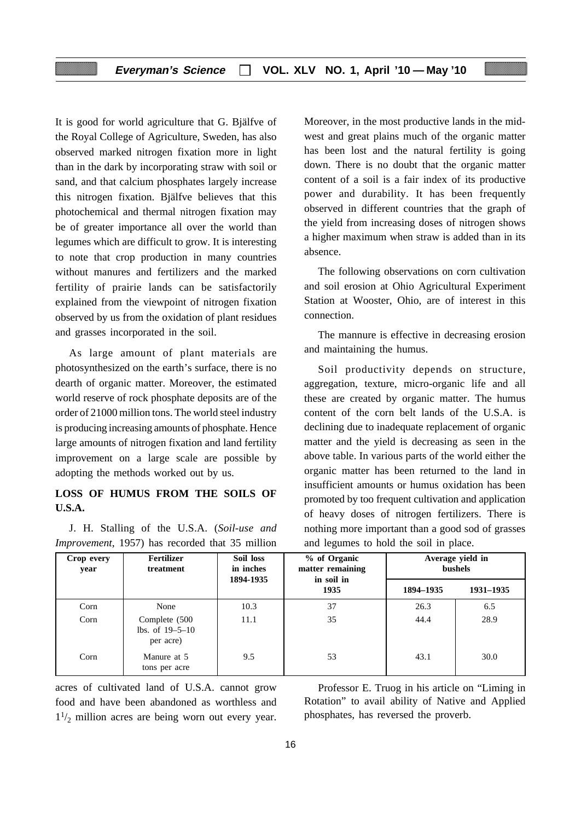It is good for world agriculture that G. Bjälfve of the Royal College of Agriculture, Sweden, has also observed marked nitrogen fixation more in light than in the dark by incorporating straw with soil or sand, and that calcium phosphates largely increase this nitrogen fixation. Bjälfve believes that this photochemical and thermal nitrogen fixation may be of greater importance all over the world than legumes which are difficult to grow. It is interesting to note that crop production in many countries without manures and fertilizers and the marked fertility of prairie lands can be satisfactorily explained from the viewpoint of nitrogen fixation observed by us from the oxidation of plant residues and grasses incorporated in the soil.

As large amount of plant materials are photosynthesized on the earth's surface, there is no dearth of organic matter. Moreover, the estimated world reserve of rock phosphate deposits are of the order of 21000 million tons. The world steel industry is producing increasing amounts of phosphate. Hence large amounts of nitrogen fixation and land fertility improvement on a large scale are possible by adopting the methods worked out by us.

## **LOSS OF HUMUS FROM THE SOILS OF U.S.A.**

J. H. Stalling of the U.S.A. (*Soil-use and Improvement*, 1957) has recorded that 35 million

Moreover, in the most productive lands in the midwest and great plains much of the organic matter has been lost and the natural fertility is going down. There is no doubt that the organic matter content of a soil is a fair index of its productive power and durability. It has been frequently observed in different countries that the graph of the yield from increasing doses of nitrogen shows a higher maximum when straw is added than in its absence.

The following observations on corn cultivation and soil erosion at Ohio Agricultural Experiment Station at Wooster, Ohio, are of interest in this connection.

The mannure is effective in decreasing erosion and maintaining the humus.

Soil productivity depends on structure, aggregation, texture, micro-organic life and all these are created by organic matter. The humus content of the corn belt lands of the U.S.A. is declining due to inadequate replacement of organic matter and the yield is decreasing as seen in the above table. In various parts of the world either the organic matter has been returned to the land in insufficient amounts or humus oxidation has been promoted by too frequent cultivation and application of heavy doses of nitrogen fertilizers. There is nothing more important than a good sod of grasses and legumes to hold the soil in place.

| Crop every<br>year | Soil loss<br><b>Fertilizer</b><br>% of Organic<br>in inches<br>matter remaining<br>treatment<br>in soil in<br>1894-1935 |      | Average yield in<br>bushels |           |           |
|--------------------|-------------------------------------------------------------------------------------------------------------------------|------|-----------------------------|-----------|-----------|
|                    |                                                                                                                         |      | 1935                        | 1894-1935 | 1931-1935 |
| Corn               | None                                                                                                                    | 10.3 | 37                          | 26.3      | 6.5       |
| Corn               | Complete (500)<br>$lbs. of 19-5-10$<br>per acre)                                                                        | 11.1 | 35                          | 44.4      | 28.9      |
| Corn               | Manure at 5<br>tons per acre                                                                                            | 9.5  | 53                          | 43.1      | 30.0      |

acres of cultivated land of U.S.A. cannot grow food and have been abandoned as worthless and  $1\frac{1}{2}$  million acres are being worn out every year.

Professor E. Truog in his article on "Liming in Rotation" to avail ability of Native and Applied phosphates, has reversed the proverb.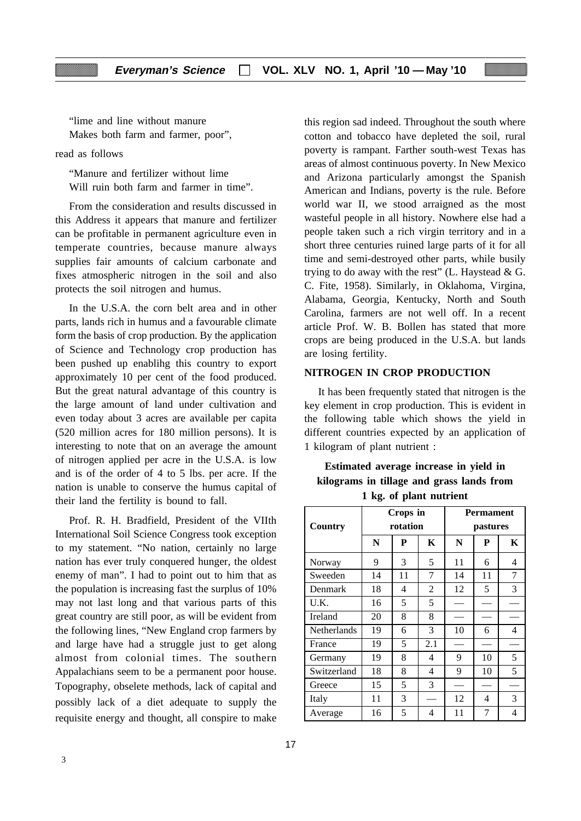"lime and line without manure Makes both farm and farmer, poor",

read as follows

"Manure and fertilizer without lime Will ruin both farm and farmer in time".

From the consideration and results discussed in this Address it appears that manure and fertilizer can be profitable in permanent agriculture even in temperate countries, because manure always supplies fair amounts of calcium carbonate and fixes atmospheric nitrogen in the soil and also protects the soil nitrogen and humus.

In the U.S.A. the corn belt area and in other parts, lands rich in humus and a favourable climate form the basis of crop production. By the application of Science and Technology crop production has been pushed up enablihg this country to export approximately 10 per cent of the food produced. But the great natural advantage of this country is the large amount of land under cultivation and even today about 3 acres are available per capita (520 million acres for 180 million persons). It is interesting to note that on an average the amount of nitrogen applied per acre in the U.S.A. is low and is of the order of 4 to 5 lbs. per acre. If the nation is unable to conserve the humus capital of their land the fertility is bound to fall.

Prof. R. H. Bradfield, President of the VIIth International Soil Science Congress took exception to my statement. "No nation, certainly no large nation has ever truly conquered hunger, the oldest enemy of man". I had to point out to him that as the population is increasing fast the surplus of 10% may not last long and that various parts of this great country are still poor, as will be evident from the following lines, "New England crop farmers by and large have had a struggle just to get along almost from colonial times. The southern Appalachians seem to be a permanent poor house. Topography, obselete methods, lack of capital and possibly lack of a diet adequate to supply the requisite energy and thought, all conspire to make

this region sad indeed. Throughout the south where cotton and tobacco have depleted the soil, rural poverty is rampant. Farther south-west Texas has areas of almost continuous poverty. In New Mexico and Arizona particularly amongst the Spanish American and Indians, poverty is the rule. Before world war II, we stood arraigned as the most wasteful people in all history. Nowhere else had a people taken such a rich virgin territory and in a short three centuries ruined large parts of it for all time and semi-destroyed other parts, while busily trying to do away with the rest" (L. Haystead  $\&$  G. C. Fite, 1958). Similarly, in Oklahoma, Virgina, Alabama, Georgia, Kentucky, North and South Carolina, farmers are not well off. In a recent article Prof. W. B. Bollen has stated that more crops are being produced in the U.S.A. but lands are losing fertility.

#### **NITROGEN IN CROP PRODUCTION**

It has been frequently stated that nitrogen is the key element in crop production. This is evident in the following table which shows the yield in different countries expected by an application of 1 kilogram of plant nutrient :

## **Estimated average increase in yield in kilograms in tillage and grass lands from 1 kg. of plant nutrient**

| Country     |    | Crops in<br>rotation |     | <b>Permament</b><br>pastures |    |   |  |
|-------------|----|----------------------|-----|------------------------------|----|---|--|
|             | N  | P                    | K   | N                            | P  | K |  |
| Norway      | 9  | 3                    | 5   | 11                           | 6  | 4 |  |
| Sweeden     | 14 | 11                   | 7   | 14                           | 11 | 7 |  |
| Denmark     | 18 | 4                    | 2   | 12                           | 5  | 3 |  |
| U.K.        | 16 | 5                    | 5   |                              |    |   |  |
| Ireland     | 20 | 8                    | 8   |                              |    |   |  |
| Netherlands | 19 | 6                    | 3   | 10                           | 6  | 4 |  |
| France      | 19 | 5                    | 2.1 |                              |    |   |  |
| Germany     | 19 | 8                    | 4   | 9                            | 10 | 5 |  |
| Switzerland | 18 | 8                    | 4   | 9                            | 10 | 5 |  |
| Greece      | 15 | 5                    | 3   |                              |    |   |  |
| Italy       | 11 | 3                    |     | 12                           | 4  | 3 |  |
| Average     | 16 | 5                    | 4   | 11                           | 7  | 4 |  |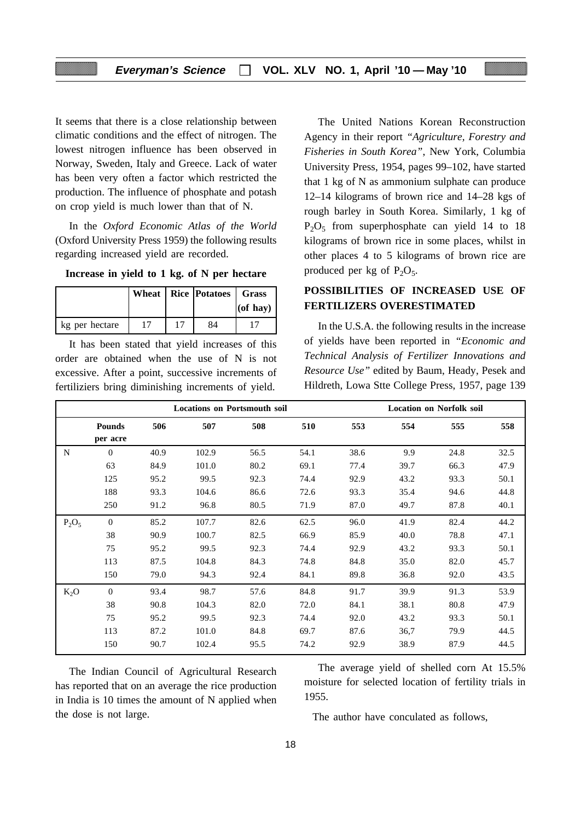It seems that there is a close relationship between climatic conditions and the effect of nitrogen. The lowest nitrogen influence has been observed in Norway, Sweden, Italy and Greece. Lack of water has been very often a factor which restricted the production. The influence of phosphate and potash on crop yield is much lower than that of N.

In the *Oxford Economic Atlas of the World* (Oxford University Press 1959) the following results regarding increased yield are recorded.

| Increase in yield to 1 kg. of N per hectare |  |  |  |  |  |  |  |  |  |
|---------------------------------------------|--|--|--|--|--|--|--|--|--|
|---------------------------------------------|--|--|--|--|--|--|--|--|--|

|                |  | Wheat   Rice   Potatoes   Grass | $ $ (of hay) |
|----------------|--|---------------------------------|--------------|
| kg per hectare |  | 84                              |              |

It has been stated that yield increases of this order are obtained when the use of N is not excessive. After a point, successive increments of fertiliziers bring diminishing increments of yield.

The United Nations Korean Reconstruction Agency in their report *"Agriculture, Forestry and Fisheries in South Korea"*, New York, Columbia University Press, 1954, pages 99–102, have started that 1 kg of N as ammonium sulphate can produce 12–14 kilograms of brown rice and 14–28 kgs of rough barley in South Korea. Similarly, 1 kg of  $P_2O_5$  from superphosphate can yield 14 to 18 kilograms of brown rice in some places, whilst in other places 4 to 5 kilograms of brown rice are produced per kg of  $P_2O_5$ .

## **POSSIBILITIES OF INCREASED USE OF FERTILIZERS OVERESTIMATED**

In the U.S.A. the following results in the increase of yields have been reported in *"Economic and Technical Analysis of Fertilizer Innovations and Resource Use"* edited by Baum, Heady, Pesek and Hildreth, Lowa Stte College Press, 1957, page 139

|          |                           | <b>Locations on Portsmouth soil</b> |       |      | <b>Location on Norfolk soil</b> |      |      |      |      |
|----------|---------------------------|-------------------------------------|-------|------|---------------------------------|------|------|------|------|
|          | <b>Pounds</b><br>per acre | 506                                 | 507   | 508  | 510                             | 553  | 554  | 555  | 558  |
| N        | $\theta$                  | 40.9                                | 102.9 | 56.5 | 54.1                            | 38.6 | 9.9  | 24.8 | 32.5 |
|          | 63                        | 84.9                                | 101.0 | 80.2 | 69.1                            | 77.4 | 39.7 | 66.3 | 47.9 |
|          | 125                       | 95.2                                | 99.5  | 92.3 | 74.4                            | 92.9 | 43.2 | 93.3 | 50.1 |
|          | 188                       | 93.3                                | 104.6 | 86.6 | 72.6                            | 93.3 | 35.4 | 94.6 | 44.8 |
|          | 250                       | 91.2                                | 96.8  | 80.5 | 71.9                            | 87.0 | 49.7 | 87.8 | 40.1 |
| $P_2O_5$ | $\overline{0}$            | 85.2                                | 107.7 | 82.6 | 62.5                            | 96.0 | 41.9 | 82.4 | 44.2 |
|          | 38                        | 90.9                                | 100.7 | 82.5 | 66.9                            | 85.9 | 40.0 | 78.8 | 47.1 |
|          | 75                        | 95.2                                | 99.5  | 92.3 | 74.4                            | 92.9 | 43.2 | 93.3 | 50.1 |
|          | 113                       | 87.5                                | 104.8 | 84.3 | 74.8                            | 84.8 | 35.0 | 82.0 | 45.7 |
|          | 150                       | 79.0                                | 94.3  | 92.4 | 84.1                            | 89.8 | 36.8 | 92.0 | 43.5 |
| $K_2O$   | $\Omega$                  | 93.4                                | 98.7  | 57.6 | 84.8                            | 91.7 | 39.9 | 91.3 | 53.9 |
|          | 38                        | 90.8                                | 104.3 | 82.0 | 72.0                            | 84.1 | 38.1 | 80.8 | 47.9 |
|          | 75                        | 95.2                                | 99.5  | 92.3 | 74.4                            | 92.0 | 43.2 | 93.3 | 50.1 |
|          | 113                       | 87.2                                | 101.0 | 84.8 | 69.7                            | 87.6 | 36,7 | 79.9 | 44.5 |
|          | 150                       | 90.7                                | 102.4 | 95.5 | 74.2                            | 92.9 | 38.9 | 87.9 | 44.5 |

The Indian Council of Agricultural Research has reported that on an average the rice production in India is 10 times the amount of N applied when the dose is not large.

The average yield of shelled corn At 15.5% moisture for selected location of fertility trials in 1955.

The author have conculated as follows,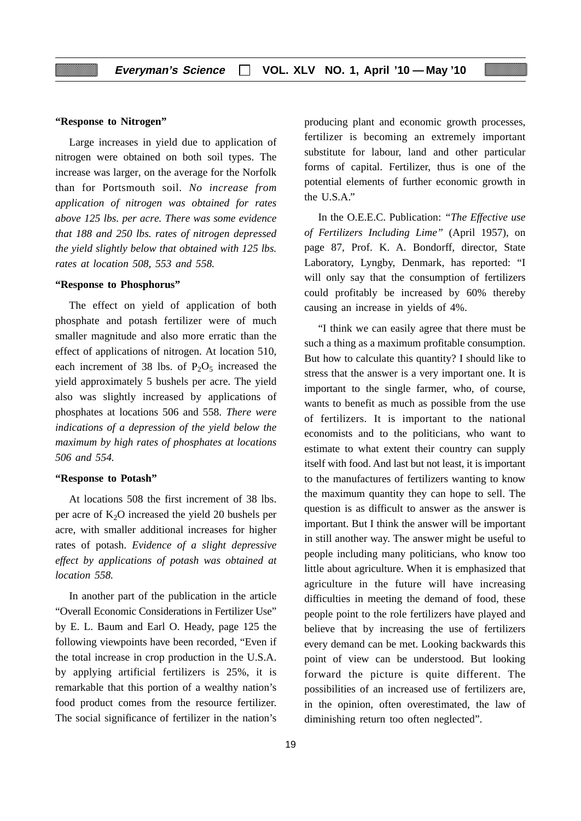#### **"Response to Nitrogen"**

Large increases in yield due to application of nitrogen were obtained on both soil types. The increase was larger, on the average for the Norfolk than for Portsmouth soil. *No increase from application of nitrogen was obtained for rates above 125 lbs. per acre. There was some evidence that 188 and 250 lbs. rates of nitrogen depressed the yield slightly below that obtained with 125 lbs. rates at location 508, 553 and 558.*

#### **"Response to Phosphorus"**

The effect on yield of application of both phosphate and potash fertilizer were of much smaller magnitude and also more erratic than the effect of applications of nitrogen. At location 510, each increment of 38 lbs. of  $P_2O_5$  increased the yield approximately 5 bushels per acre. The yield also was slightly increased by applications of phosphates at locations 506 and 558. *There were indications of a depression of the yield below the maximum by high rates of phosphates at locations 506 and 554.*

#### **"Response to Potash"**

At locations 508 the first increment of 38 lbs. per acre of  $K<sub>2</sub>O$  increased the yield 20 bushels per acre, with smaller additional increases for higher rates of potash. *Evidence of a slight depressive effect by applications of potash was obtained at location 558.*

In another part of the publication in the article "Overall Economic Considerations in Fertilizer Use" by E. L. Baum and Earl O. Heady, page 125 the following viewpoints have been recorded, "Even if the total increase in crop production in the U.S.A. by applying artificial fertilizers is 25%, it is remarkable that this portion of a wealthy nation's food product comes from the resource fertilizer. The social significance of fertilizer in the nation's

producing plant and economic growth processes, fertilizer is becoming an extremely important substitute for labour, land and other particular forms of capital. Fertilizer, thus is one of the potential elements of further economic growth in the U.S.A."

In the O.E.E.C. Publication: *"The Effective use of Fertilizers Including Lime"* (April 1957), on page 87, Prof. K. A. Bondorff, director, State Laboratory, Lyngby, Denmark, has reported: "I will only say that the consumption of fertilizers could profitably be increased by 60% thereby causing an increase in yields of 4%.

"I think we can easily agree that there must be such a thing as a maximum profitable consumption. But how to calculate this quantity? I should like to stress that the answer is a very important one. It is important to the single farmer, who, of course, wants to benefit as much as possible from the use of fertilizers. It is important to the national economists and to the politicians, who want to estimate to what extent their country can supply itself with food. And last but not least, it is important to the manufactures of fertilizers wanting to know the maximum quantity they can hope to sell. The question is as difficult to answer as the answer is important. But I think the answer will be important in still another way. The answer might be useful to people including many politicians, who know too little about agriculture. When it is emphasized that agriculture in the future will have increasing difficulties in meeting the demand of food, these people point to the role fertilizers have played and believe that by increasing the use of fertilizers every demand can be met. Looking backwards this point of view can be understood. But looking forward the picture is quite different. The possibilities of an increased use of fertilizers are, in the opinion, often overestimated, the law of diminishing return too often neglected".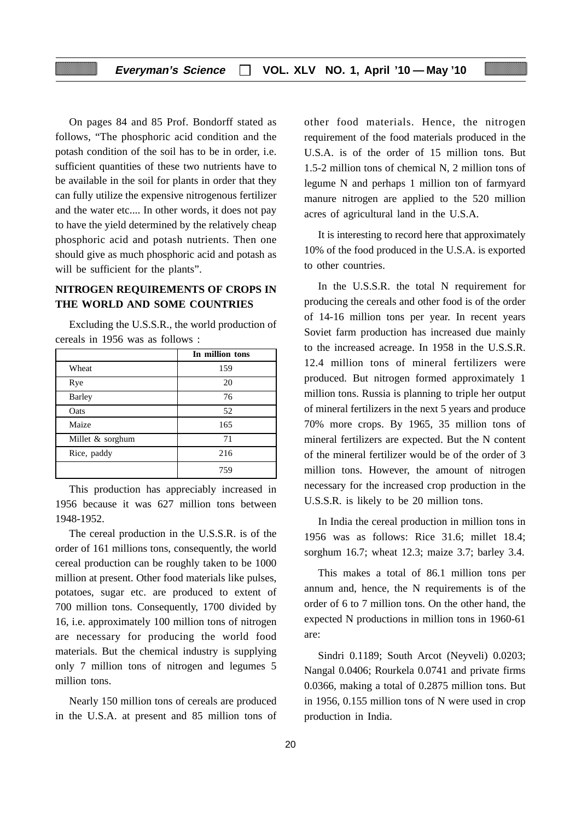On pages 84 and 85 Prof. Bondorff stated as follows, "The phosphoric acid condition and the potash condition of the soil has to be in order, i.e. sufficient quantities of these two nutrients have to be available in the soil for plants in order that they can fully utilize the expensive nitrogenous fertilizer and the water etc.... In other words, it does not pay to have the yield determined by the relatively cheap phosphoric acid and potash nutrients. Then one should give as much phosphoric acid and potash as will be sufficient for the plants".

## **NITROGEN REQUIREMENTS OF CROPS IN THE WORLD AND SOME COUNTRIES**

Excluding the U.S.S.R., the world production of cereals in 1956 was as follows :

|                  | In million tons |
|------------------|-----------------|
| Wheat            | 159             |
| Rye              | 20              |
| <b>Barley</b>    | 76              |
| Oats             | 52              |
| Maize            | 165             |
| Millet & sorghum | 71              |
| Rice, paddy      | 216             |
|                  | 759             |

This production has appreciably increased in 1956 because it was 627 million tons between 1948-1952.

The cereal production in the U.S.S.R. is of the order of 161 millions tons, consequently, the world cereal production can be roughly taken to be 1000 million at present. Other food materials like pulses, potatoes, sugar etc. are produced to extent of 700 million tons. Consequently, 1700 divided by 16, i.e. approximately 100 million tons of nitrogen are necessary for producing the world food materials. But the chemical industry is supplying only 7 million tons of nitrogen and legumes 5 million tons.

Nearly 150 million tons of cereals are produced in the U.S.A. at present and 85 million tons of other food materials. Hence, the nitrogen requirement of the food materials produced in the U.S.A. is of the order of 15 million tons. But 1.5-2 million tons of chemical N, 2 million tons of legume N and perhaps 1 million ton of farmyard manure nitrogen are applied to the 520 million acres of agricultural land in the U.S.A.

It is interesting to record here that approximately 10% of the food produced in the U.S.A. is exported to other countries.

In the U.S.S.R. the total N requirement for producing the cereals and other food is of the order of 14-16 million tons per year. In recent years Soviet farm production has increased due mainly to the increased acreage. In 1958 in the U.S.S.R. 12.4 million tons of mineral fertilizers were produced. But nitrogen formed approximately 1 million tons. Russia is planning to triple her output of mineral fertilizers in the next 5 years and produce 70% more crops. By 1965, 35 million tons of mineral fertilizers are expected. But the N content of the mineral fertilizer would be of the order of 3 million tons. However, the amount of nitrogen necessary for the increased crop production in the U.S.S.R. is likely to be 20 million tons.

In India the cereal production in million tons in 1956 was as follows: Rice 31.6; millet 18.4; sorghum 16.7; wheat 12.3; maize 3.7; barley 3.4.

This makes a total of 86.1 million tons per annum and, hence, the N requirements is of the order of 6 to 7 million tons. On the other hand, the expected N productions in million tons in 1960-61 are:

Sindri 0.1189; South Arcot (Neyveli) 0.0203; Nangal 0.0406; Rourkela 0.0741 and private firms 0.0366, making a total of 0.2875 million tons. But in 1956, 0.155 million tons of N were used in crop production in India.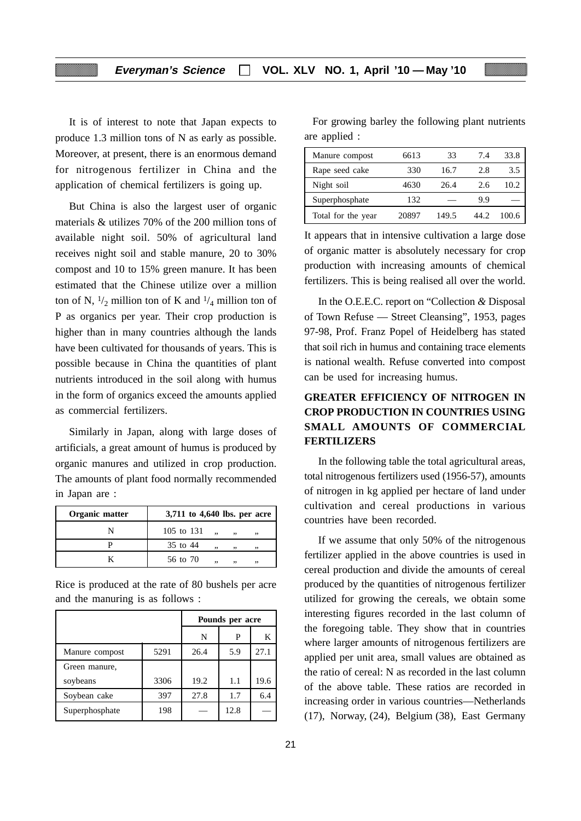It is of interest to note that Japan expects to produce 1.3 million tons of N as early as possible. Moreover, at present, there is an enormous demand for nitrogenous fertilizer in China and the application of chemical fertilizers is going up.

But China is also the largest user of organic materials & utilizes 70% of the 200 million tons of available night soil. 50% of agricultural land receives night soil and stable manure, 20 to 30% compost and 10 to 15% green manure. It has been estimated that the Chinese utilize over a million ton of N,  $\frac{1}{2}$  million ton of K and  $\frac{1}{4}$  million ton of P as organics per year. Their crop production is higher than in many countries although the lands have been cultivated for thousands of years. This is possible because in China the quantities of plant nutrients introduced in the soil along with humus in the form of organics exceed the amounts applied as commercial fertilizers.

Similarly in Japan, along with large doses of artificials, a great amount of humus is produced by organic manures and utilized in crop production. The amounts of plant food normally recommended in Japan are :

| Organic matter | 3,711 to 4,640 lbs. per acre             |
|----------------|------------------------------------------|
|                | 105 to 131<br>$\ddotsc$<br>$\cdot$<br>,, |
|                | 35 to 44<br>99.<br>, ,<br>99             |
|                | 56 to 70<br>,,<br>99<br>,,               |

Rice is produced at the rate of 80 bushels per acre and the manuring is as follows :

|                |      |      | Pounds per acre |      |
|----------------|------|------|-----------------|------|
|                |      | N    | P               | K    |
| Manure compost | 5291 | 26.4 | 5.9             | 27.1 |
| Green manure,  |      |      |                 |      |
| soybeans       | 3306 | 19.2 | 1.1             | 19.6 |
| Soybean cake   | 397  | 27.8 | 1.7             | 6.4  |
| Superphosphate | 198  |      | 12.8            |      |

For growing barley the following plant nutrients are applied :

| Manure compost     | 6613  | 33    | 74   | 33.8  |
|--------------------|-------|-------|------|-------|
| Rape seed cake     | 330   | 16.7  | 2.8  | 3.5   |
| Night soil         | 4630  | 26.4  | 2.6  | 10.2  |
| Superphosphate     | 132   |       | 9.9  |       |
| Total for the year | 20897 | 149.5 | 44 Z | 100.6 |

It appears that in intensive cultivation a large dose of organic matter is absolutely necessary for crop production with increasing amounts of chemical fertilizers. This is being realised all over the world.

In the O.E.E.C. report on "Collection *&* Disposal of Town Refuse — Street Cleansing", 1953, pages 97-98, Prof. Franz Popel of Heidelberg has stated that soil rich in humus and containing trace elements is national wealth. Refuse converted into compost can be used for increasing humus.

## **GREATER EFFICIENCY OF NITROGEN IN CROP PRODUCTION IN COUNTRIES USING SMALL AMOUNTS OF COMMERCIAL FERTILIZERS**

In the following table the total agricultural areas, total nitrogenous fertilizers used (1956-57), amounts of nitrogen in kg applied per hectare of land under cultivation and cereal productions in various countries have been recorded.

If we assume that only 50% of the nitrogenous fertilizer applied in the above countries is used in cereal production and divide the amounts of cereal produced by the quantities of nitrogenous fertilizer utilized for growing the cereals, we obtain some interesting figures recorded in the last column of the foregoing table. They show that in countries where larger amounts of nitrogenous fertilizers are applied per unit area, small values are obtained as the ratio of cereal: N as recorded in the last column of the above table. These ratios are recorded in increasing order in various countries—Netherlands (17), Norway, (24), Belgium (38), East Germany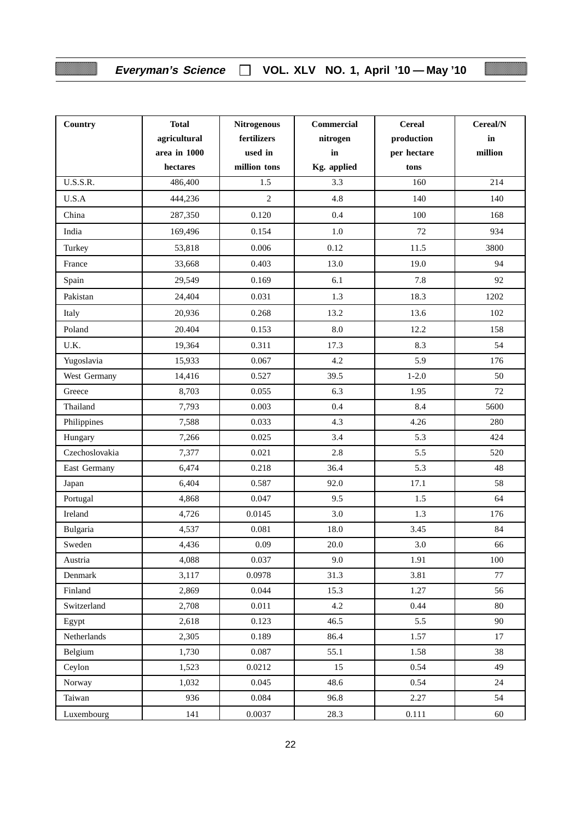## **Everyman's Science VOL. XLV NO. 1, April '10 — May '10**

l

| Country         | <b>Total</b><br>agricultural<br>area in 1000<br>hectares | <b>Nitrogenous</b><br>fertilizers<br>used in<br>million tons | Commercial<br>nitrogen<br>in<br>Kg. applied | <b>Cereal</b><br>production<br>per hectare<br>tons | Cereal/N<br>in<br>million |
|-----------------|----------------------------------------------------------|--------------------------------------------------------------|---------------------------------------------|----------------------------------------------------|---------------------------|
| <b>U.S.S.R.</b> | 486,400                                                  | 1.5                                                          | 3.3                                         | 160                                                | 214                       |
| U.S.A           | 444,236                                                  | $\overline{2}$                                               | 4.8                                         | 140                                                | 140                       |
| China           | 287,350                                                  | 0.120                                                        | 0.4                                         | 100                                                | 168                       |
| India           | 169,496                                                  | 0.154                                                        | 1.0                                         | 72                                                 | 934                       |
| Turkey          | 53,818                                                   | 0.006                                                        | 0.12                                        | 11.5                                               | 3800                      |
| France          | 33,668                                                   | 0.403                                                        | 13.0                                        | 19.0                                               | 94                        |
| Spain           | 29,549                                                   | 0.169                                                        | 6.1                                         | 7.8                                                | 92                        |
| Pakistan        | 24,404                                                   | 0.031                                                        | 1.3                                         | 18.3                                               | 1202                      |
| Italy           | 20,936                                                   | 0.268                                                        | 13.2                                        | 13.6                                               | 102                       |
| Poland          | 20.404                                                   | 0.153                                                        | 8.0                                         | 12.2                                               | 158                       |
| U.K.            | 19,364                                                   | 0.311                                                        | 17.3                                        | 8.3                                                | 54                        |
| Yugoslavia      | 15,933                                                   | 0.067                                                        | 4.2                                         | 5.9                                                | 176                       |
| West Germany    | 14,416                                                   | 0.527                                                        | 39.5                                        | $1 - 2.0$                                          | 50                        |
| Greece          | 8,703                                                    | 0.055                                                        | 6.3                                         | 1.95                                               | 72                        |
| Thailand        | 7,793                                                    | 0.003                                                        | 0.4                                         | 8.4                                                | 5600                      |
| Philippines     | 7,588                                                    | 0.033                                                        | 4.3                                         | 4.26                                               | 280                       |
| Hungary         | 7,266                                                    | 0.025                                                        | 3.4                                         | 5.3                                                | 424                       |
| Czechoslovakia  | 7,377                                                    | 0.021                                                        | 2.8                                         | 5.5                                                | 520                       |
| East Germany    | 6,474                                                    | 0.218                                                        | 36.4                                        | 5.3                                                | 48                        |
| Japan           | 6,404                                                    | 0.587                                                        | 92.0                                        | 17.1                                               | 58                        |
| Portugal        | 4,868                                                    | 0.047                                                        | 9.5                                         | 1.5                                                | 64                        |
| Ireland         | 4,726                                                    | 0.0145                                                       | 3.0                                         | 1.3                                                | 176                       |
| Bulgaria        | 4,537                                                    | 0.081                                                        | 18.0                                        | 3.45                                               | 84                        |
| Sweden          | 4,436                                                    | 0.09                                                         | 20.0                                        | 3.0                                                | 66                        |
| Austria         | 4,088                                                    | 0.037                                                        | 9.0                                         | 1.91                                               | 100                       |
| Denmark         | 3,117                                                    | 0.0978                                                       | 31.3                                        | 3.81                                               | 77                        |
| Finland         | 2,869                                                    | 0.044                                                        | 15.3                                        | 1.27                                               | 56                        |
| Switzerland     | 2,708                                                    | 0.011                                                        | 4.2                                         | 0.44                                               | 80                        |
| Egypt           | 2,618                                                    | 0.123                                                        | 46.5                                        | 5.5                                                | 90                        |
| Netherlands     | 2,305                                                    | 0.189                                                        | 86.4                                        | 1.57                                               | 17                        |
| Belgium         | 1,730                                                    | 0.087                                                        | 55.1                                        | 1.58                                               | 38                        |
| Ceylon          | 1,523                                                    | 0.0212                                                       | 15                                          | 0.54                                               | 49                        |
| Norway          | 1,032                                                    | 0.045                                                        | 48.6                                        | 0.54                                               | 24                        |
| Taiwan          | 936                                                      | 0.084                                                        | 96.8                                        | 2.27                                               | 54                        |
| Luxembourg      | 141                                                      | 0.0037                                                       | 28.3                                        | 0.111                                              | 60                        |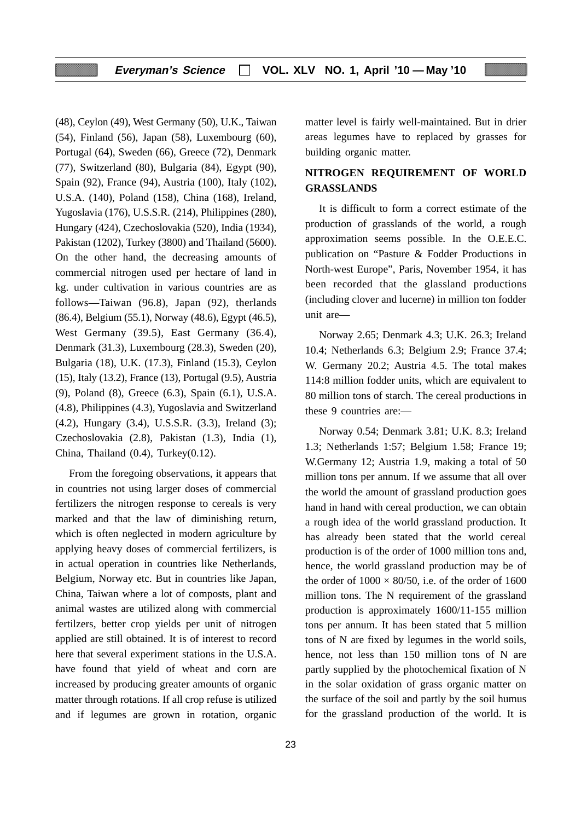(48), Ceylon (49), West Germany (50), U.K., Taiwan (54), Finland (56), Japan (58), Luxembourg (60), Portugal (64), Sweden (66), Greece (72), Denmark (77), Switzerland (80), Bulgaria (84), Egypt (90), Spain (92), France (94), Austria (100), Italy (102), U.S.A. (140), Poland (158), China (168), Ireland, Yugoslavia (176), U.S.S.R. (214), Philippines (280), Hungary (424), Czechoslovakia (520), India (1934), Pakistan (1202), Turkey (3800) and Thailand (5600). On the other hand, the decreasing amounts of commercial nitrogen used per hectare of land in kg. under cultivation in various countries are as follows—Taiwan (96.8), Japan (92), therlands (86.4), Belgium (55.1), Norway (48.6), Egypt (46.5), West Germany (39.5), East Germany (36.4), Denmark (31.3), Luxembourg (28.3), Sweden (20), Bulgaria (18), U.K. (17.3), Finland (15.3), Ceylon (15), Italy (13.2), France (13), Portugal (9.5), Austria (9), Poland (8), Greece (6.3), Spain (6.1), U.S.A. (4.8), Philippines (4.3), Yugoslavia and Switzerland (4.2), Hungary (3.4), U.S.S.R. (3.3), Ireland (3); Czechoslovakia (2.8), Pakistan (1.3), India (1), China, Thailand (0.4), Turkey(0.12).

From the foregoing observations, it appears that in countries not using larger doses of commercial fertilizers the nitrogen response to cereals is very marked and that the law of diminishing return, which is often neglected in modern agriculture by applying heavy doses of commercial fertilizers, is in actual operation in countries like Netherlands, Belgium, Norway etc. But in countries like Japan, China, Taiwan where a lot of composts, plant and animal wastes are utilized along with commercial fertilzers, better crop yields per unit of nitrogen applied are still obtained. It is of interest to record here that several experiment stations in the U.S.A. have found that yield of wheat and corn are increased by producing greater amounts of organic matter through rotations. If all crop refuse is utilized and if legumes are grown in rotation, organic matter level is fairly well-maintained. But in drier areas legumes have to replaced by grasses for building organic matter.

## **NITROGEN REQUIREMENT OF WORLD GRASSLANDS**

It is difficult to form a correct estimate of the production of grasslands of the world, a rough approximation seems possible. In the O.E.E.C. publication on "Pasture & Fodder Productions in North-west Europe", Paris, November 1954, it has been recorded that the glassland productions (including clover and lucerne) in million ton fodder unit are—

Norway 2.65; Denmark 4.3; U.K. 26.3; Ireland 10.4; Netherlands 6.3; Belgium 2.9; France 37.4; W. Germany 20.2; Austria 4.5. The total makes 114:8 million fodder units, which are equivalent to 80 million tons of starch. The cereal productions in these 9 countries are:—

Norway 0.54; Denmark 3.81; U.K. 8.3; Ireland 1.3; Netherlands 1:57; Belgium 1.58; France 19; W.Germany 12; Austria 1.9, making a total of 50 million tons per annum. If we assume that all over the world the amount of grassland production goes hand in hand with cereal production, we can obtain a rough idea of the world grassland production. It has already been stated that the world cereal production is of the order of 1000 million tons and, hence, the world grassland production may be of the order of  $1000 \times 80/50$ , i.e. of the order of 1600 million tons. The N requirement of the grassland production is approximately 1600/11-155 million tons per annum. It has been stated that 5 million tons of N are fixed by legumes in the world soils, hence, not less than 150 million tons of N are partly supplied by the photochemical fixation of N in the solar oxidation of grass organic matter on the surface of the soil and partly by the soil humus for the grassland production of the world. It is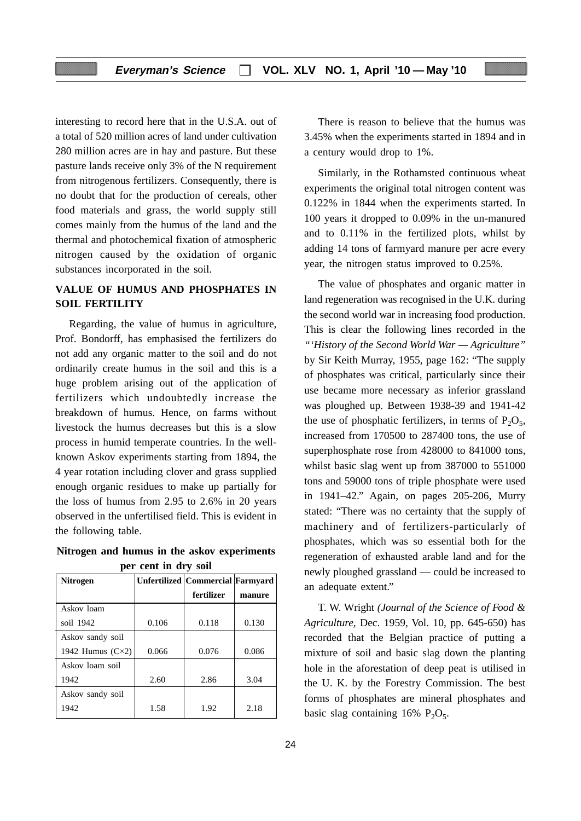interesting to record here that in the U.S.A. out of a total of 520 million acres of land under cultivation 280 million acres are in hay and pasture. But these pasture lands receive only 3% of the N requirement from nitrogenous fertilizers. Consequently, there is no doubt that for the production of cereals, other food materials and grass, the world supply still comes mainly from the humus of the land and the thermal and photochemical fixation of atmospheric nitrogen caused by the oxidation of organic substances incorporated in the soil.

## **VALUE OF HUMUS AND PHOSPHATES IN SOIL FERTILITY**

Regarding, the value of humus in agriculture, Prof. Bondorff, has emphasised the fertilizers do not add any organic matter to the soil and do not ordinarily create humus in the soil and this is a huge problem arising out of the application of fertilizers which undoubtedly increase the breakdown of humus. Hence, on farms without livestock the humus decreases but this is a slow process in humid temperate countries. In the wellknown Askov experiments starting from 1894, the 4 year rotation including clover and grass supplied enough organic residues to make up partially for the loss of humus from 2.95 to 2.6% in 20 years observed in the unfertilised field. This is evident in the following table.

**Nitrogen and humus in the askov experiments per cent in dry soil**

| <b>Nitrogen</b>           |       | Unfertilized   Commercial   Farmyard |        |
|---------------------------|-------|--------------------------------------|--------|
|                           |       | fertilizer                           | manure |
| Askov loam                |       |                                      |        |
| soil 1942                 | 0.106 | 0.118                                | 0.130  |
| Askov sandy soil          |       |                                      |        |
| 1942 Humus $(C \times 2)$ | 0.066 | 0.076                                | 0.086  |
| Askov loam soil           |       |                                      |        |
| 1942                      | 2.60  | 2.86                                 | 3.04   |
| Askov sandy soil          |       |                                      |        |
| 1942                      | 1.58  | 1.92                                 | 2.18   |

There is reason to believe that the humus was 3.45% when the experiments started in 1894 and in a century would drop to 1%.

Similarly, in the Rothamsted continuous wheat experiments the original total nitrogen content was 0.122% in 1844 when the experiments started. In 100 years it dropped to 0.09% in the un-manured and to 0.11% in the fertilized plots, whilst by adding 14 tons of farmyard manure per acre every year, the nitrogen status improved to 0.25%.

The value of phosphates and organic matter in land regeneration was recognised in the U.K. during the second world war in increasing food production. This is clear the following lines recorded in the *"'History of the Second World War — Agriculture"* by Sir Keith Murray, 1955, page 162: "The supply of phosphates was critical, particularly since their use became more necessary as inferior grassland was ploughed up. Between 1938-39 and 1941-42 the use of phosphatic fertilizers, in terms of  $P_2O_5$ , increased from 170500 to 287400 tons, the use of superphosphate rose from 428000 to 841000 tons, whilst basic slag went up from 387000 to 551000 tons and 59000 tons of triple phosphate were used in 1941–42." Again, on pages 205-206, Murry stated: "There was no certainty that the supply of machinery and of fertilizers-particularly of phosphates, which was so essential both for the regeneration of exhausted arable land and for the newly ploughed grassland — could be increased to an adequate extent."

T. W. Wright *(Journal of the Science of Food & Agriculture,* Dec. 1959, Vol. 10, pp. 645-650) has recorded that the Belgian practice of putting a mixture of soil and basic slag down the planting hole in the aforestation of deep peat is utilised in the U. K. by the Forestry Commission. The best forms of phosphates are mineral phosphates and basic slag containing  $16\%$  P<sub>2</sub>O<sub>5</sub>.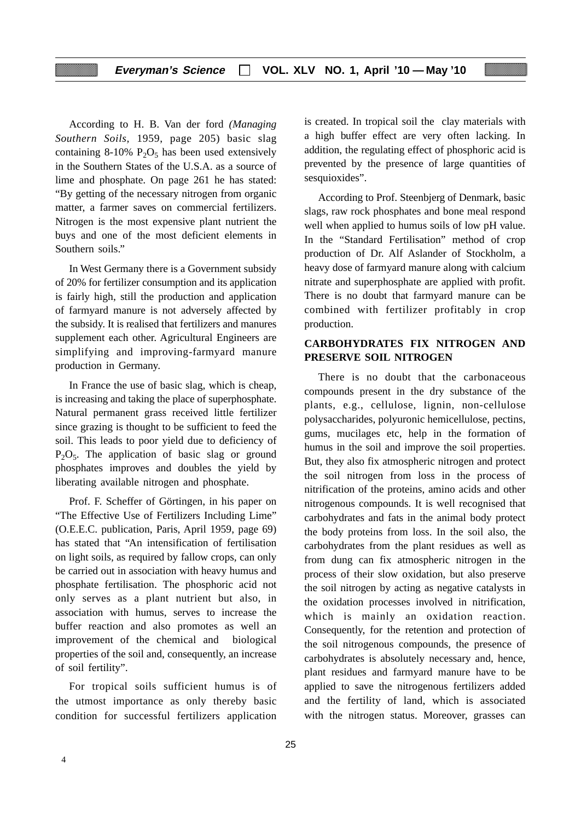#### **Everyman's Science VOL. XLV NO. 1, April '10 — May '10**

According to H. B. Van der ford *(Managing Southern Soils,* 1959, page 205) basic slag containing 8-10%  $P_2O_5$  has been used extensively in the Southern States of the U.S.A. as a source of lime and phosphate. On page 261 he has stated: "By getting of the necessary nitrogen from organic matter, a farmer saves on commercial fertilizers. Nitrogen is the most expensive plant nutrient the buys and one of the most deficient elements in Southern soils."

In West Germany there is a Government subsidy of 20% for fertilizer consumption and its application is fairly high, still the production and application of farmyard manure is not adversely affected by the subsidy. It is realised that fertilizers and manures supplement each other. Agricultural Engineers are simplifying and improving-farmyard manure production in Germany.

In France the use of basic slag, which is cheap, is increasing and taking the place of superphosphate. Natural permanent grass received little fertilizer since grazing is thought to be sufficient to feed the soil. This leads to poor yield due to deficiency of  $P_2O_5$ . The application of basic slag or ground phosphates improves and doubles the yield by liberating available nitrogen and phosphate.

Prof. F. Scheffer of Görtingen, in his paper on "The Effective Use of Fertilizers Including Lime" (O.E.E.C. publication, Paris, April 1959, page 69) has stated that "An intensification of fertilisation on light soils, as required by fallow crops, can only be carried out in association with heavy humus and phosphate fertilisation. The phosphoric acid not only serves as a plant nutrient but also, in association with humus, serves to increase the buffer reaction and also promotes as well an improvement of the chemical and biological properties of the soil and, consequently, an increase of soil fertility".

For tropical soils sufficient humus is of the utmost importance as only thereby basic condition for successful fertilizers application

is created. In tropical soil the clay materials with a high buffer effect are very often lacking. In addition, the regulating effect of phosphoric acid is prevented by the presence of large quantities of sesquioxides".

According to Prof. Steenbjerg of Denmark, basic slags, raw rock phosphates and bone meal respond well when applied to humus soils of low pH value. In the "Standard Fertilisation" method of crop production of Dr. Alf Aslander of Stockholm, a heavy dose of farmyard manure along with calcium nitrate and superphosphate are applied with profit. There is no doubt that farmyard manure can be combined with fertilizer profitably in crop production.

## **CARBOHYDRATES FIX NITROGEN AND PRESERVE SOIL NITROGEN**

There is no doubt that the carbonaceous compounds present in the dry substance of the plants, e.g., cellulose, lignin, non-cellulose polysaccharides, polyuronic hemicellulose, pectins, gums, mucilages etc, help in the formation of humus in the soil and improve the soil properties. But, they also fix atmospheric nitrogen and protect the soil nitrogen from loss in the process of nitrification of the proteins, amino acids and other nitrogenous compounds. It is well recognised that carbohydrates and fats in the animal body protect the body proteins from loss. In the soil also, the carbohydrates from the plant residues as well as from dung can fix atmospheric nitrogen in the process of their slow oxidation, but also preserve the soil nitrogen by acting as negative catalysts in the oxidation processes involved in nitrification, which is mainly an oxidation reaction. Consequently, for the retention and protection of the soil nitrogenous compounds, the presence of carbohydrates is absolutely necessary and, hence, plant residues and farmyard manure have to be applied to save the nitrogenous fertilizers added and the fertility of land, which is associated with the nitrogen status. Moreover, grasses can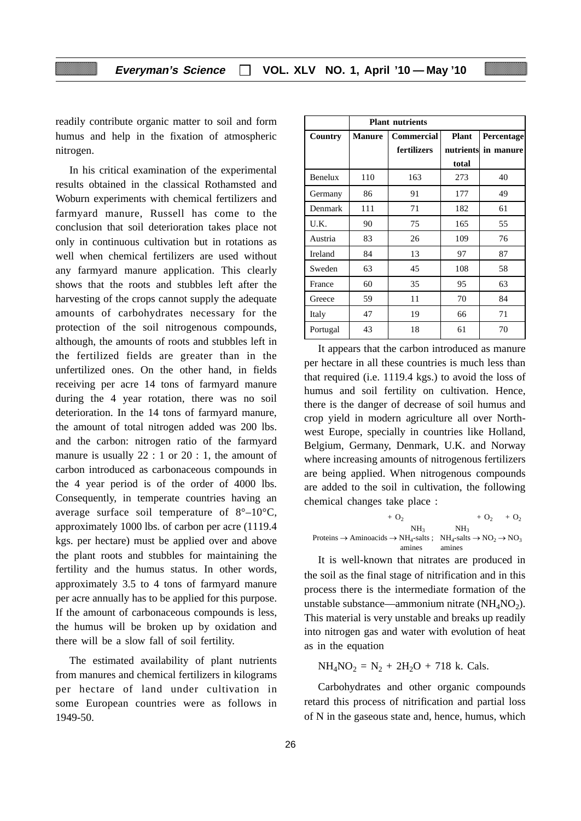readily contribute organic matter to soil and form humus and help in the fixation of atmospheric nitrogen.

In his critical examination of the experimental results obtained in the classical Rothamsted and Woburn experiments with chemical fertilizers and farmyard manure, Russell has come to the conclusion that soil deterioration takes place not only in continuous cultivation but in rotations as well when chemical fertilizers are used without any farmyard manure application. This clearly shows that the roots and stubbles left after the harvesting of the crops cannot supply the adequate amounts of carbohydrates necessary for the protection of the soil nitrogenous compounds, although, the amounts of roots and stubbles left in the fertilized fields are greater than in the unfertilized ones. On the other hand, in fields receiving per acre 14 tons of farmyard manure during the 4 year rotation, there was no soil deterioration. In the 14 tons of farmyard manure, the amount of total nitrogen added was 200 lbs. and the carbon: nitrogen ratio of the farmyard manure is usually  $22:1$  or  $20:1$ , the amount of carbon introduced as carbonaceous compounds in the 4 year period is of the order of 4000 lbs. Consequently, in temperate countries having an average surface soil temperature of 8°–10°C, approximately 1000 lbs. of carbon per acre (1119.4 kgs. per hectare) must be applied over and above the plant roots and stubbles for maintaining the fertility and the humus status. In other words, approximately 3.5 to 4 tons of farmyard manure per acre annually has to be applied for this purpose. If the amount of carbonaceous compounds is less, the humus will be broken up by oxidation and there will be a slow fall of soil fertility.

The estimated availability of plant nutrients from manures and chemical fertilizers in kilograms per hectare of land under cultivation in some European countries were as follows in 1949-50.

|                | <b>Plant nutrients</b> |                   |              |                     |  |
|----------------|------------------------|-------------------|--------------|---------------------|--|
| Country        | <b>Manure</b>          | <b>Commercial</b> | <b>Plant</b> | <b>Percentage</b>   |  |
|                |                        | fertilizers       |              | nutrients in manure |  |
|                |                        |                   | total        |                     |  |
| <b>Benelux</b> | 110                    | 163               | 273          | 40                  |  |
| Germany        | 86                     | 91                | 177          | 49                  |  |
| Denmark        | 111                    | 71                | 182          | 61                  |  |
| U.K.           | 90                     | 75                | 165          | 55                  |  |
| Austria        | 83                     | 26                | 109          | 76                  |  |
| Ireland        | 84                     | 13                | 97           | 87                  |  |
| Sweden         | 63                     | 45                | 108          | 58                  |  |
| France         | 60                     | 35                | 95           | 63                  |  |
| Greece         | 59                     | 11                | 70           | 84                  |  |
| Italy          | 47                     | 19                | 66           | 71                  |  |
| Portugal       | 43                     | 18                | 61           | 70                  |  |

It appears that the carbon introduced as manure per hectare in all these countries is much less than that required (i.e. 1119.4 kgs.) to avoid the loss of humus and soil fertility on cultivation. Hence, there is the danger of decrease of soil humus and crop yield in modern agriculture all over Northwest Europe, specially in countries like Holland, Belgium, Germany, Denmark, U.K. and Norway where increasing amounts of nitrogenous fertilizers are being applied. When nitrogenous compounds are added to the soil in cultivation, the following chemical changes take place :

$$
+ O_2 + O_2 + O_2 + O_2
$$
  
\n
$$
NH_3 \t NH_3
$$
  
\n
$$
PH_4\text{-}sals: NH_4\text{-}sals \to NO_2 \to NO_3
$$
  
\n
$$
\text{amines} \t\t\t a
$$

It is well-known that nitrates are produced in the soil as the final stage of nitrification and in this process there is the intermediate formation of the unstable substance—ammonium nitrate  $(NH<sub>4</sub>NO<sub>2</sub>)$ . This material is very unstable and breaks up readily into nitrogen gas and water with evolution of heat as in the equation

 $NH_4NO_2 = N_2 + 2H_2O + 718$  k. Cals.

Carbohydrates and other organic compounds retard this process of nitrification and partial loss of N in the gaseous state and, hence, humus, which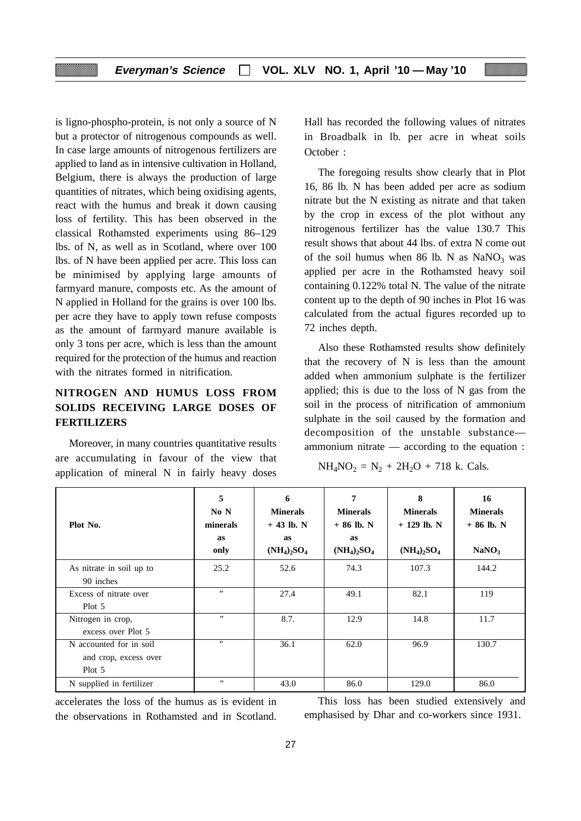is ligno-phospho-protein, is not only a source of N but a protector of nitrogenous compounds as well. In case large amounts of nitrogenous fertilizers are applied to land as in intensive cultivation in Holland, Belgium, there is always the production of large quantities of nitrates, which being oxidising agents, react with the humus and break it down causing loss of fertility*.* This has been observed in the classical Rothamsted experiments using 86–129 lbs. of N, as well as in Scotland, where over 100 lbs. of N have been applied per acre. This loss can be minimised by applying large amounts of farmyard manure, composts etc. As the amount of N applied in Holland for the grains is over 100 lbs. per acre they have to apply town refuse composts as the amount of farmyard manure available is only 3 tons per acre, which is less than the amount required for the protection of the humus and reaction with the nitrates formed in nitrification.

## **NITROGEN AND HUMUS LOSS FROM SOLIDS RECEIVING LARGE DOSES OF FERTILIZERS**

Moreover, in many countries quantitative results are accumulating in favour of the view that application of mineral N in fairly heavy doses

Hall has recorded the following values of nitrates in Broadbalk in lb. per acre in wheat soils October :

The foregoing results show clearly that in Plot 16, 86 lb. N has been added per acre as sodium nitrate but the N existing as nitrate and that taken by the crop in excess of the plot without any nitrogenous fertilizer has the value 130.7 This result shows that about 44 lbs. of extra N come out of the soil humus when 86 lb. N as  $NaNO<sub>3</sub>$  was applied per acre in the Rothamsted heavy soil containing 0.122% total N. The value of the nitrate content up to the depth of 90 inches in Plot 16 was calculated from the actual figures recorded up to 72 inches depth.

Also these Rothamsted results show definitely that the recovery of N is less than the amount added when ammonium sulphate is the fertilizer applied; this is due to the loss of N gas from the soil in the process of nitrification of ammonium sulphate in the soil caused by the formation and decomposition of the unstable substance ammonium nitrate — according to the equation :

$$
NH_4NO_2 = N_2 + 2H_2O + 718 \text{ k. Cals.}
$$

| Plot No.                                                      | 5<br>No N<br>minerals<br><b>as</b><br>only | 6<br><b>Minerals</b><br>$+43$ lb. N<br>as<br>$(NH_4)_2SO_4$ | 7<br><b>Minerals</b><br>$+86$ lb. N<br>as<br>$(NH_4)_2SO_4$ | 8<br><b>Minerals</b><br>$+ 129$ lb. N<br>$(NH_4)_2SO_4$ | 16<br><b>Minerals</b><br>$+86$ lb. N<br>NaNO <sub>3</sub> |
|---------------------------------------------------------------|--------------------------------------------|-------------------------------------------------------------|-------------------------------------------------------------|---------------------------------------------------------|-----------------------------------------------------------|
| As nitrate in soil up to<br>90 inches                         | 25.2                                       | 52.6                                                        | 74.3                                                        | 107.3                                                   | 144.2                                                     |
| Excess of nitrate over<br>$Plot\ 5$                           | ,,                                         | 27.4                                                        | 49.1                                                        | 82.1                                                    | 119                                                       |
| Nitrogen in crop,<br>excess over Plot 5                       | ,,                                         | 8.7.                                                        | 12.9                                                        | 14.8                                                    | 11.7                                                      |
| N accounted for in soil<br>and crop, excess over<br>$Plot\ 5$ | ,,                                         | 36.1                                                        | 62.0                                                        | 96.9                                                    | 130.7                                                     |
| N supplied in fertilizer                                      | ,,                                         | 43.0                                                        | 86.0                                                        | 129.0                                                   | 86.0                                                      |

accelerates the loss of the humus as is evident in the observations in Rothamsted and in Scotland.

This loss has been studied extensively and emphasised by Dhar and co-workers since 1931.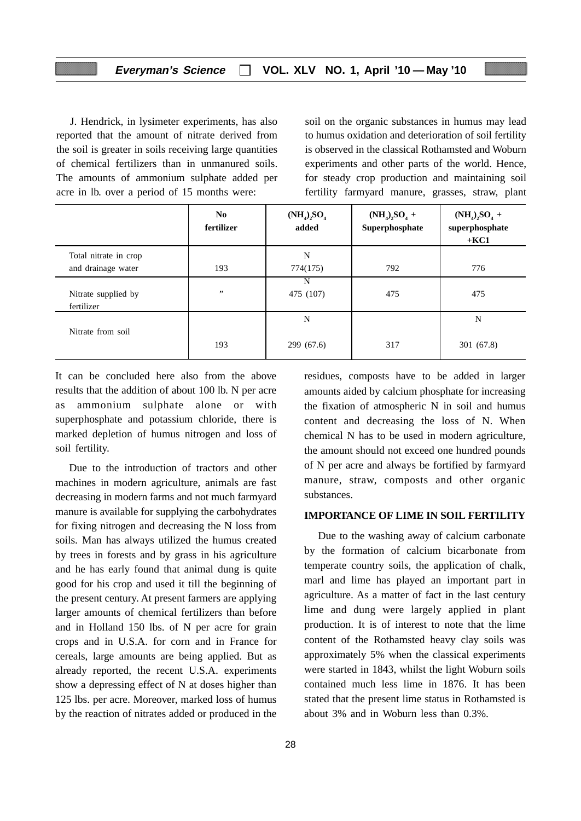J. Hendrick, in lysimeter experiments, has also reported that the amount of nitrate derived from the soil is greater in soils receiving large quantities of chemical fertilizers than in unmanured soils. The amounts of ammonium sulphate added per acre in lb. over a period of 15 months were:

soil on the organic substances in humus may lead to humus oxidation and deterioration of soil fertility is observed in the classical Rothamsted and Woburn experiments and other parts of the world. Hence, for steady crop production and maintaining soil fertility farmyard manure, grasses, straw, plant

|                                   | N <sub>0</sub><br>fertilizer | $(NH_4)_2SO_4$<br>added | $(NH_4)_2SO_4 +$<br>Superphosphate | $(NH_4)_2SO_4 +$<br>superphosphate<br>$+KC1$ |
|-----------------------------------|------------------------------|-------------------------|------------------------------------|----------------------------------------------|
| Total nitrate in crop             |                              | N                       |                                    |                                              |
| and drainage water                | 193                          | 774(175)                | 792                                | 776                                          |
| Nitrate supplied by<br>fertilizer | , ,                          | N<br>475 (107)          | 475                                | 475                                          |
|                                   |                              | N                       |                                    | N                                            |
| Nitrate from soil                 | 193                          | 299 (67.6)              | 317                                | 301 (67.8)                                   |

It can be concluded here also from the above results that the addition of about 100 lb. N per acre ammonium sulphate alone or with superphosphate and potassium chloride, there is marked depletion of humus nitrogen and loss of soil fertility.

Due to the introduction of tractors and other machines in modern agriculture, animals are fast decreasing in modern farms and not much farmyard manure is available for supplying the carbohydrates for fixing nitrogen and decreasing the N loss from soils. Man has always utilized the humus created by trees in forests and by grass in his agriculture and he has early found that animal dung is quite good for his crop and used it till the beginning of the present century. At present farmers are applying larger amounts of chemical fertilizers than before and in Holland 150 lbs. of N per acre for grain crops and in U.S.A. for corn and in France for cereals, large amounts are being applied. But as already reported, the recent U.S.A. experiments show a depressing effect of N at doses higher than 125 lbs. per acre. Moreover, marked loss of humus by the reaction of nitrates added or produced in the residues, composts have to be added in larger amounts aided by calcium phosphate for increasing the fixation of atmospheric N in soil and humus content and decreasing the loss of N. When chemical N has to be used in modern agriculture, the amount should not exceed one hundred pounds of N per acre and always be fortified by farmyard manure, straw, composts and other organic substances.

#### **IMPORTANCE OF LIME IN SOIL FERTILITY**

Due to the washing away of calcium carbonate by the formation of calcium bicarbonate from temperate country soils, the application of chalk, marl and lime has played an important part in agriculture. As a matter of fact in the last century lime and dung were largely applied in plant production. It is of interest to note that the lime content of the Rothamsted heavy clay soils was approximately 5% when the classical experiments were started in 1843, whilst the light Woburn soils contained much less lime in 1876. It has been stated that the present lime status in Rothamsted is about 3% and in Woburn less than 0.3%.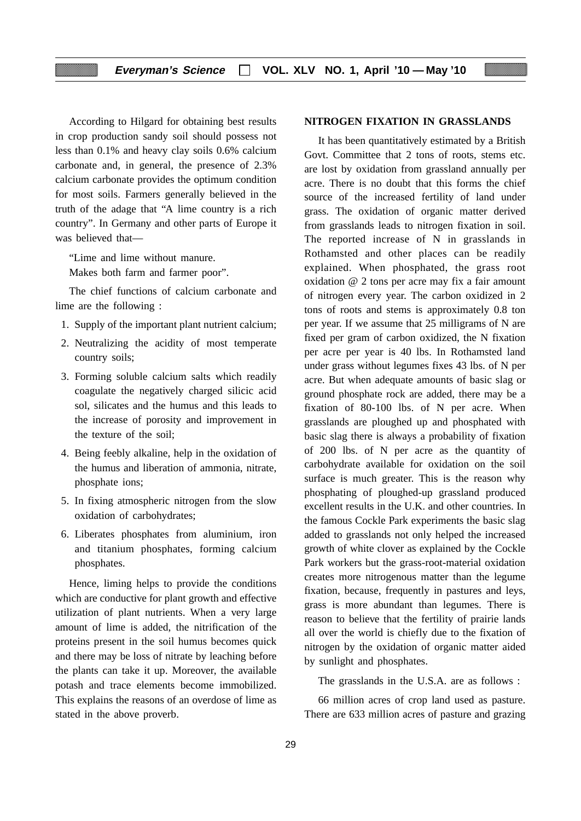According to Hilgard for obtaining best results in crop production sandy soil should possess not less than 0.1% and heavy clay soils 0.6% calcium carbonate and, in general, the presence of 2.3% calcium carbonate provides the optimum condition for most soils. Farmers generally believed in the truth of the adage that "A lime country is a rich country". In Germany and other parts of Europe it was believed that—

"Lime and lime without manure.

Makes both farm and farmer poor".

The chief functions of calcium carbonate and lime are the following :

- 1. Supply of the important plant nutrient calcium;
- 2. Neutralizing the acidity of most temperate country soils;
- 3. Forming soluble calcium salts which readily coagulate the negatively charged silicic acid sol, silicates and the humus and this leads to the increase of porosity and improvement in the texture of the soil;
- 4. Being feebly alkaline, help in the oxidation of the humus and liberation of ammonia, nitrate, phosphate ions;
- 5. In fixing atmospheric nitrogen from the slow oxidation of carbohydrates;
- 6. Liberates phosphates from aluminium, iron and titanium phosphates, forming calcium phosphates.

Hence, liming helps to provide the conditions which are conductive for plant growth and effective utilization of plant nutrients. When a very large amount of lime is added, the nitrification of the proteins present in the soil humus becomes quick and there may be loss of nitrate by leaching before the plants can take it up. Moreover, the available potash and trace elements become immobilized. This explains the reasons of an overdose of lime as stated in the above proverb.

#### **NITROGEN FIXATION IN GRASSLANDS**

It has been quantitatively estimated by a British Govt. Committee that 2 tons of roots, stems etc. are lost by oxidation from grassland annually per acre. There is no doubt that this forms the chief source of the increased fertility of land under grass. The oxidation of organic matter derived from grasslands leads to nitrogen fixation in soil. The reported increase of N in grasslands in Rothamsted and other places can be readily explained. When phosphated, the grass root oxidation @ 2 tons per acre may fix a fair amount of nitrogen every year. The carbon oxidized in 2 tons of roots and stems is approximately 0.8 ton per year. If we assume that 25 milligrams of N are fixed per gram of carbon oxidized, the N fixation per acre per year is 40 lbs. In Rothamsted land under grass without legumes fixes 43 lbs. of N per acre. But when adequate amounts of basic slag or ground phosphate rock are added, there may be a fixation of 80-100 lbs. of N per acre. When grasslands are ploughed up and phosphated with basic slag there is always a probability of fixation of 200 lbs. of N per acre as the quantity of carbohydrate available for oxidation on the soil surface is much greater. This is the reason why phosphating of ploughed-up grassland produced excellent results in the U.K. and other countries. In the famous Cockle Park experiments the basic slag added to grasslands not only helped the increased growth of white clover as explained by the Cockle Park workers but the grass-root-material oxidation creates more nitrogenous matter than the legume fixation, because, frequently in pastures and leys, grass is more abundant than legumes. There is reason to believe that the fertility of prairie lands all over the world is chiefly due to the fixation of nitrogen by the oxidation of organic matter aided by sunlight and phosphates.

The grasslands in the U.S.A. are as follows :

66 million acres of crop land used as pasture. There are 633 million acres of pasture and grazing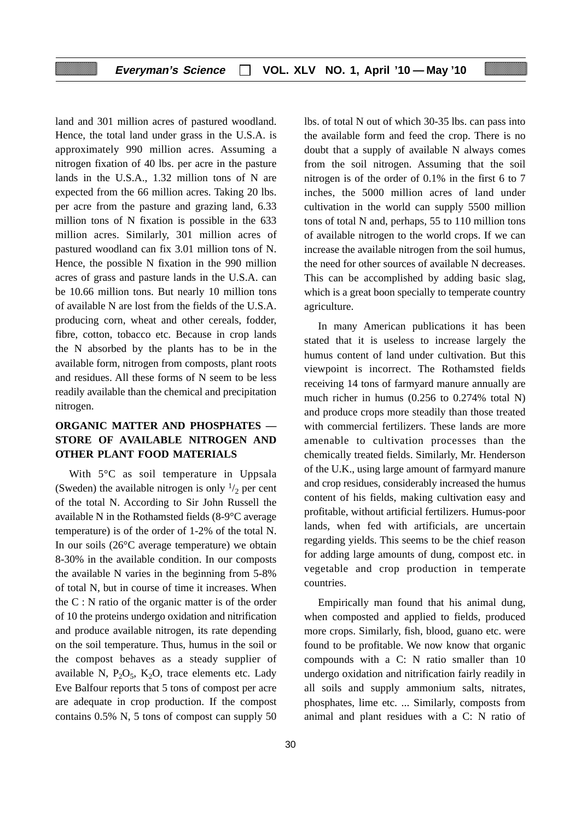land and 301 million acres of pastured woodland. Hence, the total land under grass in the U.S.A. is approximately 990 million acres. Assuming a nitrogen fixation of 40 lbs. per acre in the pasture lands in the U.S.A., 1.32 million tons of N are expected from the 66 million acres. Taking 20 lbs. per acre from the pasture and grazing land, 6.33 million tons of N fixation is possible in the 633 million acres. Similarly, 301 million acres of pastured woodland can fix 3.01 million tons of N. Hence, the possible N fixation in the 990 million acres of grass and pasture lands in the U.S.A. can be 10.66 million tons. But nearly 10 million tons of available N are lost from the fields of the U.S.A. producing corn, wheat and other cereals, fodder, fibre, cotton, tobacco etc. Because in crop lands the N absorbed by the plants has to be in the available form, nitrogen from composts, plant roots and residues. All these forms of N seem to be less readily available than the chemical and precipitation nitrogen.

## **ORGANIC MATTER AND PHOSPHATES — STORE OF AVAILABLE NITROGEN AND OTHER PLANT FOOD MATERIALS**

With  $5^{\circ}$ C as soil temperature in Uppsala (Sweden) the available nitrogen is only  $\frac{1}{2}$  per cent of the total N. According to Sir John Russell the available N in the Rothamsted fields (8-9°C average temperature) is of the order of 1-2% of the total N. In our soils (26°C average temperature) we obtain 8-30% in the available condition. In our composts the available N varies in the beginning from 5-8% of total N, but in course of time it increases. When the C : N ratio of the organic matter is of the order of 10 the proteins undergo oxidation and nitrification and produce available nitrogen, its rate depending on the soil temperature. Thus, humus in the soil or the compost behaves as a steady supplier of available N,  $P_2O_5$ ,  $K_2O$ , trace elements etc. Lady Eve Balfour reports that 5 tons of compost per acre are adequate in crop production. If the compost contains 0.5% N, 5 tons of compost can supply 50

lbs. of total N out of which 30-35 lbs. can pass into the available form and feed the crop. There is no doubt that a supply of available N always comes from the soil nitrogen. Assuming that the soil nitrogen is of the order of 0.1% in the first 6 to 7 inches, the 5000 million acres of land under cultivation in the world can supply 5500 million tons of total N and, perhaps, 55 to 110 million tons of available nitrogen to the world crops. If we can increase the available nitrogen from the soil humus, the need for other sources of available N decreases. This can be accomplished by adding basic slag, which is a great boon specially to temperate country agriculture.

In many American publications it has been stated that it is useless to increase largely the humus content of land under cultivation. But this viewpoint is incorrect. The Rothamsted fields receiving 14 tons of farmyard manure annually are much richer in humus (0.256 to 0.274% total N) and produce crops more steadily than those treated with commercial fertilizers. These lands are more amenable to cultivation processes than the chemically treated fields. Similarly, Mr. Henderson of the U.K., using large amount of farmyard manure and crop residues, considerably increased the humus content of his fields, making cultivation easy and profitable, without artificial fertilizers. Humus-poor lands, when fed with artificials, are uncertain regarding yields. This seems to be the chief reason for adding large amounts of dung, compost etc. in vegetable and crop production in temperate countries.

Empirically man found that his animal dung, when composted and applied to fields, produced more crops. Similarly, fish, blood, guano etc. were found to be profitable. We now know that organic compounds with a C: N ratio smaller than 10 undergo oxidation and nitrification fairly readily in all soils and supply ammonium salts, nitrates, phosphates, lime etc. ... Similarly, composts from animal and plant residues with a C: N ratio of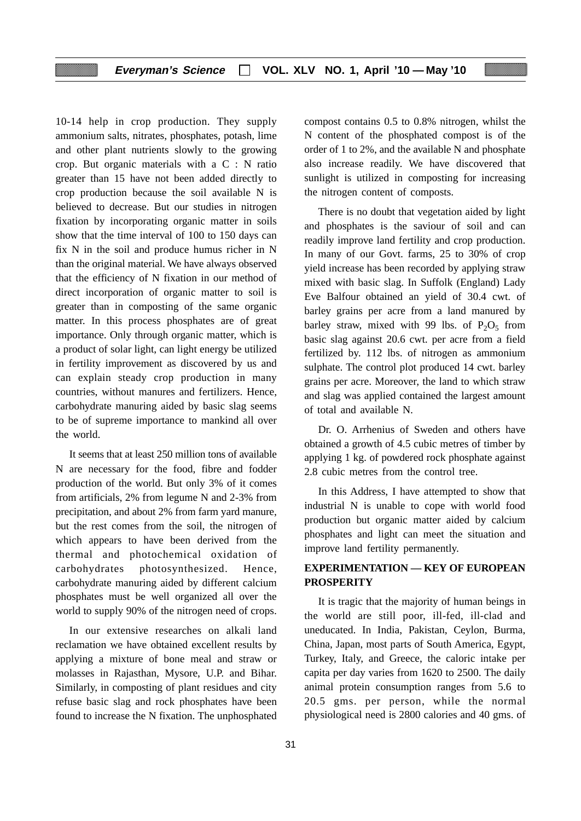10-14 help in crop production. They supply ammonium salts, nitrates, phosphates, potash, lime and other plant nutrients slowly to the growing crop. But organic materials with a C : N ratio greater than 15 have not been added directly to crop production because the soil available N is believed to decrease. But our studies in nitrogen fixation by incorporating organic matter in soils show that the time interval of 100 to 150 days can fix N in the soil and produce humus richer in N than the original material. We have always observed that the efficiency of N fixation in our method of direct incorporation of organic matter to soil is greater than in composting of the same organic matter. In this process phosphates are of great importance. Only through organic matter, which is a product of solar light, can light energy be utilized in fertility improvement as discovered by us and can explain steady crop production in many countries, without manures and fertilizers. Hence, carbohydrate manuring aided by basic slag seems to be of supreme importance to mankind all over the world.

It seems that at least 250 million tons of available N are necessary for the food, fibre and fodder production of the world. But only 3% of it comes from artificials, 2% from legume N and 2-3% from precipitation, and about 2% from farm yard manure, but the rest comes from the soil, the nitrogen of which appears to have been derived from the thermal and photochemical oxidation of carbohydrates photosynthesized. Hence, carbohydrate manuring aided by different calcium phosphates must be well organized all over the world to supply 90% of the nitrogen need of crops.

In our extensive researches on alkali land reclamation we have obtained excellent results by applying a mixture of bone meal and straw or molasses in Rajasthan, Mysore, U.P. and Bihar. Similarly, in composting of plant residues and city refuse basic slag and rock phosphates have been found to increase the N fixation. The unphosphated

compost contains 0.5 to 0.8% nitrogen, whilst the N content of the phosphated compost is of the order of 1 to 2%, and the available N and phosphate also increase readily. We have discovered that sunlight is utilized in composting for increasing the nitrogen content of composts.

There is no doubt that vegetation aided by light and phosphates is the saviour of soil and can readily improve land fertility and crop production. In many of our Govt. farms, 25 to 30% of crop yield increase has been recorded by applying straw mixed with basic slag. In Suffolk (England) Lady Eve Balfour obtained an yield of 30.4 cwt. of barley grains per acre from a land manured by barley straw, mixed with 99 lbs. of  $P_2O_5$  from basic slag against 20.6 cwt. per acre from a field fertilized by. 112 lbs. of nitrogen as ammonium sulphate. The control plot produced 14 cwt. barley grains per acre. Moreover, the land to which straw and slag was applied contained the largest amount of total and available N.

Dr. O. Arrhenius of Sweden and others have obtained a growth of 4.5 cubic metres of timber by applying 1 kg. of powdered rock phosphate against 2.8 cubic metres from the control tree.

In this Address, I have attempted to show that industrial N is unable to cope with world food production but organic matter aided by calcium phosphates and light can meet the situation and improve land fertility permanently.

## **EXPERIMENTATION — KEY OF EUROPEAN PROSPERITY**

It is tragic that the majority of human beings in the world are still poor, ill-fed, ill-clad and uneducated. In India, Pakistan, Ceylon, Burma, China, Japan, most parts of South America, Egypt, Turkey, Italy, and Greece, the caloric intake per capita per day varies from 1620 to 2500. The daily animal protein consumption ranges from 5.6 to 20.5 gms. per person, while the normal physiological need is 2800 calories and 40 gms. of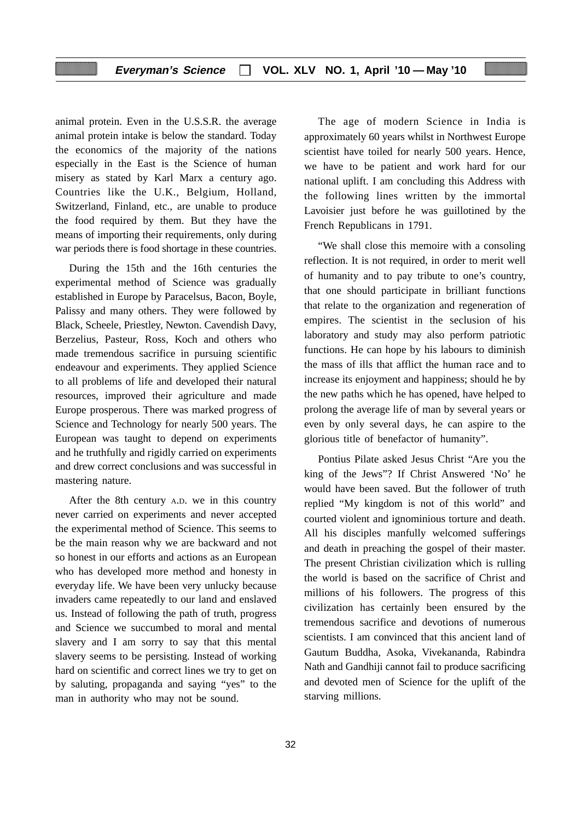## **Everyman's Science VOL. XLV NO. 1, April '10 — May '10**

animal protein. Even in the U.S.S.R. the average animal protein intake is below the standard. Today the economics of the majority of the nations especially in the East is the Science of human misery as stated by Karl Marx a century ago. Countries like the U.K., Belgium, Holland, Switzerland, Finland, etc., are unable to produce the food required by them. But they have the means of importing their requirements, only during war periods there is food shortage in these countries.

During the 15th and the 16th centuries the experimental method of Science was gradually established in Europe by Paracelsus, Bacon, Boyle, Palissy and many others. They were followed by Black, Scheele, Priestley, Newton. Cavendish Davy, Berzelius, Pasteur, Ross, Koch and others who made tremendous sacrifice in pursuing scientific endeavour and experiments. They applied Science to all problems of life and developed their natural resources, improved their agriculture and made Europe prosperous. There was marked progress of Science and Technology for nearly 500 years. The European was taught to depend on experiments and he truthfully and rigidly carried on experiments and drew correct conclusions and was successful in mastering nature.

After the 8th century A.D. we in this country never carried on experiments and never accepted the experimental method of Science. This seems to be the main reason why we are backward and not so honest in our efforts and actions as an European who has developed more method and honesty in everyday life. We have been very unlucky because invaders came repeatedly to our land and enslaved us. Instead of following the path of truth, progress and Science we succumbed to moral and mental slavery and I am sorry to say that this mental slavery seems to be persisting. Instead of working hard on scientific and correct lines we try to get on by saluting, propaganda and saying "yes" to the man in authority who may not be sound.

The age of modern Science in India is approximately 60 years whilst in Northwest Europe scientist have toiled for nearly 500 years. Hence, we have to be patient and work hard for our national uplift. I am concluding this Address with the following lines written by the immortal Lavoisier just before he was guillotined by the French Republicans in 1791.

"We shall close this memoire with a consoling reflection. It is not required, in order to merit well of humanity and to pay tribute to one's country, that one should participate in brilliant functions that relate to the organization and regeneration of empires. The scientist in the seclusion of his laboratory and study may also perform patriotic functions. He can hope by his labours to diminish the mass of ills that afflict the human race and to increase its enjoyment and happiness; should he by the new paths which he has opened, have helped to prolong the average life of man by several years or even by only several days, he can aspire to the glorious title of benefactor of humanity".

Pontius Pilate asked Jesus Christ "Are you the king of the Jews"? If Christ Answered 'No' he would have been saved. But the follower of truth replied "My kingdom is not of this world" and courted violent and ignominious torture and death. All his disciples manfully welcomed sufferings and death in preaching the gospel of their master. The present Christian civilization which is rulling the world is based on the sacrifice of Christ and millions of his followers. The progress of this civilization has certainly been ensured by the tremendous sacrifice and devotions of numerous scientists. I am convinced that this ancient land of Gautum Buddha, Asoka, Vivekananda, Rabindra Nath and Gandhiji cannot fail to produce sacrificing and devoted men of Science for the uplift of the starving millions.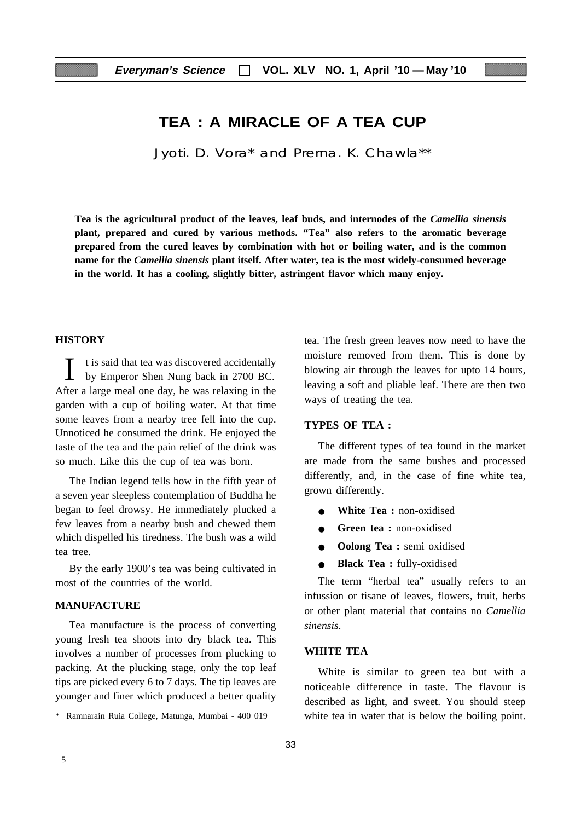## **TEA : A MIRACLE OF A TEA CUP**

Jyoti. D. Vora\* and Prerna. K. Chawla\*\*

**Tea is the agricultural product of the leaves, leaf buds, and internodes of the** *Camellia sinensis* **plant, prepared and cured by various methods. "Tea" also refers to the aromatic beverage prepared from the cured leaves by combination with hot or boiling water, and is the common name for the** *Camellia sinensis* **plant itself. After water, tea is the most widely-consumed beverage in the world. It has a cooling, slightly bitter, astringent flavor which many enjoy.**

#### **HISTORY**

I t is said that tea was discovered accidentally<br>by Emperor Shen Nung back in 2700 BC by Emperor Shen Nung back in 2700 BC. After a large meal one day, he was relaxing in the garden with a cup of boiling water. At that time some leaves from a nearby tree fell into the cup. Unnoticed he consumed the drink. He enjoyed the taste of the tea and the pain relief of the drink was so much. Like this the cup of tea was born.

The Indian legend tells how in the fifth year of a seven year sleepless contemplation of Buddha he began to feel drowsy. He immediately plucked a few leaves from a nearby bush and chewed them which dispelled his tiredness. The bush was a wild tea tree.

By the early 1900's tea was being cultivated in most of the countries of the world.

## **MANUFACTURE**

Tea manufacture is the process of converting young fresh tea shoots into dry black tea. This involves a number of processes from plucking to packing. At the plucking stage, only the top leaf tips are picked every 6 to 7 days. The tip leaves are younger and finer which produced a better quality tea. The fresh green leaves now need to have the moisture removed from them. This is done by blowing air through the leaves for upto 14 hours, leaving a soft and pliable leaf. There are then two ways of treating the tea.

#### **TYPES OF TEA :**

The different types of tea found in the market are made from the same bushes and processed differently, and, in the case of fine white tea, grown differently.

- **White Tea :** non-oxidised
- **Green tea :** non-oxidised
- **Oolong Tea :** semi oxidised
- **Black Tea :** fully-oxidised

The term "herbal tea" usually refers to an infussion or tisane of leaves, flowers, fruit, herbs or other plant material that contains no *Camellia sinensis*.

#### **WHITE TEA**

White is similar to green tea but with a noticeable difference in taste. The flavour is described as light, and sweet. You should steep \* Ramnarain Ruia College, Matunga, Mumbai - 400 019 white tea in water that is below the boiling point.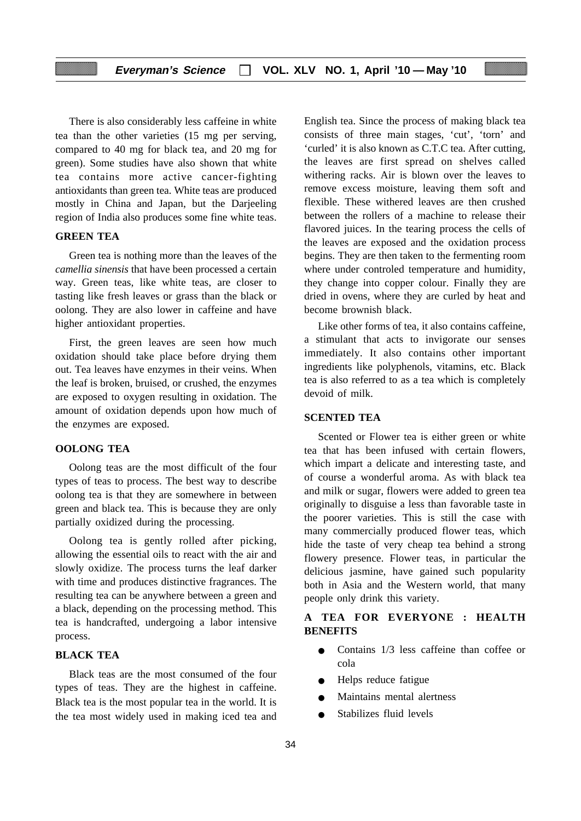There is also considerably less caffeine in white tea than the other varieties (15 mg per serving, compared to 40 mg for black tea, and 20 mg for green). Some studies have also shown that white tea contains more active cancer-fighting antioxidants than green tea. White teas are produced mostly in China and Japan, but the Darjeeling region of India also produces some fine white teas.

#### **GREEN TEA**

Green tea is nothing more than the leaves of the *camellia sinensis* that have been processed a certain way. Green teas, like white teas, are closer to tasting like fresh leaves or grass than the black or oolong. They are also lower in caffeine and have higher antioxidant properties.

First, the green leaves are seen how much oxidation should take place before drying them out. Tea leaves have enzymes in their veins. When the leaf is broken, bruised, or crushed, the enzymes are exposed to oxygen resulting in oxidation. The amount of oxidation depends upon how much of the enzymes are exposed.

#### **OOLONG TEA**

Oolong teas are the most difficult of the four types of teas to process. The best way to describe oolong tea is that they are somewhere in between green and black tea. This is because they are only partially oxidized during the processing.

Oolong tea is gently rolled after picking, allowing the essential oils to react with the air and slowly oxidize. The process turns the leaf darker with time and produces distinctive fragrances. The resulting tea can be anywhere between a green and a black, depending on the processing method. This tea is handcrafted, undergoing a labor intensive process.

#### **BLACK TEA**

Black teas are the most consumed of the four types of teas. They are the highest in caffeine. Black tea is the most popular tea in the world. It is the tea most widely used in making iced tea and

English tea. Since the process of making black tea consists of three main stages, 'cut', 'torn' and 'curled' it is also known as C.T.C tea. After cutting, the leaves are first spread on shelves called withering racks. Air is blown over the leaves to remove excess moisture, leaving them soft and flexible. These withered leaves are then crushed between the rollers of a machine to release their flavored juices. In the tearing process the cells of the leaves are exposed and the oxidation process begins. They are then taken to the fermenting room where under controled temperature and humidity, they change into copper colour. Finally they are dried in ovens, where they are curled by heat and become brownish black.

Like other forms of tea, it also contains caffeine, a stimulant that acts to invigorate our senses immediately. It also contains other important ingredients like polyphenols, vitamins, etc. Black tea is also referred to as a tea which is completely devoid of milk.

#### **SCENTED TEA**

Scented or Flower tea is either green or white tea that has been infused with certain flowers, which impart a delicate and interesting taste, and of course a wonderful aroma. As with black tea and milk or sugar, flowers were added to green tea originally to disguise a less than favorable taste in the poorer varieties. This is still the case with many commercially produced flower teas, which hide the taste of very cheap tea behind a strong flowery presence. Flower teas, in particular the delicious jasmine, have gained such popularity both in Asia and the Western world, that many people only drink this variety.

## **A TEA FOR EVERYONE : HEALTH BENEFITS**

- Contains 1/3 less caffeine than coffee or cola
- Helps reduce fatigue
- Maintains mental alertness
- Stabilizes fluid levels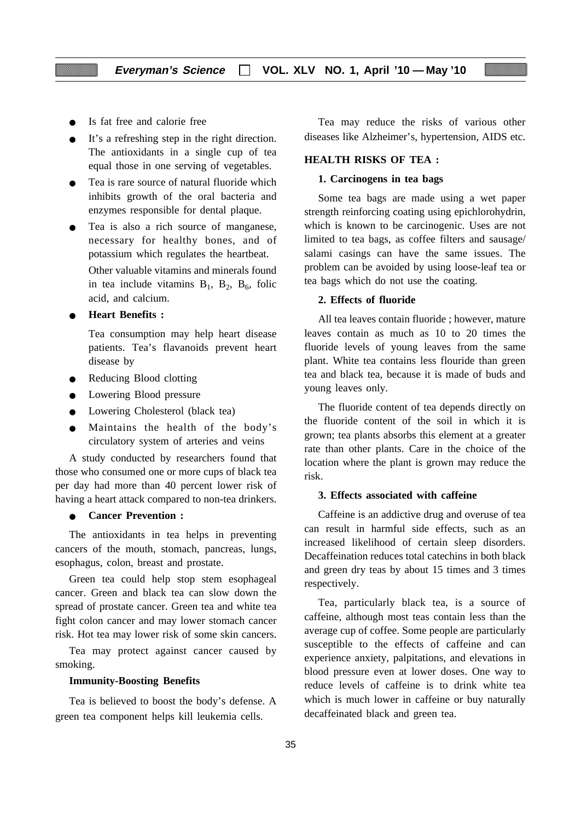- Is fat free and calorie free
- It's a refreshing step in the right direction. The antioxidants in a single cup of tea equal those in one serving of vegetables.
- Tea is rare source of natural fluoride which inhibits growth of the oral bacteria and enzymes responsible for dental plaque.
- Tea is also a rich source of manganese, necessary for healthy bones, and of potassium which regulates the heartbeat.

Other valuable vitamins and minerals found in tea include vitamins  $B_1$ ,  $B_2$ ,  $B_6$ , folic acid, and calcium.

● **Heart Benefits :**

Tea consumption may help heart disease patients. Tea's flavanoids prevent heart disease by

- Reducing Blood clotting
- Lowering Blood pressure
- Lowering Cholesterol (black tea)
- Maintains the health of the body's circulatory system of arteries and veins

A study conducted by researchers found that those who consumed one or more cups of black tea per day had more than 40 percent lower risk of having a heart attack compared to non-tea drinkers.

#### **Cancer Prevention :**

The antioxidants in tea helps in preventing cancers of the mouth, stomach, pancreas, lungs, esophagus, colon, breast and prostate.

Green tea could help stop stem esophageal cancer. Green and black tea can slow down the spread of prostate cancer. Green tea and white tea fight colon cancer and may lower stomach cancer risk. Hot tea may lower risk of some skin cancers.

Tea may protect against cancer caused by smoking.

#### **Immunity-Boosting Benefits**

Tea is believed to boost the body's defense. A green tea component helps kill leukemia cells.

Tea may reduce the risks of various other diseases like Alzheimer's, hypertension, AIDS etc.

#### **HEALTH RISKS OF TEA :**

#### **1. Carcinogens in tea bags**

Some tea bags are made using a wet paper strength reinforcing coating using epichlorohydrin, which is known to be carcinogenic. Uses are not limited to tea bags, as coffee filters and sausage/ salami casings can have the same issues. The problem can be avoided by using loose-leaf tea or tea bags which do not use the coating.

#### **2. Effects of fluoride**

All tea leaves contain fluoride ; however, mature leaves contain as much as 10 to 20 times the fluoride levels of young leaves from the same plant. White tea contains less flouride than green tea and black tea, because it is made of buds and young leaves only.

The fluoride content of tea depends directly on the fluoride content of the soil in which it is grown; tea plants absorbs this element at a greater rate than other plants. Care in the choice of the location where the plant is grown may reduce the risk.

#### **3. Effects associated with caffeine**

Caffeine is an addictive drug and overuse of tea can result in harmful side effects, such as an increased likelihood of certain sleep disorders. Decaffeination reduces total catechins in both black and green dry teas by about 15 times and 3 times respectively.

Tea, particularly black tea, is a source of caffeine, although most teas contain less than the average cup of coffee. Some people are particularly susceptible to the effects of caffeine and can experience anxiety, palpitations, and elevations in blood pressure even at lower doses. One way to reduce levels of caffeine is to drink white tea which is much lower in caffeine or buy naturally decaffeinated black and green tea.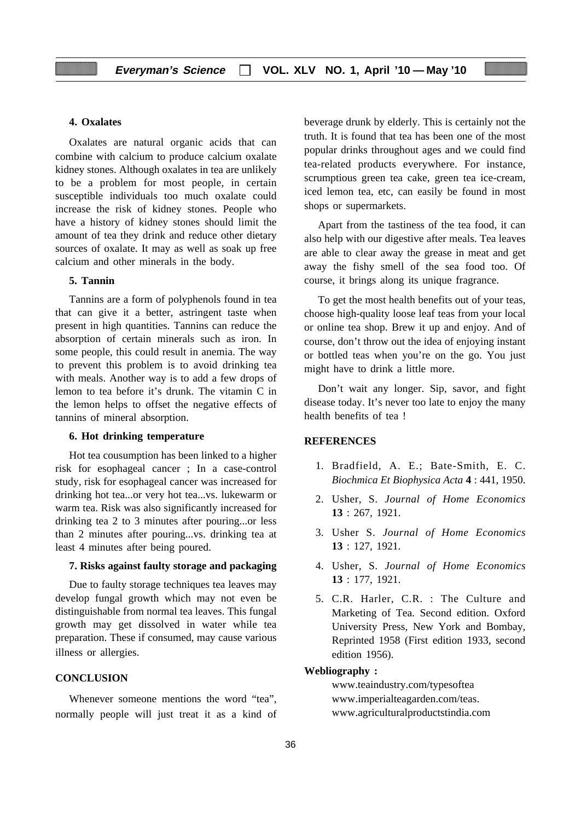#### **4. Oxalates**

Oxalates are natural organic acids that can combine with calcium to produce calcium oxalate kidney stones. Although oxalates in tea are unlikely to be a problem for most people, in certain susceptible individuals too much oxalate could increase the risk of kidney stones. People who have a history of kidney stones should limit the amount of tea they drink and reduce other dietary sources of oxalate. It may as well as soak up free calcium and other minerals in the body.

#### **5. Tannin**

Tannins are a form of polyphenols found in tea that can give it a better, astringent taste when present in high quantities. Tannins can reduce the absorption of certain minerals such as iron. In some people, this could result in anemia. The way to prevent this problem is to avoid drinking tea with meals. Another way is to add a few drops of lemon to tea before it's drunk. The vitamin C in the lemon helps to offset the negative effects of tannins of mineral absorption.

#### **6. Hot drinking temperature**

Hot tea cousumption has been linked to a higher risk for esophageal cancer ; In a case-control study, risk for esophageal cancer was increased for drinking hot tea...or very hot tea...vs. lukewarm or warm tea. Risk was also significantly increased for drinking tea 2 to 3 minutes after pouring...or less than 2 minutes after pouring...vs. drinking tea at least 4 minutes after being poured.

#### **7. Risks against faulty storage and packaging**

Due to faulty storage techniques tea leaves may develop fungal growth which may not even be distinguishable from normal tea leaves. This fungal growth may get dissolved in water while tea preparation. These if consumed, may cause various illness or allergies.

#### **CONCLUSION**

Whenever someone mentions the word "tea", normally people will just treat it as a kind of beverage drunk by elderly. This is certainly not the truth. It is found that tea has been one of the most popular drinks throughout ages and we could find tea-related products everywhere. For instance, scrumptious green tea cake, green tea ice-cream, iced lemon tea, etc, can easily be found in most shops or supermarkets.

Apart from the tastiness of the tea food, it can also help with our digestive after meals. Tea leaves are able to clear away the grease in meat and get away the fishy smell of the sea food too. Of course, it brings along its unique fragrance.

To get the most health benefits out of your teas, choose high-quality loose leaf teas from your local or online tea shop. Brew it up and enjoy. And of course, don't throw out the idea of enjoying instant or bottled teas when you're on the go. You just might have to drink a little more.

Don't wait any longer. Sip, savor, and fight disease today. It's never too late to enjoy the many health benefits of tea !

#### **REFERENCES**

- 1. Bradfield, A. E.; Bate-Smith, E. C. *Biochmica Et Biophysica Acta* **4** : 441, 1950.
- 2. Usher, S. *Journal of Home Economics* **13** : 267, 1921.
- 3. Usher S. *Journal of Home Economics* **13** : 127, 1921.
- 4. Usher, S. *Journal of Home Economics* **13** : 177, 1921.
- 5. C.R. Harler, C.R. : The Culture and Marketing of Tea. Second edition. Oxford University Press, New York and Bombay, Reprinted 1958 (First edition 1933, second edition 1956).

#### **Webliography :**

www.teaindustry.com/typesoftea www.imperialteagarden.com/teas. www.agriculturalproductstindia.com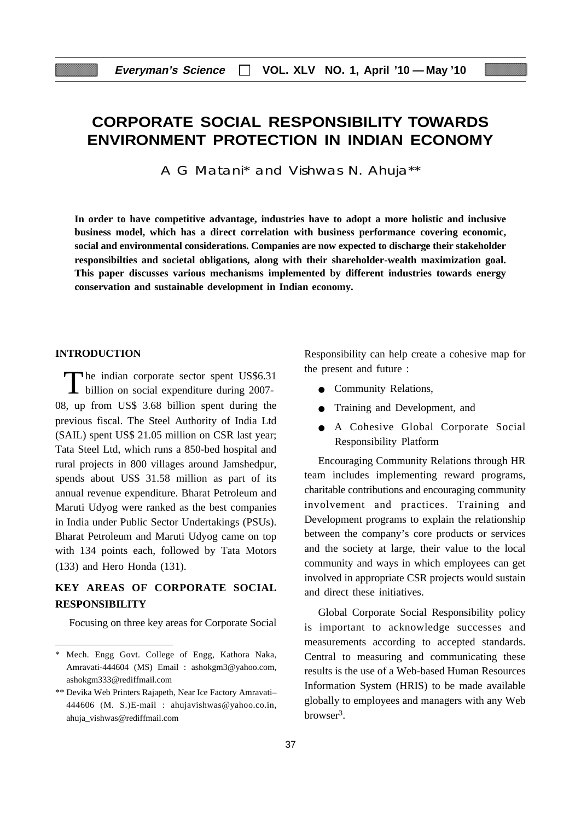# **CORPORATE SOCIAL RESPONSIBILITY TOWARDS ENVIRONMENT PROTECTION IN INDIAN ECONOMY**

A G Matani\* and Vishwas N. Ahuja\*\*

**In order to have competitive advantage, industries have to adopt a more holistic and inclusive business model, which has a direct correlation with business performance covering economic, social and environmental considerations. Companies are now expected to discharge their stakeholder responsibilties and societal obligations, along with their shareholder-wealth maximization goal. This paper discusses various mechanisms implemented by different industries towards energy conservation and sustainable development in Indian economy.**

#### **INTRODUCTION**

The indian corporate sector spent US\$6.31<br>billion on social expenditure during 2007-08, up from US\$ 3.68 billion spent during the previous fiscal. The Steel Authority of India Ltd (SAIL) spent US\$ 21.05 million on CSR last year; Tata Steel Ltd, which runs a 850-bed hospital and rural projects in 800 villages around Jamshedpur, spends about US\$ 31.58 million as part of its annual revenue expenditure. Bharat Petroleum and Maruti Udyog were ranked as the best companies in India under Public Sector Undertakings (PSUs). Bharat Petroleum and Maruti Udyog came on top with 134 points each, followed by Tata Motors (133) and Hero Honda (131).

## **KEY AREAS OF CORPORATE SOCIAL RESPONSIBILITY**

Focusing on three key areas for Corporate Social

Responsibility can help create a cohesive map for the present and future :

- Community Relations,
- Training and Development, and
- A Cohesive Global Corporate Social Responsibility Platform

Encouraging Community Relations through HR team includes implementing reward programs, charitable contributions and encouraging community involvement and practices. Training and Development programs to explain the relationship between the company's core products or services and the society at large, their value to the local community and ways in which employees can get involved in appropriate CSR projects would sustain and direct these initiatives.

Global Corporate Social Responsibility policy is important to acknowledge successes and measurements according to accepted standards. Central to measuring and communicating these results is the use of a Web-based Human Resources Information System (HRIS) to be made available globally to employees and managers with any Web browser3.

<sup>\*</sup> Mech. Engg Govt. College of Engg, Kathora Naka, Amravati-444604 (MS) Email : ashokgm3@yahoo.com, ashokgm333@rediffmail.com

<sup>\*\*</sup> Devika Web Printers Rajapeth, Near Ice Factory Amravati– 444606 (M. S.)E-mail : ahujavishwas@yahoo.co.in, ahuja\_vishwas@rediffmail.com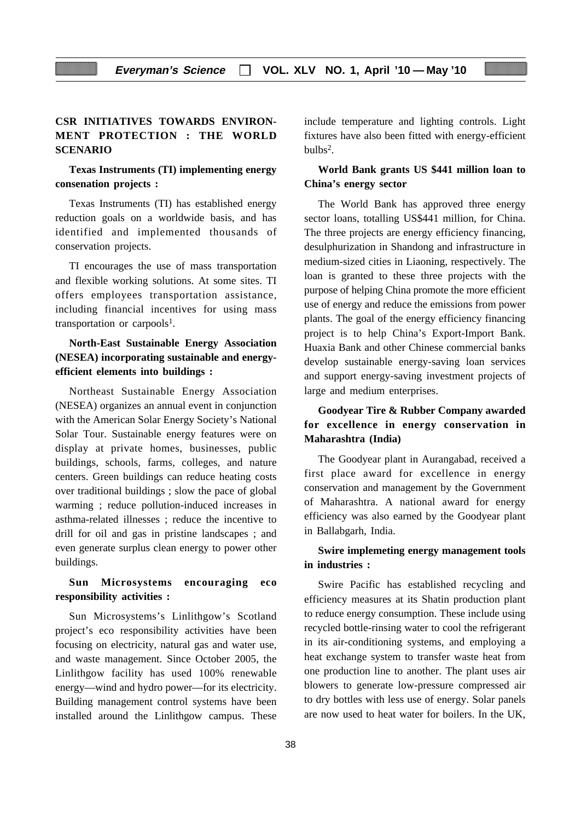## **CSR INITIATIVES TOWARDS ENVIRON-MENT PROTECTION : THE WORLD SCENARIO**

### **Texas Instruments (TI) implementing energy consenation projects :**

Texas Instruments (TI) has established energy reduction goals on a worldwide basis, and has identified and implemented thousands of conservation projects.

TI encourages the use of mass transportation and flexible working solutions. At some sites. TI offers employees transportation assistance, including financial incentives for using mass transportation or carpools<sup>1</sup>.

## **North-East Sustainable Energy Association (NESEA) incorporating sustainable and energyefficient elements into buildings :**

Northeast Sustainable Energy Association (NESEA) organizes an annual event in conjunction with the American Solar Energy Society's National Solar Tour. Sustainable energy features were on display at private homes, businesses, public buildings, schools, farms, colleges, and nature centers. Green buildings can reduce heating costs over traditional buildings ; slow the pace of global warming ; reduce pollution-induced increases in asthma-related illnesses ; reduce the incentive to drill for oil and gas in pristine landscapes ; and even generate surplus clean energy to power other buildings.

## **Sun Microsystems encouraging eco responsibility activities :**

Sun Microsystems's Linlithgow's Scotland project's eco responsibility activities have been focusing on electricity, natural gas and water use, and waste management. Since October 2005, the Linlithgow facility has used 100% renewable energy—wind and hydro power—for its electricity. Building management control systems have been installed around the Linlithgow campus. These include temperature and lighting controls. Light fixtures have also been fitted with energy-efficient  $bulbs<sup>2</sup>$ .

## **World Bank grants US \$441 million loan to China's energy sector**

The World Bank has approved three energy sector loans, totalling US\$441 million, for China. The three projects are energy efficiency financing, desulphurization in Shandong and infrastructure in medium-sized cities in Liaoning, respectively. The loan is granted to these three projects with the purpose of helping China promote the more efficient use of energy and reduce the emissions from power plants. The goal of the energy efficiency financing project is to help China's Export-Import Bank. Huaxia Bank and other Chinese commercial banks develop sustainable energy-saving loan services and support energy-saving investment projects of large and medium enterprises.

## **Goodyear Tire & Rubber Company awarded for excellence in energy conservation in Maharashtra (India)**

The Goodyear plant in Aurangabad, received a first place award for excellence in energy conservation and management by the Government of Maharashtra. A national award for energy efficiency was also earned by the Goodyear plant in Ballabgarh, India.

## **Swire implemeting energy management tools in industries :**

Swire Pacific has established recycling and efficiency measures at its Shatin production plant to reduce energy consumption. These include using recycled bottle-rinsing water to cool the refrigerant in its air-conditioning systems, and employing a heat exchange system to transfer waste heat from one production line to another. The plant uses air blowers to generate low-pressure compressed air to dry bottles with less use of energy. Solar panels are now used to heat water for boilers. In the UK,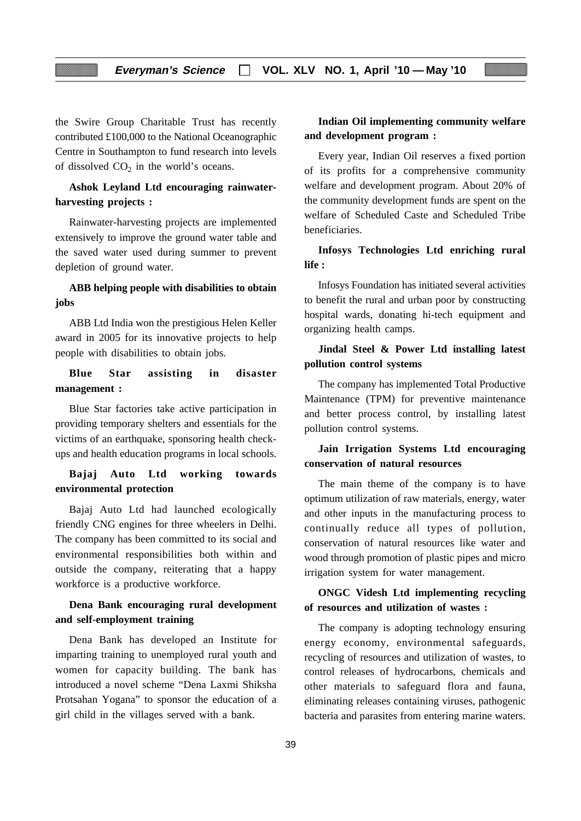the Swire Group Charitable Trust has recently contributed £100,000 to the National Oceanographic Centre in Southampton to fund research into levels of dissolved  $CO<sub>2</sub>$  in the world's oceans.

## **Ashok Leyland Ltd encouraging rainwaterharvesting projects :**

Rainwater-harvesting projects are implemented extensively to improve the ground water table and the saved water used during summer to prevent depletion of ground water.

## **ABB helping people with disabilities to obtain jobs**

ABB Ltd India won the prestigious Helen Keller award in 2005 for its innovative projects to help people with disabilities to obtain jobs.

## **Blue Star assisting in disaster management :**

Blue Star factories take active participation in providing temporary shelters and essentials for the victims of an earthquake, sponsoring health checkups and health education programs in local schools.

## **Bajaj Auto Ltd working towards environmental protection**

Bajaj Auto Ltd had launched ecologically friendly CNG engines for three wheelers in Delhi. The company has been committed to its social and environmental responsibilities both within and outside the company, reiterating that a happy workforce is a productive workforce.

## **Dena Bank encouraging rural development and self-employment training**

Dena Bank has developed an Institute for imparting training to unemployed rural youth and women for capacity building. The bank has introduced a novel scheme "Dena Laxmi Shiksha Protsahan Yogana" to sponsor the education of a girl child in the villages served with a bank.

## **Indian Oil implementing community welfare and development program :**

Every year, Indian Oil reserves a fixed portion of its profits for a comprehensive community welfare and development program. About 20% of the community development funds are spent on the welfare of Scheduled Caste and Scheduled Tribe beneficiaries.

## **Infosys Technologies Ltd enriching rural life :**

Infosys Foundation has initiated several activities to benefit the rural and urban poor by constructing hospital wards, donating hi-tech equipment and organizing health camps.

## **Jindal Steel & Power Ltd installing latest pollution control systems**

The company has implemented Total Productive Maintenance (TPM) for preventive maintenance and better process control, by installing latest pollution control systems.

## **Jain Irrigation Systems Ltd encouraging conservation of natural resources**

The main theme of the company is to have optimum utilization of raw materials, energy, water and other inputs in the manufacturing process to continually reduce all types of pollution, conservation of natural resources like water and wood through promotion of plastic pipes and micro irrigation system for water management.

## **ONGC Videsh Ltd implementing recycling of resources and utilization of wastes :**

The company is adopting technology ensuring energy economy, environmental safeguards, recycling of resources and utilization of wastes, to control releases of hydrocarbons, chemicals and other materials to safeguard flora and fauna, eliminating releases containing viruses, pathogenic bacteria and parasites from entering marine waters.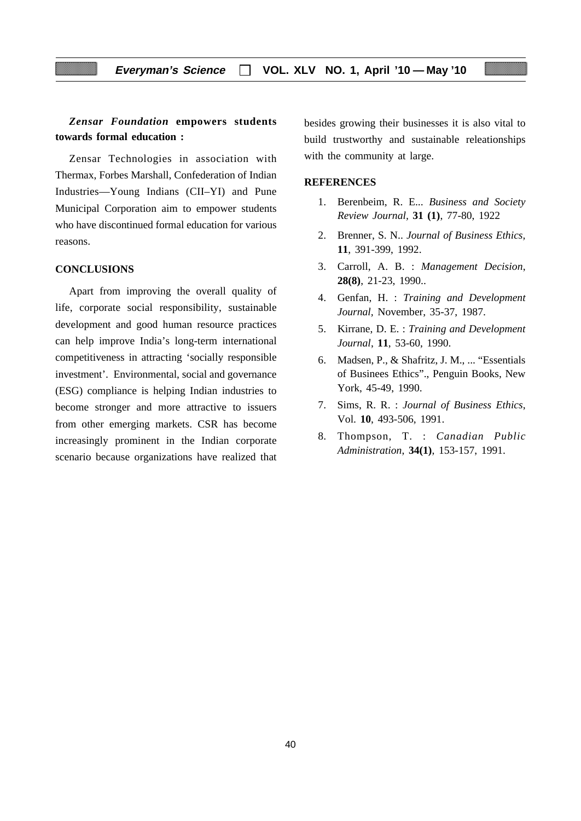## *Zensar Foundation* **empowers students towards formal education :**

Zensar Technologies in association with Thermax, Forbes Marshall, Confederation of Indian Industries—Young Indians (CII–YI) and Pune Municipal Corporation aim to empower students who have discontinued formal education for various reasons.

#### **CONCLUSIONS**

Apart from improving the overall quality of life, corporate social responsibility, sustainable development and good human resource practices can help improve India's long-term international competitiveness in attracting 'socially responsible investment'. Environmental, social and governance (ESG) compliance is helping Indian industries to become stronger and more attractive to issuers from other emerging markets. CSR has become increasingly prominent in the Indian corporate scenario because organizations have realized that

besides growing their businesses it is also vital to build trustworthy and sustainable releationships with the community at large.

#### **REFERENCES**

- 1. Berenbeim, R. E... *Business and Society Review Journal,* **31 (1)**, 77-80, 1922
- 2. Brenner, S. N.. *Journal of Business Ethics,* **11**, 391-399, 1992.
- 3. Carroll, A. B. : *Management Decision*, **28(8)**, 21-23, 1990..
- 4. Genfan, H. : *Training and Development Journal,* November, 35-37, 1987.
- 5. Kirrane, D. E. : *Training and Development Journal*, **11**, 53-60, 1990.
- 6. Madsen, P., & Shafritz, J. M., ... "Essentials of Businees Ethics"., Penguin Books, New York, 45-49, 1990.
- 7. Sims, R. R. : *Journal of Business Ethics*, Vol. **10**, 493-506, 1991.
- 8. Thompson, T. : *Canadian Public Administration*, **34(1)**, 153-157, 1991.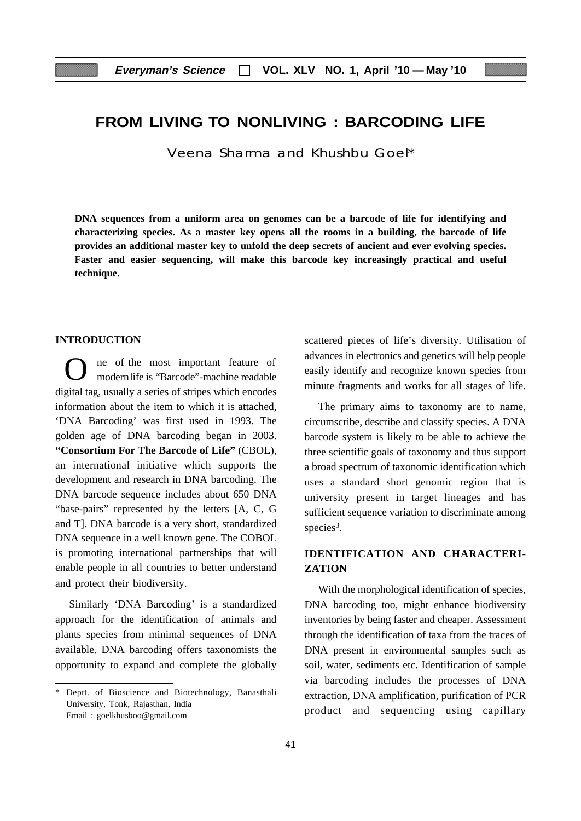## **FROM LIVING TO NONLIVING : BARCODING LIFE**

Veena Sharma and Khushbu Goel\*

**DNA sequences from a uniform area on genomes can be a barcode of life for identifying and characterizing species. As a master key opens all the rooms in a building, the barcode of life provides an additional master key to unfold the deep secrets of ancient and ever evolving species. Faster and easier sequencing, will make this barcode key increasingly practical and useful technique.**

#### **INTRODUCTION**

ne of the most important feature of modernlife is "Barcode"-machine readable digital tag, usually a series of stripes which encodes information about the item to which it is attached, 'DNA Barcoding' was first used in 1993. The golden age of DNA barcoding began in 2003. **"Consortium For The Barcode of Life"** (CBOL), an international initiative which supports the development and research in DNA barcoding. The DNA barcode sequence includes about 650 DNA "base-pairs" represented by the letters [A, C, G and T]. DNA barcode is a very short, standardized DNA sequence in a well known gene. The COBOL is promoting international partnerships that will enable people in all countries to better understand and protect their biodiversity.

Similarly 'DNA Barcoding' is a standardized approach for the identification of animals and plants species from minimal sequences of DNA available. DNA barcoding offers taxonomists the opportunity to expand and complete the globally

scattered pieces of life's diversity. Utilisation of advances in electronics and genetics will help people easily identify and recognize known species from minute fragments and works for all stages of life.

The primary aims to taxonomy are to name, circumscribe, describe and classify species. A DNA barcode system is likely to be able to achieve the three scientific goals of taxonomy and thus support a broad spectrum of taxonomic identification which uses a standard short genomic region that is university present in target lineages and has sufficient sequence variation to discriminate among species<sup>3</sup>.

## **IDENTIFICATION AND CHARACTERI-ZATION**

With the morphological identification of species, DNA barcoding too, might enhance biodiversity inventories by being faster and cheaper. Assessment through the identification of taxa from the traces of DNA present in environmental samples such as soil, water, sediments etc. Identification of sample via barcoding includes the processes of DNA extraction, DNA amplification, purification of PCR product and sequencing using capillary

<sup>\*</sup> Deptt. of Bioscience and Biotechnology, Banasthali University, Tonk, Rajasthan, India Email : goelkhusboo@gmail.com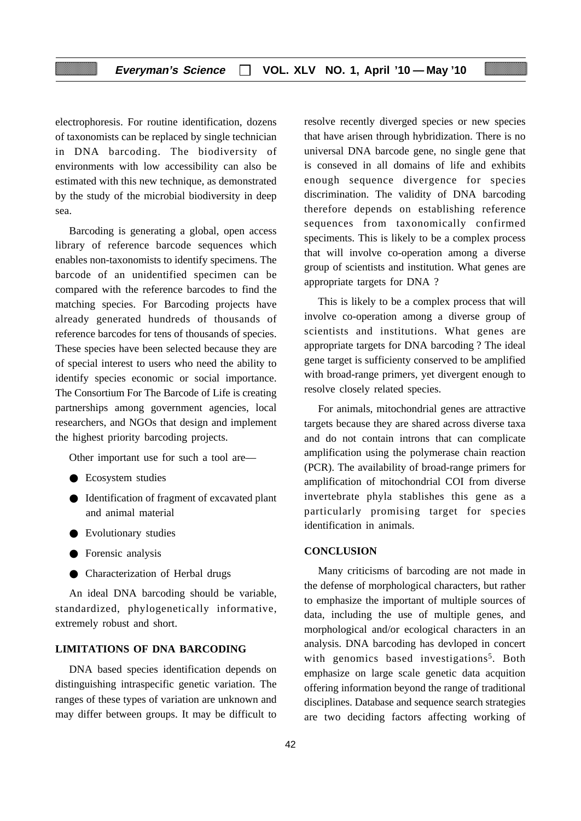electrophoresis. For routine identification, dozens of taxonomists can be replaced by single technician in DNA barcoding. The biodiversity of environments with low accessibility can also be estimated with this new technique, as demonstrated by the study of the microbial biodiversity in deep sea.

Barcoding is generating a global, open access library of reference barcode sequences which enables non-taxonomists to identify specimens. The barcode of an unidentified specimen can be compared with the reference barcodes to find the matching species. For Barcoding projects have already generated hundreds of thousands of reference barcodes for tens of thousands of species. These species have been selected because they are of special interest to users who need the ability to identify species economic or social importance. The Consortium For The Barcode of Life is creating partnerships among government agencies, local researchers, and NGOs that design and implement the highest priority barcoding projects.

Other important use for such a tool are—

- Ecosystem studies
- Identification of fragment of excavated plant and animal material
- Evolutionary studies
- Forensic analysis
- Characterization of Herbal drugs

An ideal DNA barcoding should be variable, standardized, phylogenetically informative, extremely robust and short.

## **LIMITATIONS OF DNA BARCODING**

DNA based species identification depends on distinguishing intraspecific genetic variation. The ranges of these types of variation are unknown and may differ between groups. It may be difficult to resolve recently diverged species or new species that have arisen through hybridization. There is no universal DNA barcode gene, no single gene that is conseved in all domains of life and exhibits enough sequence divergence for species discrimination. The validity of DNA barcoding therefore depends on establishing reference sequences from taxonomically confirmed speciments. This is likely to be a complex process that will involve co-operation among a diverse group of scientists and institution. What genes are appropriate targets for DNA ?

This is likely to be a complex process that will involve co-operation among a diverse group of scientists and institutions. What genes are appropriate targets for DNA barcoding ? The ideal gene target is sufficienty conserved to be amplified with broad-range primers, yet divergent enough to resolve closely related species.

For animals, mitochondrial genes are attractive targets because they are shared across diverse taxa and do not contain introns that can complicate amplification using the polymerase chain reaction (PCR). The availability of broad-range primers for amplification of mitochondrial COI from diverse invertebrate phyla stablishes this gene as a particularly promising target for species identification in animals.

#### **CONCLUSION**

Many criticisms of barcoding are not made in the defense of morphological characters, but rather to emphasize the important of multiple sources of data, including the use of multiple genes, and morphological and/or ecological characters in an analysis. DNA barcoding has devloped in concert with genomics based investigations<sup>5</sup>. Both emphasize on large scale genetic data acquition offering information beyond the range of traditional disciplines. Database and sequence search strategies are two deciding factors affecting working of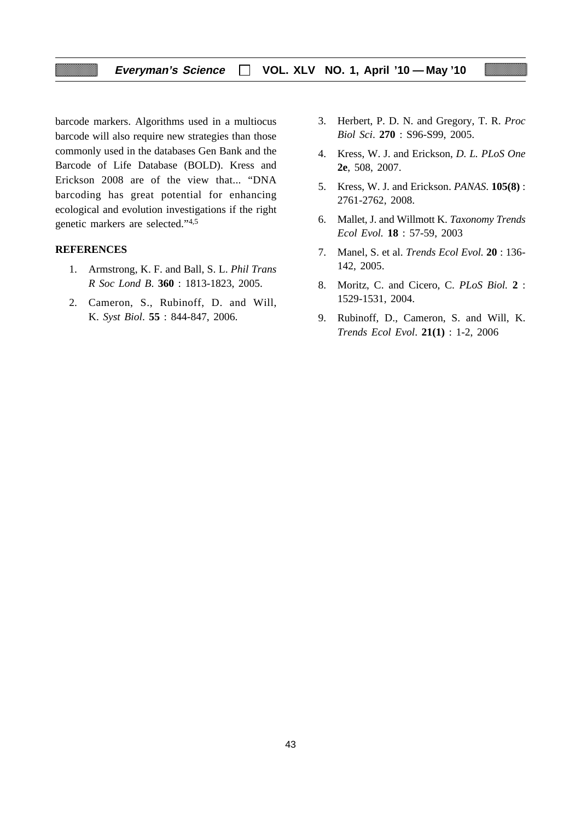## **Everyman's Science VOL. XLV NO. 1, April '10 — May '10**

barcode markers. Algorithms used in a multiocus barcode will also require new strategies than those commonly used in the databases Gen Bank and the Barcode of Life Database (BOLD). Kress and Erickson 2008 are of the view that... "DNA barcoding has great potential for enhancing ecological and evolution investigations if the right genetic markers are selected."4,5

#### **REFERENCES**

- 1. Armstrong, K. F. and Ball, S. L. *Phil Trans R Soc Lond B*. **360** : 1813-1823, 2005.
- 2. Cameron, S., Rubinoff, D. and Will, K. *Syst Biol*. **55** : 844-847, 2006.
- 3. Herbert, P. D. N. and Gregory, T. R. *Proc Biol Sci*. **270** : S96-S99, 2005.
- 4. Kress, W. J. and Erickson, *D. L. PLoS One* **2e**, 508, 2007.
- 5. Kress, W. J. and Erickson. *PANAS*. **105(8)** : 2761-2762, 2008.
- 6. Mallet, J. and Willmott K. *Taxonomy Trends Ecol Evol.* **18** : 57-59, 2003
- 7. Manel, S. et al. *Trends Ecol Evol.* **20** : 136- 142, 2005.
- 8. Moritz, C. and Cicero, C. *PLoS Biol.* **2** : 1529-1531, 2004.
- 9. Rubinoff, D., Cameron, S. and Will, K. *Trends Ecol Evol*. **21(1)** : 1-2, 2006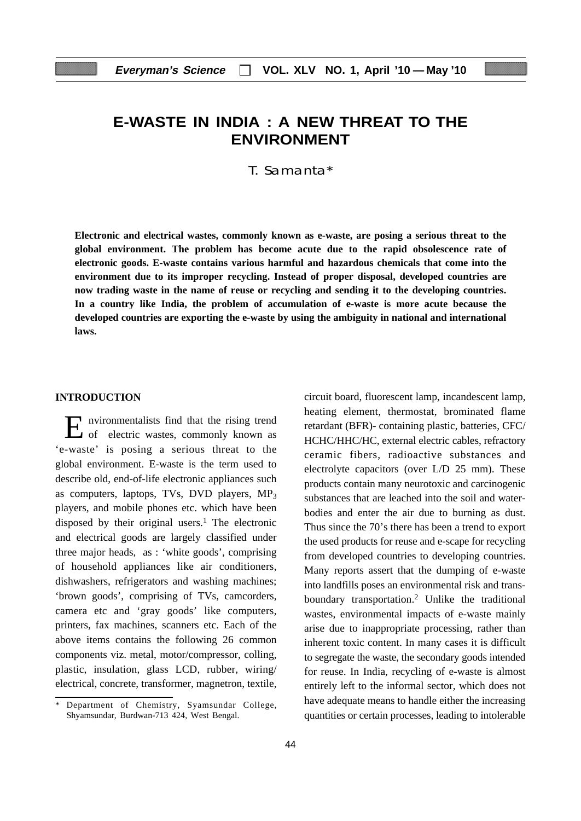## **E-WASTE IN INDIA : A NEW THREAT TO THE ENVIRONMENT**

T. Samanta\*

**Electronic and electrical wastes, commonly known as e-waste, are posing a serious threat to the global environment. The problem has become acute due to the rapid obsolescence rate of electronic goods. E-waste contains various harmful and hazardous chemicals that come into the environment due to its improper recycling. Instead of proper disposal, developed countries are now trading waste in the name of reuse or recycling and sending it to the developing countries. In a country like India, the problem of accumulation of e-waste is more acute because the developed countries are exporting the e-waste by using the ambiguity in national and international laws.**

#### **INTRODUCTION**

Environmentalists find that the rising trend of electric wastes, commonly known as 'e-waste' is posing a serious threat to the global environment. E-waste is the term used to describe old, end-of-life electronic appliances such as computers, laptops, TVs, DVD players,  $MP_3$ players, and mobile phones etc. which have been disposed by their original users.<sup>1</sup> The electronic and electrical goods are largely classified under three major heads, as : 'white goods', comprising of household appliances like air conditioners, dishwashers, refrigerators and washing machines; 'brown goods', comprising of TVs, camcorders, camera etc and 'gray goods' like computers, printers, fax machines, scanners etc. Each of the above items contains the following 26 common components viz. metal, motor/compressor, colling, plastic, insulation, glass LCD, rubber, wiring/ electrical, concrete, transformer, magnetron, textile,

circuit board, fluorescent lamp, incandescent lamp, heating element, thermostat, brominated flame retardant (BFR)- containing plastic, batteries, CFC/ HCHC/HHC/HC, external electric cables, refractory ceramic fibers, radioactive substances and electrolyte capacitors (over L/D 25 mm). These products contain many neurotoxic and carcinogenic substances that are leached into the soil and waterbodies and enter the air due to burning as dust. Thus since the 70's there has been a trend to export the used products for reuse and e-scape for recycling from developed countries to developing countries. Many reports assert that the dumping of e-waste into landfills poses an environmental risk and transboundary transportation.2 Unlike the traditional wastes, environmental impacts of e-waste mainly arise due to inappropriate processing, rather than inherent toxic content. In many cases it is difficult to segregate the waste, the secondary goods intended for reuse. In India, recycling of e-waste is almost entirely left to the informal sector, which does not have adequate means to handle either the increasing quantities or certain processes, leading to intolerable

Department of Chemistry, Syamsundar College, Shyamsundar, Burdwan-713 424, West Bengal.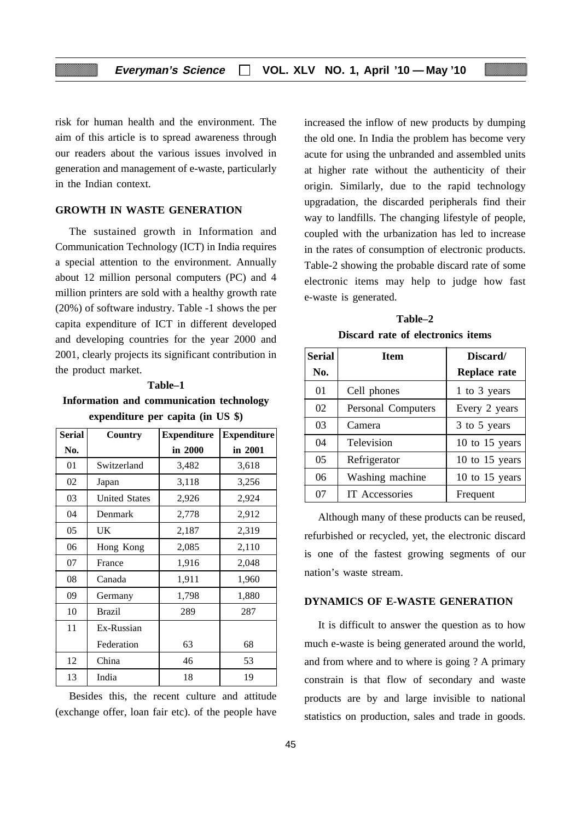risk for human health and the environment. The aim of this article is to spread awareness through our readers about the various issues involved in generation and management of e-waste, particularly in the Indian context.

## **GROWTH IN WASTE GENERATION**

The sustained growth in Information and Communication Technology (ICT) in India requires a special attention to the environment. Annually about 12 million personal computers (PC) and 4 million printers are sold with a healthy growth rate (20%) of software industry. Table -1 shows the per capita expenditure of ICT in different developed and developing countries for the year 2000 and 2001, clearly projects its significant contribution in the product market.

#### **Table–1**

**Information and communication technology expenditure per capita (in US \$)**

| <b>Serial</b> | Country              | <b>Expenditure</b> | <b>Expenditure</b> |
|---------------|----------------------|--------------------|--------------------|
| No.           |                      | in 2000            | in 2001            |
| 01            | Switzerland          | 3,482              | 3,618              |
| 02            | Japan                | 3,118              | 3,256              |
| 03            | <b>United States</b> | 2,926              | 2,924              |
| 04            | Denmark              | 2,778              | 2,912              |
| 05            | UK                   | 2,187              | 2,319              |
| 06            | Hong Kong            | 2,085              | 2,110              |
| 07            | France               | 1,916              | 2,048              |
| 08            | Canada               | 1,911              | 1,960              |
| 09            | Germany              | 1,798              | 1,880              |
| 10            | <b>Brazil</b>        | 289                | 287                |
| 11            | Ex-Russian           |                    |                    |
|               | Federation           | 63                 | 68                 |
| 12            | China                | 46                 | 53                 |
| 13            | India                | 18                 | 19                 |

Besides this, the recent culture and attitude (exchange offer, loan fair etc). of the people have increased the inflow of new products by dumping the old one. In India the problem has become very acute for using the unbranded and assembled units at higher rate without the authenticity of their origin. Similarly, due to the rapid technology upgradation, the discarded peripherals find their way to landfills. The changing lifestyle of people, coupled with the urbanization has led to increase in the rates of consumption of electronic products. Table-2 showing the probable discard rate of some electronic items may help to judge how fast e-waste is generated.

**Table–2 Discard rate of electronics items**

| <b>Serial</b> | <b>Item</b>               | Discard/       |
|---------------|---------------------------|----------------|
| No.           |                           | Replace rate   |
| 01            | Cell phones               | 1 to 3 years   |
| 02            | <b>Personal Computers</b> | Every 2 years  |
| 03            | Camera                    | 3 to 5 years   |
| 04            | Television                | 10 to 15 years |
| 05            | Refrigerator              | 10 to 15 years |
| 06            | Washing machine           | 10 to 15 years |
| 07            | <b>IT Accessories</b>     | Frequent       |

Although many of these products can be reused, refurbished or recycled, yet, the electronic discard is one of the fastest growing segments of our nation's waste stream.

#### **DYNAMICS OF E-WASTE GENERATION**

It is difficult to answer the question as to how much e-waste is being generated around the world, and from where and to where is going ? A primary constrain is that flow of secondary and waste products are by and large invisible to national statistics on production, sales and trade in goods.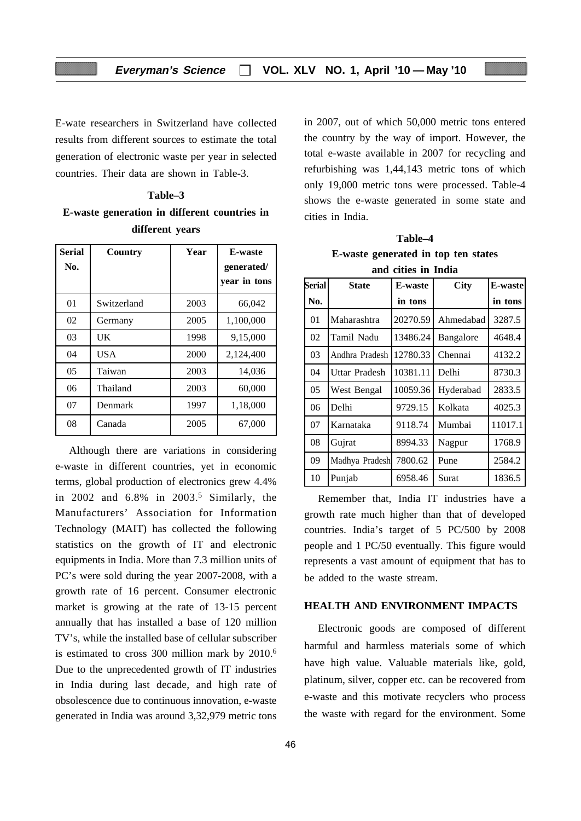E-wate researchers in Switzerland have collected results from different sources to estimate the total generation of electronic waste per year in selected countries. Their data are shown in Table-3.

| Table-3 |                                                     |  |                 |  |  |
|---------|-----------------------------------------------------|--|-----------------|--|--|
|         | <b>E-waste generation in different countries in</b> |  |                 |  |  |
|         |                                                     |  | different years |  |  |

| <b>Serial</b><br>No. | Country     | Year | <b>E-waste</b><br>generated/<br>vear in tons |
|----------------------|-------------|------|----------------------------------------------|
| 01                   | Switzerland | 2003 | 66,042                                       |
| 02                   | Germany     | 2005 | 1,100,000                                    |
| 03                   | UK          | 1998 | 9,15,000                                     |
| 04                   | USA         | 2000 | 2,124,400                                    |
| 05                   | Taiwan      | 2003 | 14,036                                       |
| 06                   | Thailand    | 2003 | 60,000                                       |
| 07                   | Denmark     | 1997 | 1,18,000                                     |
| 08                   | Canada      | 2005 | 67,000                                       |

Although there are variations in considering e-waste in different countries, yet in economic terms, global production of electronics grew 4.4% in  $2002$  and  $6.8\%$  in  $2003<sup>5</sup>$  Similarly, the Manufacturers' Association for Information Technology (MAIT) has collected the following statistics on the growth of IT and electronic equipments in India. More than 7.3 million units of PC's were sold during the year 2007-2008, with a growth rate of 16 percent. Consumer electronic market is growing at the rate of 13-15 percent annually that has installed a base of 120 million TV's, while the installed base of cellular subscriber is estimated to cross 300 million mark by 2010.6 Due to the unprecedented growth of IT industries in India during last decade, and high rate of obsolescence due to continuous innovation, e-waste generated in India was around 3,32,979 metric tons in 2007, out of which 50,000 metric tons entered the country by the way of import. However, the total e-waste available in 2007 for recycling and refurbishing was 1,44,143 metric tons of which only 19,000 metric tons were processed. Table-4 shows the e-waste generated in some state and cities in India.

**Table–4 E-waste generated in top ten states and cities in India**

| <b>Serial</b>  | <b>State</b>   | <b>E-waste</b> | <b>City</b> | E-waste |
|----------------|----------------|----------------|-------------|---------|
| No.            |                | in tons        |             | in tons |
| 01             | Maharashtra    | 20270.59       | Ahmedabad   | 3287.5  |
| 02             | Tamil Nadu     | 13486.24       | Bangalore   | 4648.4  |
| 03             | Andhra Pradesh | 12780.33       | Chennai     | 4132.2  |
| 04             | Uttar Pradesh  | 10381.11       | Delhi       | 8730.3  |
| 0 <sub>5</sub> | West Bengal    | 10059.36       | Hyderabad   | 2833.5  |
| 06             | Delhi          | 9729.15        | Kolkata     | 4025.3  |
| 07             | Karnataka      | 9118.74        | Mumbai      | 11017.1 |
| 08             | Gujrat         | 8994.33        | Nagpur      | 1768.9  |
| 09             | Madhya Pradesh | 7800.62        | Pune        | 2584.2  |
| 10             | Punjab         | 6958.46        | Surat       | 1836.5  |

Remember that, India IT industries have a growth rate much higher than that of developed countries. India's target of 5 PC/500 by 2008 people and 1 PC/50 eventually. This figure would represents a vast amount of equipment that has to be added to the waste stream.

## **HEALTH AND ENVIRONMENT IMPACTS**

Electronic goods are composed of different harmful and harmless materials some of which have high value. Valuable materials like, gold, platinum, silver, copper etc. can be recovered from e-waste and this motivate recyclers who process the waste with regard for the environment. Some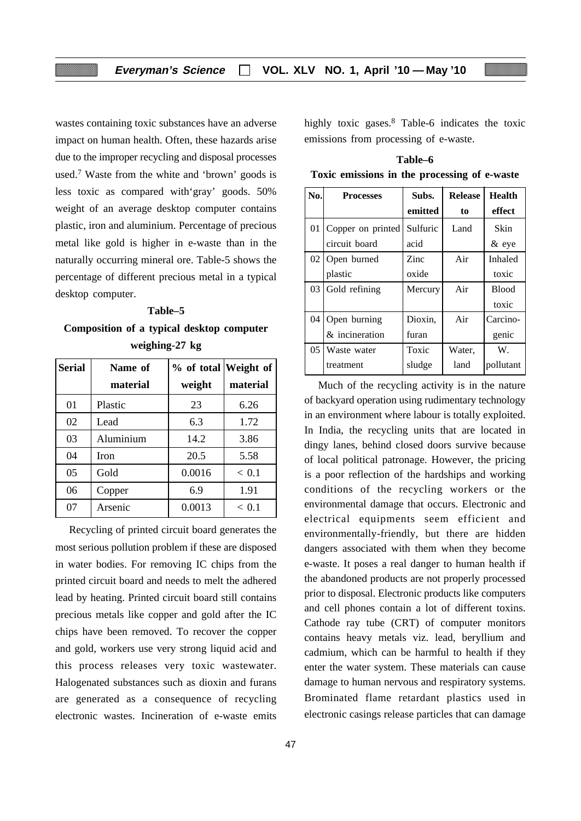wastes containing toxic substances have an adverse impact on human health. Often, these hazards arise due to the improper recycling and disposal processes used.7 Waste from the white and 'brown' goods is less toxic as compared with'gray' goods. 50% weight of an average desktop computer contains plastic, iron and aluminium. Percentage of precious metal like gold is higher in e-waste than in the naturally occurring mineral ore. Table-5 shows the percentage of different precious metal in a typical desktop computer.

#### **Table–5**

**Composition of a typical desktop computer weighing-27 kg**

| <b>Serial</b> | Name of   | % of total Weight of |          |
|---------------|-----------|----------------------|----------|
|               | material  | weight               | material |
| 01            | Plastic   | 23                   | 6.26     |
| 02            | Lead      | 6.3                  | 1.72     |
| 03            | Aluminium | 14.2                 | 3.86     |
| 04            | Iron      | 20.5                 | 5.58     |
| 05            | Gold      | 0.0016               | < 0.1    |
| 06            | Copper    | 6.9                  | 1.91     |
| 07            | Arsenic   | 0.0013               | < 0.1    |

Recycling of printed circuit board generates the most serious pollution problem if these are disposed in water bodies. For removing IC chips from the printed circuit board and needs to melt the adhered lead by heating. Printed circuit board still contains precious metals like copper and gold after the IC chips have been removed. To recover the copper and gold, workers use very strong liquid acid and this process releases very toxic wastewater. Halogenated substances such as dioxin and furans are generated as a consequence of recycling electronic wastes. Incineration of e-waste emits

47

highly toxic gases.<sup>8</sup> Table-6 indicates the toxic emissions from processing of e-waste.

**Table–6 Toxic emissions in the processing of e-waste**

| No. | <b>Processes</b>  | Subs.    | <b>Release</b> | <b>Health</b>  |
|-----|-------------------|----------|----------------|----------------|
|     |                   | emitted  | to             | effect         |
| 01  | Copper on printed | Sulfuric | Land           | <b>Skin</b>    |
|     | circuit board     | acid     |                | $\&$ eye       |
| 02  | Open burned       | Zinc     | Air            | <b>Inhaled</b> |
|     | plastic           | oxide    |                | toxic          |
| 03  | Gold refining     | Mercury  | Air            | <b>Blood</b>   |
|     |                   |          |                | toxic          |
| 04  | Open burning      | Dioxin,  | Air            | Carcino-       |
|     | & incineration    | furan    |                | genic          |
| 05  | Waste water       | Toxic    | Water,         | W.             |
|     | treatment         | sludge   | land           | pollutant      |

Much of the recycling activity is in the nature of backyard operation using rudimentary technology in an environment where labour is totally exploited. In India, the recycling units that are located in dingy lanes, behind closed doors survive because of local political patronage. However, the pricing is a poor reflection of the hardships and working conditions of the recycling workers or the environmental damage that occurs. Electronic and electrical equipments seem efficient and environmentally-friendly, but there are hidden dangers associated with them when they become e-waste. It poses a real danger to human health if the abandoned products are not properly processed prior to disposal. Electronic products like computers and cell phones contain a lot of different toxins. Cathode ray tube (CRT) of computer monitors contains heavy metals viz. lead, beryllium and cadmium, which can be harmful to health if they enter the water system. These materials can cause damage to human nervous and respiratory systems. Brominated flame retardant plastics used in electronic casings release particles that can damage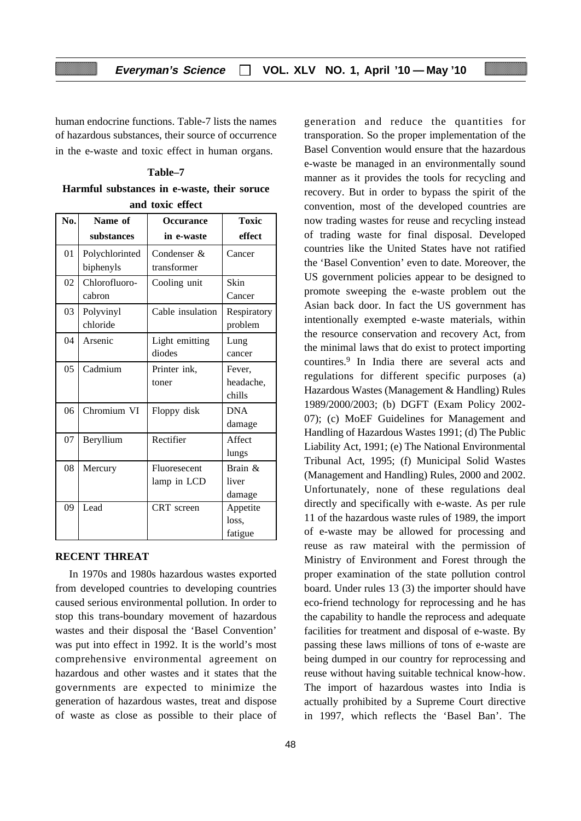human endocrine functions. Table-7 lists the names of hazardous substances, their source of occurrence in the e-waste and toxic effect in human organs.

**Table–7 Harmful substances in e-waste, their soruce and toxic effect**

| No.             | Name of                     | <b>Occurance</b>            | Toxic                         |  |  |  |
|-----------------|-----------------------------|-----------------------------|-------------------------------|--|--|--|
|                 | substances                  | in e-waste                  | effect                        |  |  |  |
| 01              | Polychlorinted<br>biphenyls | Condenser &<br>transformer  | Cancer                        |  |  |  |
| 02              | Chlorofluoro-<br>cabron     | Cooling unit                | Skin<br>Cancer                |  |  |  |
| 03              | Polyvinyl<br>chloride       | Cable insulation            | Respiratory<br>problem        |  |  |  |
| 04              | Arsenic                     | Light emitting<br>diodes    | Lung<br>cancer                |  |  |  |
| 05              | Cadmium                     | Printer ink,<br>toner       | Fever.<br>headache,<br>chills |  |  |  |
| 06              | Chromium VI                 | Floppy disk                 | <b>DNA</b><br>damage          |  |  |  |
| 07              | Beryllium                   | Rectifier                   | Affect<br>lungs               |  |  |  |
| 08              | Mercury                     | Fluoresecent<br>lamp in LCD | Brain &<br>liver<br>damage    |  |  |  |
| $\overline{09}$ | Lead                        | <b>CRT</b> screen           | Appetite<br>loss.<br>fatigue  |  |  |  |

#### **RECENT THREAT**

In 1970s and 1980s hazardous wastes exported from developed countries to developing countries caused serious environmental pollution. In order to stop this trans-boundary movement of hazardous wastes and their disposal the 'Basel Convention' was put into effect in 1992. It is the world's most comprehensive environmental agreement on hazardous and other wastes and it states that the governments are expected to minimize the generation of hazardous wastes, treat and dispose of waste as close as possible to their place of generation and reduce the quantities for transporation. So the proper implementation of the Basel Convention would ensure that the hazardous e-waste be managed in an environmentally sound manner as it provides the tools for recycling and recovery. But in order to bypass the spirit of the convention, most of the developed countries are now trading wastes for reuse and recycling instead of trading waste for final disposal. Developed countries like the United States have not ratified the 'Basel Convention' even to date. Moreover, the US government policies appear to be designed to promote sweeping the e-waste problem out the Asian back door. In fact the US government has intentionally exempted e-waste materials, within the resource conservation and recovery Act, from the minimal laws that do exist to protect importing countires.9 In India there are several acts and regulations for different specific purposes (a) Hazardous Wastes (Management & Handling) Rules 1989/2000/2003; (b) DGFT (Exam Policy 2002- 07); (c) MoEF Guidelines for Management and Handling of Hazardous Wastes 1991; (d) The Public Liability Act, 1991; (e) The National Environmental Tribunal Act, 1995; (f) Municipal Solid Wastes (Management and Handling) Rules, 2000 and 2002. Unfortunately, none of these regulations deal directly and specifically with e-waste. As per rule 11 of the hazardous waste rules of 1989, the import of e-waste may be allowed for processing and reuse as raw mateiral with the permission of Ministry of Environment and Forest through the proper examination of the state pollution control board. Under rules 13 (3) the importer should have eco-friend technology for reprocessing and he has the capability to handle the reprocess and adequate facilities for treatment and disposal of e-waste. By passing these laws millions of tons of e-waste are being dumped in our country for reprocessing and reuse without having suitable technical know-how. The import of hazardous wastes into India is actually prohibited by a Supreme Court directive in 1997, which reflects the 'Basel Ban'. The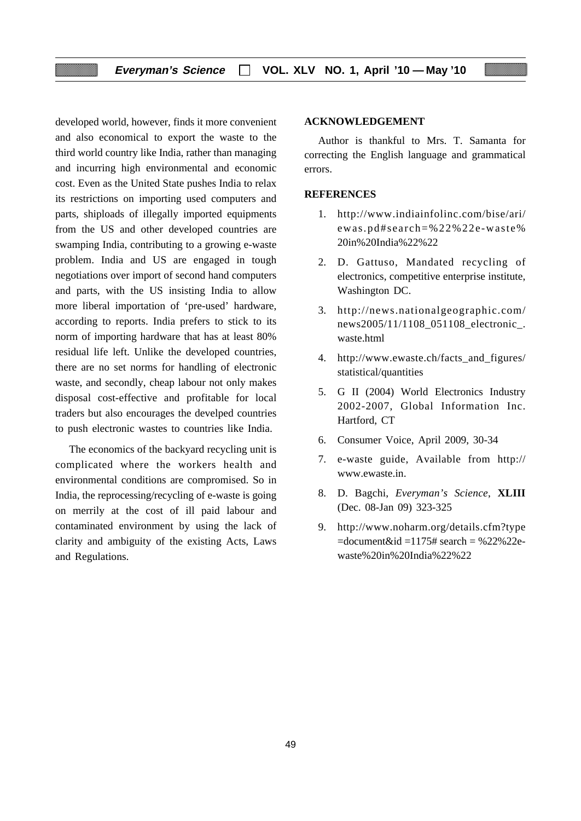developed world, however, finds it more convenient and also economical to export the waste to the third world country like India, rather than managing and incurring high environmental and economic cost. Even as the United State pushes India to relax its restrictions on importing used computers and parts, shiploads of illegally imported equipments from the US and other developed countries are swamping India, contributing to a growing e-waste problem. India and US are engaged in tough negotiations over import of second hand computers and parts, with the US insisting India to allow more liberal importation of 'pre-used' hardware, according to reports. India prefers to stick to its norm of importing hardware that has at least 80% residual life left. Unlike the developed countries, there are no set norms for handling of electronic waste, and secondly, cheap labour not only makes disposal cost-effective and profitable for local traders but also encourages the develped countries to push electronic wastes to countries like India.

The economics of the backyard recycling unit is complicated where the workers health and environmental conditions are compromised. So in India, the reprocessing/recycling of e-waste is going on merrily at the cost of ill paid labour and contaminated environment by using the lack of clarity and ambiguity of the existing Acts, Laws and Regulations.

#### **ACKNOWLEDGEMENT**

Author is thankful to Mrs. T. Samanta for correcting the English language and grammatical errors.

#### **REFERENCES**

- 1. http://www.indiainfolinc.com/bise/ari/ ewas.pd#search=%22%22e-waste% 20in%20India%22%22
- 2. D. Gattuso, Mandated recycling of electronics, competitive enterprise institute, Washington DC.
- 3. http://news.nationalgeographic.com/ news2005/11/1108\_051108\_electronic\_. waste.html
- 4. http://www.ewaste.ch/facts\_and\_figures/ statistical/quantities
- 5. G II (2004) World Electronics Industry 2002-2007, Global Information Inc. Hartford, CT
- 6. Consumer Voice, April 2009, 30-34
- 7. e-waste guide, Available from http:// www.ewaste.in.
- 8. D. Bagchi, *Everyman's Science*, **XLIII** (Dec. 08-Jan 09) 323-325
- 9. http://www.noharm.org/details.cfm?type  $=$ document&id  $=$ 1175# search  $=$  %22%22ewaste%20in%20India%22%22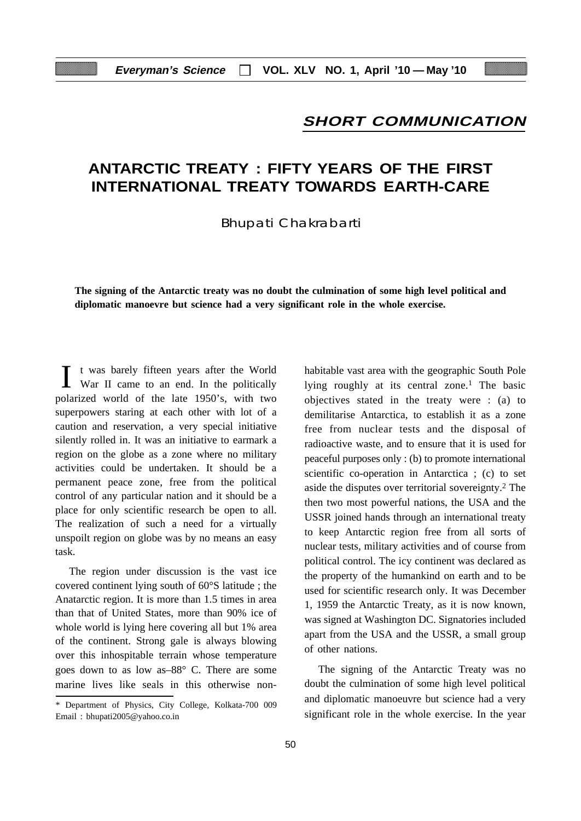## **SHORT COMMUNICATION**

## **ANTARCTIC TREATY : FIFTY YEARS OF THE FIRST INTERNATIONAL TREATY TOWARDS EARTH-CARE**

Bhupati Chakrabarti

**The signing of the Antarctic treaty was no doubt the culmination of some high level political and diplomatic manoevre but science had a very significant role in the whole exercise.**

I t was barely fifteen years after the World War II came to an end. In the politically polarized world of the late 1950's, with two superpowers staring at each other with lot of a caution and reservation, a very special initiative silently rolled in. It was an initiative to earmark a region on the globe as a zone where no military activities could be undertaken. It should be a permanent peace zone, free from the political control of any particular nation and it should be a place for only scientific research be open to all. The realization of such a need for a virtually unspoilt region on globe was by no means an easy task.

The region under discussion is the vast ice covered continent lying south of 60°S latitude ; the Anatarctic region. It is more than 1.5 times in area than that of United States, more than 90% ice of whole world is lying here covering all but 1% area of the continent. Strong gale is always blowing over this inhospitable terrain whose temperature goes down to as low as–88° C. There are some marine lives like seals in this otherwise nonhabitable vast area with the geographic South Pole lying roughly at its central zone.<sup>1</sup> The basic objectives stated in the treaty were : (a) to demilitarise Antarctica, to establish it as a zone free from nuclear tests and the disposal of radioactive waste, and to ensure that it is used for peaceful purposes only : (b) to promote international scientific co-operation in Antarctica ; (c) to set aside the disputes over territorial sovereignty.2 The then two most powerful nations, the USA and the USSR joined hands through an international treaty to keep Antarctic region free from all sorts of nuclear tests, military activities and of course from political control. The icy continent was declared as the property of the humankind on earth and to be used for scientific research only. It was December 1, 1959 the Antarctic Treaty, as it is now known, was signed at Washington DC. Signatories included apart from the USA and the USSR, a small group of other nations.

The signing of the Antarctic Treaty was no doubt the culmination of some high level political and diplomatic manoeuvre but science had a very significant role in the whole exercise. In the year

<sup>\*</sup> Department of Physics, City College, Kolkata-700 009 Email : bhupati2005@yahoo.co.in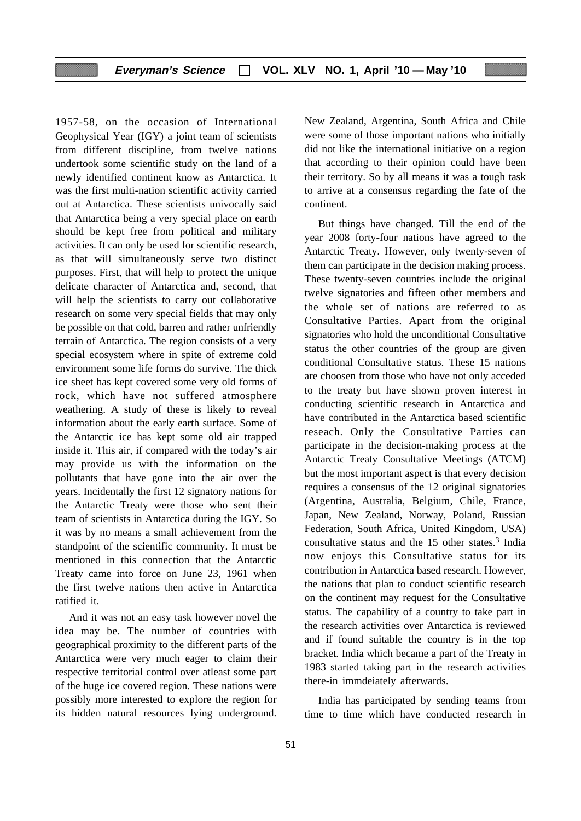1957-58, on the occasion of International Geophysical Year (IGY) a joint team of scientists from different discipline, from twelve nations undertook some scientific study on the land of a newly identified continent know as Antarctica. It was the first multi-nation scientific activity carried out at Antarctica. These scientists univocally said that Antarctica being a very special place on earth should be kept free from political and military activities. It can only be used for scientific research, as that will simultaneously serve two distinct purposes. First, that will help to protect the unique delicate character of Antarctica and, second, that will help the scientists to carry out collaborative research on some very special fields that may only be possible on that cold, barren and rather unfriendly terrain of Antarctica. The region consists of a very special ecosystem where in spite of extreme cold environment some life forms do survive. The thick ice sheet has kept covered some very old forms of rock, which have not suffered atmosphere weathering. A study of these is likely to reveal information about the early earth surface. Some of the Antarctic ice has kept some old air trapped inside it. This air, if compared with the today's air may provide us with the information on the pollutants that have gone into the air over the years. Incidentally the first 12 signatory nations for the Antarctic Treaty were those who sent their team of scientists in Antarctica during the IGY. So it was by no means a small achievement from the standpoint of the scientific community. It must be mentioned in this connection that the Antarctic Treaty came into force on June 23, 1961 when the first twelve nations then active in Antarctica ratified it.

And it was not an easy task however novel the idea may be. The number of countries with geographical proximity to the different parts of the Antarctica were very much eager to claim their respective territorial control over atleast some part of the huge ice covered region. These nations were possibly more interested to explore the region for its hidden natural resources lying underground. New Zealand, Argentina, South Africa and Chile were some of those important nations who initially did not like the international initiative on a region that according to their opinion could have been their territory. So by all means it was a tough task to arrive at a consensus regarding the fate of the continent.

But things have changed. Till the end of the year 2008 forty-four nations have agreed to the Antarctic Treaty. However, only twenty-seven of them can participate in the decision making process. These twenty-seven countries include the original twelve signatories and fifteen other members and the whole set of nations are referred to as Consultative Parties. Apart from the original signatories who hold the unconditional Consultative status the other countries of the group are given conditional Consultative status. These 15 nations are choosen from those who have not only acceded to the treaty but have shown proven interest in conducting scientific research in Antarctica and have contributed in the Antarctica based scientific reseach. Only the Consultative Parties can participate in the decision-making process at the Antarctic Treaty Consultative Meetings (ATCM) but the most important aspect is that every decision requires a consensus of the 12 original signatories (Argentina, Australia, Belgium, Chile, France, Japan, New Zealand, Norway, Poland, Russian Federation, South Africa, United Kingdom, USA) consultative status and the 15 other states.3 India now enjoys this Consultative status for its contribution in Antarctica based research. However, the nations that plan to conduct scientific research on the continent may request for the Consultative status. The capability of a country to take part in the research activities over Antarctica is reviewed and if found suitable the country is in the top bracket. India which became a part of the Treaty in 1983 started taking part in the research activities there-in immdeiately afterwards.

India has participated by sending teams from time to time which have conducted research in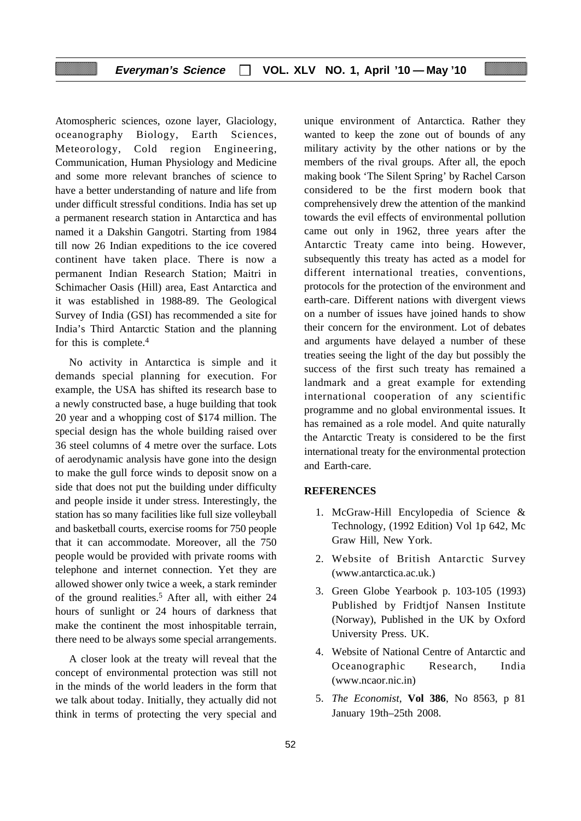#### **Everyman's Science VOL. XLV NO. 1, April '10 — May '10**

Atomospheric sciences, ozone layer, Glaciology, oceanography Biology, Earth Sciences, Meteorology, Cold region Engineering, Communication, Human Physiology and Medicine and some more relevant branches of science to have a better understanding of nature and life from under difficult stressful conditions. India has set up a permanent research station in Antarctica and has named it a Dakshin Gangotri. Starting from 1984 till now 26 Indian expeditions to the ice covered continent have taken place. There is now a permanent Indian Research Station; Maitri in Schimacher Oasis (Hill) area, East Antarctica and it was established in 1988-89. The Geological Survey of India (GSI) has recommended a site for India's Third Antarctic Station and the planning for this is complete.4

No activity in Antarctica is simple and it demands special planning for execution. For example, the USA has shifted its research base to a newly constructed base, a huge building that took 20 year and a whopping cost of \$174 million. The special design has the whole building raised over 36 steel columns of 4 metre over the surface. Lots of aerodynamic analysis have gone into the design to make the gull force winds to deposit snow on a side that does not put the building under difficulty and people inside it under stress. Interestingly, the station has so many facilities like full size volleyball and basketball courts, exercise rooms for 750 people that it can accommodate. Moreover, all the 750 people would be provided with private rooms with telephone and internet connection. Yet they are allowed shower only twice a week, a stark reminder of the ground realities.<sup>5</sup> After all, with either 24 hours of sunlight or 24 hours of darkness that make the continent the most inhospitable terrain, there need to be always some special arrangements.

A closer look at the treaty will reveal that the concept of environmental protection was still not in the minds of the world leaders in the form that we talk about today. Initially, they actually did not think in terms of protecting the very special and

unique environment of Antarctica. Rather they wanted to keep the zone out of bounds of any military activity by the other nations or by the members of the rival groups. After all, the epoch making book 'The Silent Spring' by Rachel Carson considered to be the first modern book that comprehensively drew the attention of the mankind towards the evil effects of environmental pollution came out only in 1962, three years after the Antarctic Treaty came into being. However, subsequently this treaty has acted as a model for different international treaties, conventions, protocols for the protection of the environment and earth-care. Different nations with divergent views on a number of issues have joined hands to show their concern for the environment. Lot of debates and arguments have delayed a number of these treaties seeing the light of the day but possibly the success of the first such treaty has remained a landmark and a great example for extending international cooperation of any scientific programme and no global environmental issues. It has remained as a role model. And quite naturally the Antarctic Treaty is considered to be the first international treaty for the environmental protection and Earth-care.

#### **REFERENCES**

- 1. McGraw-Hill Encylopedia of Science & Technology, (1992 Edition) Vol 1p 642, Mc Graw Hill, New York.
- 2. Website of British Antarctic Survey (www.antarctica.ac.uk.)
- 3. Green Globe Yearbook p. 103-105 (1993) Published by Fridtjof Nansen Institute (Norway), Published in the UK by Oxford University Press. UK.
- 4. Website of National Centre of Antarctic and Oceanographic Research, India (www.ncaor.nic.in)
- 5. *The Economist*, **Vol 386**, No 8563, p 81 January 19th–25th 2008.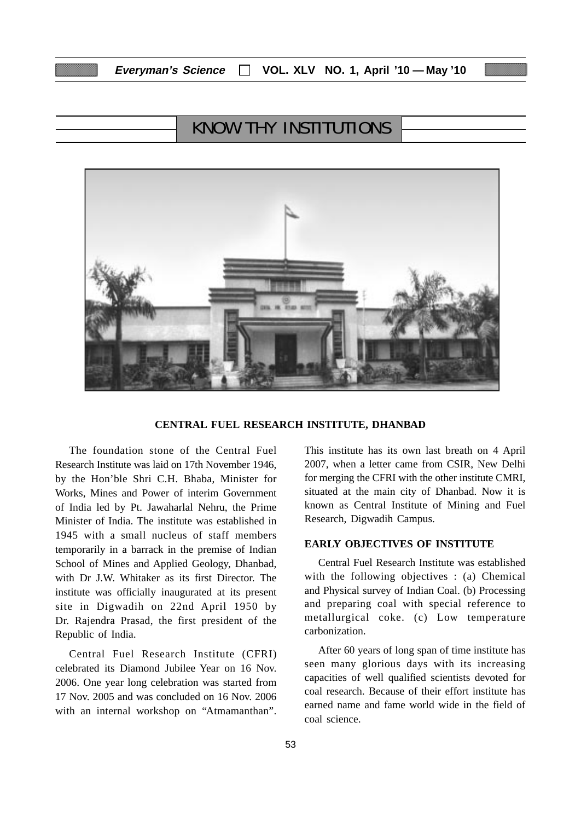# KNOW THY INSTITUTIONS



#### **CENTRAL FUEL RESEARCH INSTITUTE, DHANBAD**

The foundation stone of the Central Fuel Research Institute was laid on 17th November 1946, by the Hon'ble Shri C.H. Bhaba, Minister for Works, Mines and Power of interim Government of India led by Pt. Jawaharlal Nehru, the Prime Minister of India. The institute was established in 1945 with a small nucleus of staff members temporarily in a barrack in the premise of Indian School of Mines and Applied Geology, Dhanbad, with Dr J.W. Whitaker as its first Director. The institute was officially inaugurated at its present site in Digwadih on 22nd April 1950 by Dr. Rajendra Prasad, the first president of the Republic of India.

Central Fuel Research Institute (CFRI) celebrated its Diamond Jubilee Year on 16 Nov. 2006. One year long celebration was started from 17 Nov. 2005 and was concluded on 16 Nov. 2006 with an internal workshop on "Atmamanthan".

This institute has its own last breath on 4 April 2007, when a letter came from CSIR, New Delhi for merging the CFRI with the other institute CMRI, situated at the main city of Dhanbad. Now it is known as Central Institute of Mining and Fuel Research, Digwadih Campus.

#### **EARLY OBJECTIVES OF INSTITUTE**

Central Fuel Research Institute was established with the following objectives : (a) Chemical and Physical survey of Indian Coal. (b) Processing and preparing coal with special reference to metallurgical coke. (c) Low temperature carbonization.

After 60 years of long span of time institute has seen many glorious days with its increasing capacities of well qualified scientists devoted for coal research. Because of their effort institute has earned name and fame world wide in the field of coal science.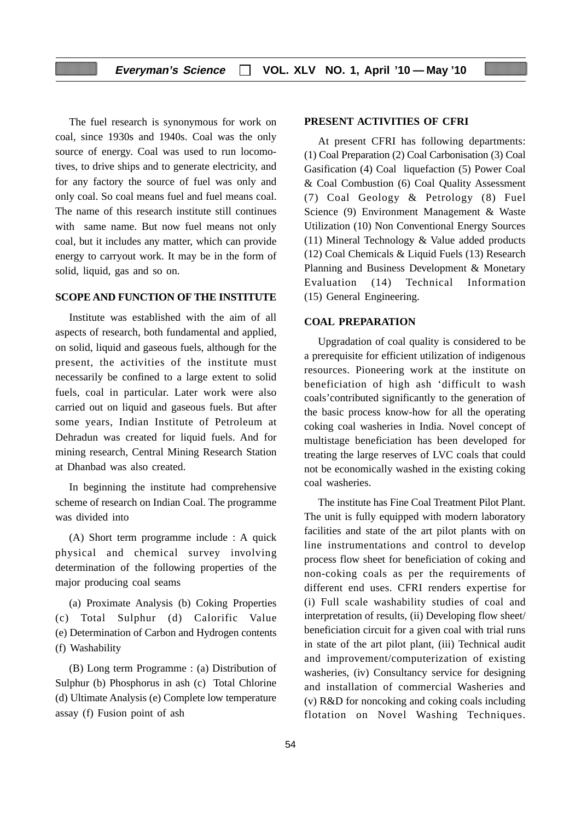The fuel research is synonymous for work on coal, since 1930s and 1940s. Coal was the only source of energy. Coal was used to run locomotives, to drive ships and to generate electricity, and for any factory the source of fuel was only and only coal. So coal means fuel and fuel means coal. The name of this research institute still continues with same name. But now fuel means not only coal, but it includes any matter, which can provide energy to carryout work. It may be in the form of solid, liquid, gas and so on.

#### **SCOPE AND FUNCTION OF THE INSTITUTE**

Institute was established with the aim of all aspects of research, both fundamental and applied, on solid, liquid and gaseous fuels, although for the present, the activities of the institute must necessarily be confined to a large extent to solid fuels, coal in particular. Later work were also carried out on liquid and gaseous fuels. But after some years, Indian Institute of Petroleum at Dehradun was created for liquid fuels. And for mining research, Central Mining Research Station at Dhanbad was also created.

In beginning the institute had comprehensive scheme of research on Indian Coal. The programme was divided into

(A) Short term programme include : A quick physical and chemical survey involving determination of the following properties of the major producing coal seams

(a) Proximate Analysis (b) Coking Properties (c) Total Sulphur (d) Calorific Value (e) Determination of Carbon and Hydrogen contents (f) Washability

(B) Long term Programme : (a) Distribution of Sulphur (b) Phosphorus in ash (c) Total Chlorine (d) Ultimate Analysis (e) Complete low temperature assay (f) Fusion point of ash

#### **PRESENT ACTIVITIES OF CFRI**

At present CFRI has following departments: (1) Coal Preparation (2) Coal Carbonisation (3) Coal Gasification (4) Coal liquefaction (5) Power Coal & Coal Combustion (6) Coal Quality Assessment (7) Coal Geology & Petrology (8) Fuel Science (9) Environment Management & Waste Utilization (10) Non Conventional Energy Sources (11) Mineral Technology & Value added products (12) Coal Chemicals & Liquid Fuels (13) Research Planning and Business Development & Monetary Evaluation (14) Technical Information (15) General Engineering.

#### **COAL PREPARATION**

Upgradation of coal quality is considered to be a prerequisite for efficient utilization of indigenous resources. Pioneering work at the institute on beneficiation of high ash 'difficult to wash coals'contributed significantly to the generation of the basic process know-how for all the operating coking coal washeries in India. Novel concept of multistage beneficiation has been developed for treating the large reserves of LVC coals that could not be economically washed in the existing coking coal washeries.

The institute has Fine Coal Treatment Pilot Plant. The unit is fully equipped with modern laboratory facilities and state of the art pilot plants with on line instrumentations and control to develop process flow sheet for beneficiation of coking and non-coking coals as per the requirements of different end uses. CFRI renders expertise for (i) Full scale washability studies of coal and interpretation of results, (ii) Developing flow sheet/ beneficiation circuit for a given coal with trial runs in state of the art pilot plant, (iii) Technical audit and improvement/computerization of existing washeries, (iv) Consultancy service for designing and installation of commercial Washeries and (v) R&D for noncoking and coking coals including flotation on Novel Washing Techniques.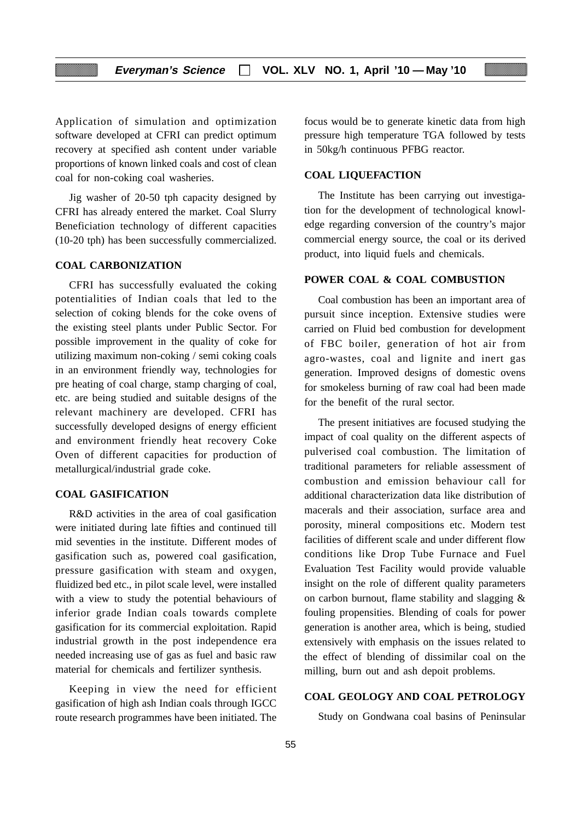Application of simulation and optimization software developed at CFRI can predict optimum recovery at specified ash content under variable proportions of known linked coals and cost of clean coal for non-coking coal washeries.

Jig washer of 20-50 tph capacity designed by CFRI has already entered the market. Coal Slurry Beneficiation technology of different capacities (10-20 tph) has been successfully commercialized.

#### **COAL CARBONIZATION**

CFRI has successfully evaluated the coking potentialities of Indian coals that led to the selection of coking blends for the coke ovens of the existing steel plants under Public Sector. For possible improvement in the quality of coke for utilizing maximum non-coking / semi coking coals in an environment friendly way, technologies for pre heating of coal charge, stamp charging of coal, etc. are being studied and suitable designs of the relevant machinery are developed. CFRI has successfully developed designs of energy efficient and environment friendly heat recovery Coke Oven of different capacities for production of metallurgical/industrial grade coke.

#### **COAL GASIFICATION**

R&D activities in the area of coal gasification were initiated during late fifties and continued till mid seventies in the institute. Different modes of gasification such as, powered coal gasification, pressure gasification with steam and oxygen, fluidized bed etc., in pilot scale level, were installed with a view to study the potential behaviours of inferior grade Indian coals towards complete gasification for its commercial exploitation. Rapid industrial growth in the post independence era needed increasing use of gas as fuel and basic raw material for chemicals and fertilizer synthesis.

Keeping in view the need for efficient gasification of high ash Indian coals through IGCC route research programmes have been initiated. The focus would be to generate kinetic data from high pressure high temperature TGA followed by tests in 50kg/h continuous PFBG reactor.

#### **COAL LIQUEFACTION**

The Institute has been carrying out investigation for the development of technological knowledge regarding conversion of the country's major commercial energy source, the coal or its derived product, into liquid fuels and chemicals.

#### **POWER COAL & COAL COMBUSTION**

Coal combustion has been an important area of pursuit since inception. Extensive studies were carried on Fluid bed combustion for development of FBC boiler, generation of hot air from agro-wastes, coal and lignite and inert gas generation. Improved designs of domestic ovens for smokeless burning of raw coal had been made for the benefit of the rural sector.

The present initiatives are focused studying the impact of coal quality on the different aspects of pulverised coal combustion. The limitation of traditional parameters for reliable assessment of combustion and emission behaviour call for additional characterization data like distribution of macerals and their association, surface area and porosity, mineral compositions etc. Modern test facilities of different scale and under different flow conditions like Drop Tube Furnace and Fuel Evaluation Test Facility would provide valuable insight on the role of different quality parameters on carbon burnout, flame stability and slagging & fouling propensities. Blending of coals for power generation is another area, which is being, studied extensively with emphasis on the issues related to the effect of blending of dissimilar coal on the milling, burn out and ash depoit problems.

### **COAL GEOLOGY AND COAL PETROLOGY**

Study on Gondwana coal basins of Peninsular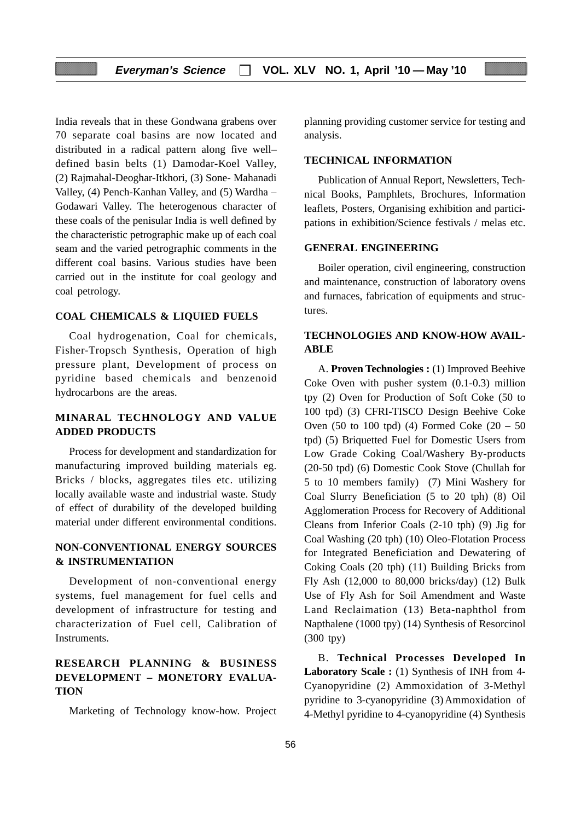India reveals that in these Gondwana grabens over 70 separate coal basins are now located and distributed in a radical pattern along five well– defined basin belts (1) Damodar-Koel Valley, (2) Rajmahal-Deoghar-Itkhori, (3) Sone- Mahanadi Valley, (4) Pench-Kanhan Valley, and (5) Wardha – Godawari Valley. The heterogenous character of these coals of the penisular India is well defined by the characteristic petrographic make up of each coal seam and the varied petrographic comments in the different coal basins. Various studies have been carried out in the institute for coal geology and coal petrology.

#### **COAL CHEMICALS & LIQUIED FUELS**

Coal hydrogenation, Coal for chemicals, Fisher-Tropsch Synthesis, Operation of high pressure plant, Development of process on pyridine based chemicals and benzenoid hydrocarbons are the areas.

## **MINARAL TECHNOLOGY AND VALUE ADDED PRODUCTS**

Process for development and standardization for manufacturing improved building materials eg. Bricks / blocks, aggregates tiles etc. utilizing locally available waste and industrial waste. Study of effect of durability of the developed building material under different environmental conditions.

## **NON-CONVENTIONAL ENERGY SOURCES & INSTRUMENTATION**

Development of non-conventional energy systems, fuel management for fuel cells and development of infrastructure for testing and characterization of Fuel cell, Calibration of Instruments.

## **RESEARCH PLANNING & BUSINESS DEVELOPMENT – MONETORY EVALUA-TION**

Marketing of Technology know-how. Project

planning providing customer service for testing and analysis.

#### **TECHNICAL INFORMATION**

Publication of Annual Report, Newsletters, Technical Books, Pamphlets, Brochures, Information leaflets, Posters, Organising exhibition and participations in exhibition/Science festivals / melas etc.

#### **GENERAL ENGINEERING**

Boiler operation, civil engineering, construction and maintenance, construction of laboratory ovens and furnaces, fabrication of equipments and structures.

## **TECHNOLOGIES AND KNOW-HOW AVAIL-ABLE**

A. **Proven Technologies :** (1) Improved Beehive Coke Oven with pusher system (0.1-0.3) million tpy (2) Oven for Production of Soft Coke (50 to 100 tpd) (3) CFRI-TISCO Design Beehive Coke Oven (50 to 100 tpd) (4) Formed Coke  $(20 - 50)$ tpd) (5) Briquetted Fuel for Domestic Users from Low Grade Coking Coal/Washery By-products (20-50 tpd) (6) Domestic Cook Stove (Chullah for 5 to 10 members family) (7) Mini Washery for Coal Slurry Beneficiation (5 to 20 tph) (8) Oil Agglomeration Process for Recovery of Additional Cleans from Inferior Coals (2-10 tph) (9) Jig for Coal Washing (20 tph) (10) Oleo-Flotation Process for Integrated Beneficiation and Dewatering of Coking Coals (20 tph) (11) Building Bricks from Fly Ash (12,000 to 80,000 bricks/day) (12) Bulk Use of Fly Ash for Soil Amendment and Waste Land Reclaimation (13) Beta-naphthol from Napthalene (1000 tpy) (14) Synthesis of Resorcinol (300 tpy)

B. **Technical Processes Developed In Laboratory Scale :** (1) Synthesis of INH from 4- Cyanopyridine (2) Ammoxidation of 3-Methyl pyridine to 3-cyanopyridine (3)Ammoxidation of 4-Methyl pyridine to 4-cyanopyridine (4) Synthesis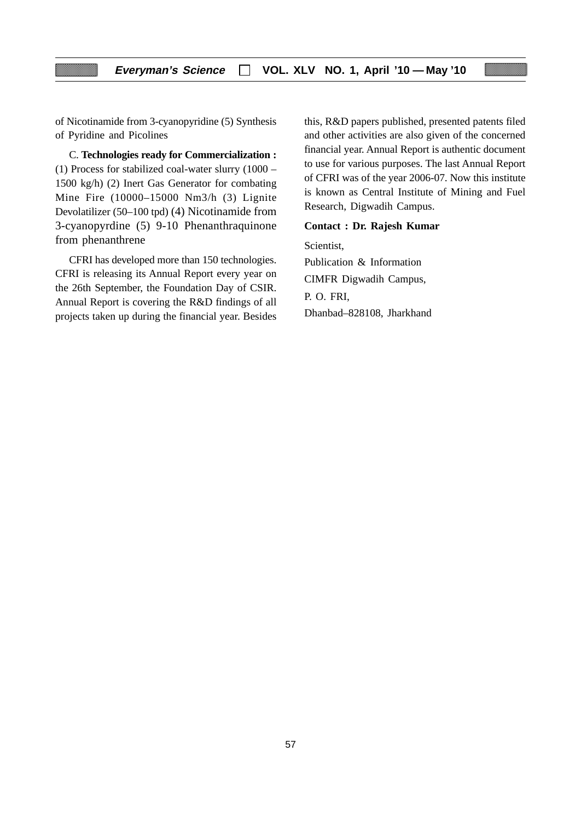of Nicotinamide from 3-cyanopyridine (5) Synthesis of Pyridine and Picolines

C. **Technologies ready for Commercialization :** (1) Process for stabilized coal-water slurry (1000 – 1500 kg/h) (2) Inert Gas Generator for combating Mine Fire (10000–15000 Nm3/h (3) Lignite Devolatilizer (50–100 tpd) (4) Nicotinamide from 3-cyanopyrdine (5) 9-10 Phenanthraquinone from phenanthrene

CFRI has developed more than 150 technologies. CFRI is releasing its Annual Report every year on the 26th September, the Foundation Day of CSIR. Annual Report is covering the R&D findings of all projects taken up during the financial year. Besides this, R&D papers published, presented patents filed and other activities are also given of the concerned financial year. Annual Report is authentic document to use for various purposes. The last Annual Report of CFRI was of the year 2006-07. Now this institute is known as Central Institute of Mining and Fuel Research, Digwadih Campus.

#### **Contact : Dr. Rajesh Kumar**

Scientist, Publication & Information CIMFR Digwadih Campus, P. O. FRI, Dhanbad–828108, Jharkhand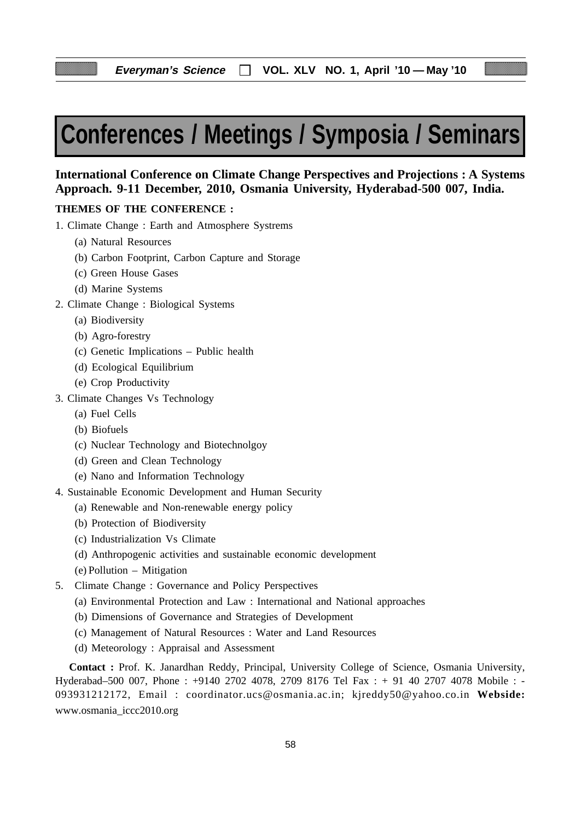# **Conferences / Meetings / Symposia / Seminars**

## **International Conference on Climate Change Perspectives and Projections : A Systems Approach. 9-11 December, 2010, Osmania University, Hyderabad-500 007, India.**

#### **THEMES OF THE CONFERENCE :**

- 1. Climate Change : Earth and Atmosphere Systrems
	- (a) Natural Resources
	- (b) Carbon Footprint, Carbon Capture and Storage
	- (c) Green House Gases
	- (d) Marine Systems
- 2. Climate Change : Biological Systems
	- (a) Biodiversity
	- (b) Agro-forestry
	- (c) Genetic Implications Public health
	- (d) Ecological Equilibrium
	- (e) Crop Productivity
- 3. Climate Changes Vs Technology
	- (a) Fuel Cells
	- (b) Biofuels
	- (c) Nuclear Technology and Biotechnolgoy
	- (d) Green and Clean Technology
	- (e) Nano and Information Technology
- 4. Sustainable Economic Development and Human Security
	- (a) Renewable and Non-renewable energy policy
	- (b) Protection of Biodiversity
	- (c) Industrialization Vs Climate
	- (d) Anthropogenic activities and sustainable economic development
	- (e) Pollution Mitigation
- 5. Climate Change : Governance and Policy Perspectives
	- (a) Environmental Protection and Law : International and National approaches
	- (b) Dimensions of Governance and Strategies of Development
	- (c) Management of Natural Resources : Water and Land Resources
	- (d) Meteorology : Appraisal and Assessment

**Contact :** Prof. K. Janardhan Reddy, Principal, University College of Science, Osmania University, Hyderabad–500 007, Phone : +9140 2702 4078, 2709 8176 Tel Fax : + 91 40 2707 4078 Mobile : - 093931212172, Email : coordinator.ucs@osmania.ac.in; kjreddy50@yahoo.co.in **Webside:** www.osmania\_iccc2010.org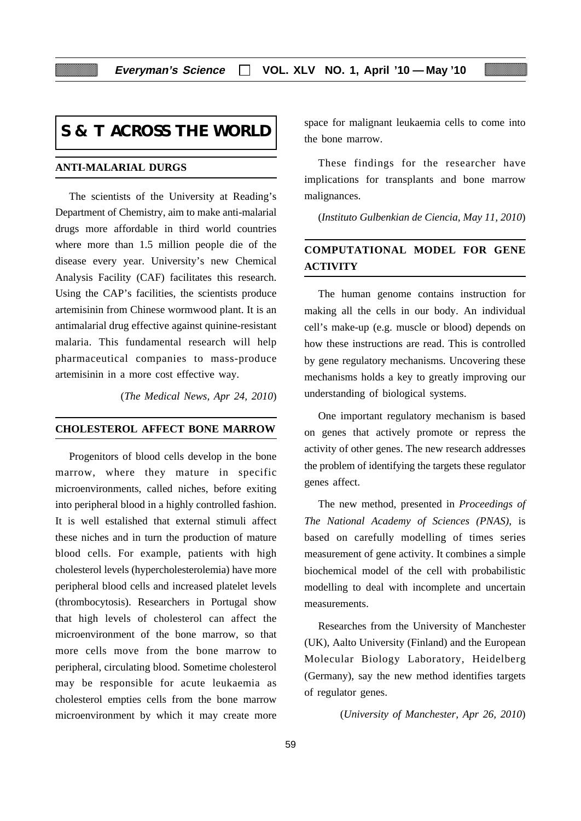## **S & T ACROSS THE WORLD**

#### **ANTI-MALARIAL DURGS**

The scientists of the University at Reading's Department of Chemistry, aim to make anti-malarial drugs more affordable in third world countries where more than 1.5 million people die of the disease every year. University's new Chemical Analysis Facility (CAF) facilitates this research. Using the CAP's facilities, the scientists produce artemisinin from Chinese wormwood plant. It is an antimalarial drug effective against quinine-resistant malaria. This fundamental research will help pharmaceutical companies to mass-produce artemisinin in a more cost effective way.

(*The Medical News, Apr 24, 2010*)

### **CHOLESTEROL AFFECT BONE MARROW**

Progenitors of blood cells develop in the bone marrow, where they mature in specific microenvironments, called niches, before exiting into peripheral blood in a highly controlled fashion. It is well estalished that external stimuli affect these niches and in turn the production of mature blood cells. For example, patients with high cholesterol levels (hypercholesterolemia) have more peripheral blood cells and increased platelet levels (thrombocytosis). Researchers in Portugal show that high levels of cholesterol can affect the microenvironment of the bone marrow, so that more cells move from the bone marrow to peripheral, circulating blood. Sometime cholesterol may be responsible for acute leukaemia as cholesterol empties cells from the bone marrow microenvironment by which it may create more

space for malignant leukaemia cells to come into the bone marrow.

These findings for the researcher have implications for transplants and bone marrow malignances.

(*Instituto Gulbenkian de Ciencia, May 11, 2010*)

## **COMPUTATIONAL MODEL FOR GENE ACTIVITY**

The human genome contains instruction for making all the cells in our body. An individual cell's make-up (e.g. muscle or blood) depends on how these instructions are read. This is controlled by gene regulatory mechanisms. Uncovering these mechanisms holds a key to greatly improving our understanding of biological systems.

One important regulatory mechanism is based on genes that actively promote or repress the activity of other genes. The new research addresses the problem of identifying the targets these regulator genes affect.

The new method, presented in *Proceedings of The National Academy of Sciences (PNAS)*, is based on carefully modelling of times series measurement of gene activity. It combines a simple biochemical model of the cell with probabilistic modelling to deal with incomplete and uncertain measurements.

Researches from the University of Manchester (UK), Aalto University (Finland) and the European Molecular Biology Laboratory, Heidelberg (Germany), say the new method identifies targets of regulator genes.

(*University of Manchester, Apr 26, 2010*)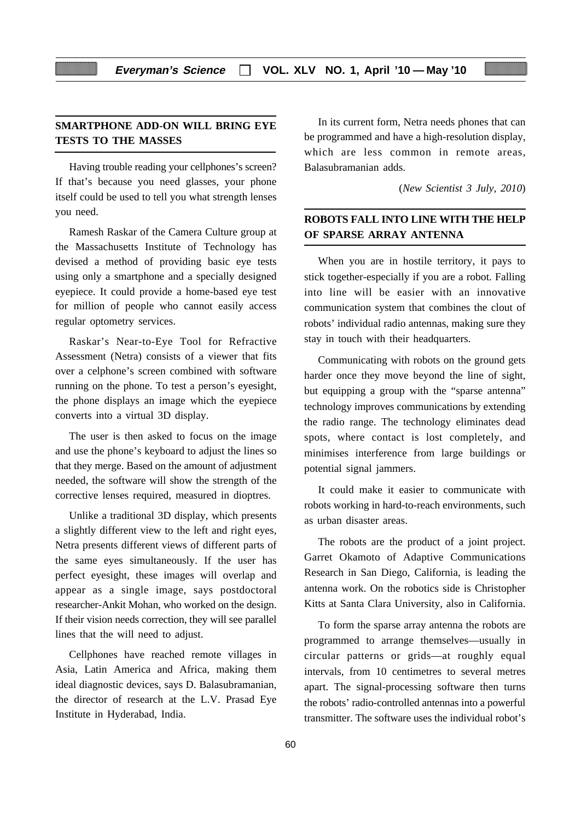## **SMARTPHONE ADD-ON WILL BRING EYE TESTS TO THE MASSES**

Having trouble reading your cellphones's screen? If that's because you need glasses, your phone itself could be used to tell you what strength lenses you need.

Ramesh Raskar of the Camera Culture group at the Massachusetts Institute of Technology has devised a method of providing basic eye tests using only a smartphone and a specially designed eyepiece. It could provide a home-based eye test for million of people who cannot easily access regular optometry services.

Raskar's Near-to-Eye Tool for Refractive Assessment (Netra) consists of a viewer that fits over a celphone's screen combined with software running on the phone. To test a person's eyesight, the phone displays an image which the eyepiece converts into a virtual 3D display.

The user is then asked to focus on the image and use the phone's keyboard to adjust the lines so that they merge. Based on the amount of adjustment needed, the software will show the strength of the corrective lenses required, measured in dioptres.

Unlike a traditional 3D display, which presents a slightly different view to the left and right eyes, Netra presents different views of different parts of the same eyes simultaneously. If the user has perfect eyesight, these images will overlap and appear as a single image, says postdoctoral researcher-Ankit Mohan, who worked on the design. If their vision needs correction, they will see parallel lines that the will need to adjust.

Cellphones have reached remote villages in Asia, Latin America and Africa, making them ideal diagnostic devices, says D. Balasubramanian, the director of research at the L.V. Prasad Eye Institute in Hyderabad, India.

In its current form, Netra needs phones that can be programmed and have a high-resolution display, which are less common in remote areas, Balasubramanian adds.

(*New Scientist 3 July, 2010*)

## **ROBOTS FALL INTO LINE WITH THE HELP OF SPARSE ARRAY ANTENNA**

When you are in hostile territory, it pays to stick together-especially if you are a robot. Falling into line will be easier with an innovative communication system that combines the clout of robots' individual radio antennas, making sure they stay in touch with their headquarters.

Communicating with robots on the ground gets harder once they move beyond the line of sight, but equipping a group with the "sparse antenna" technology improves communications by extending the radio range. The technology eliminates dead spots, where contact is lost completely, and minimises interference from large buildings or potential signal jammers.

It could make it easier to communicate with robots working in hard-to-reach environments, such as urban disaster areas.

The robots are the product of a joint project. Garret Okamoto of Adaptive Communications Research in San Diego, California, is leading the antenna work. On the robotics side is Christopher Kitts at Santa Clara University, also in California.

To form the sparse array antenna the robots are programmed to arrange themselves—usually in circular patterns or grids—at roughly equal intervals, from 10 centimetres to several metres apart. The signal-processing software then turns the robots' radio-controlled antennas into a powerful transmitter. The software uses the individual robot's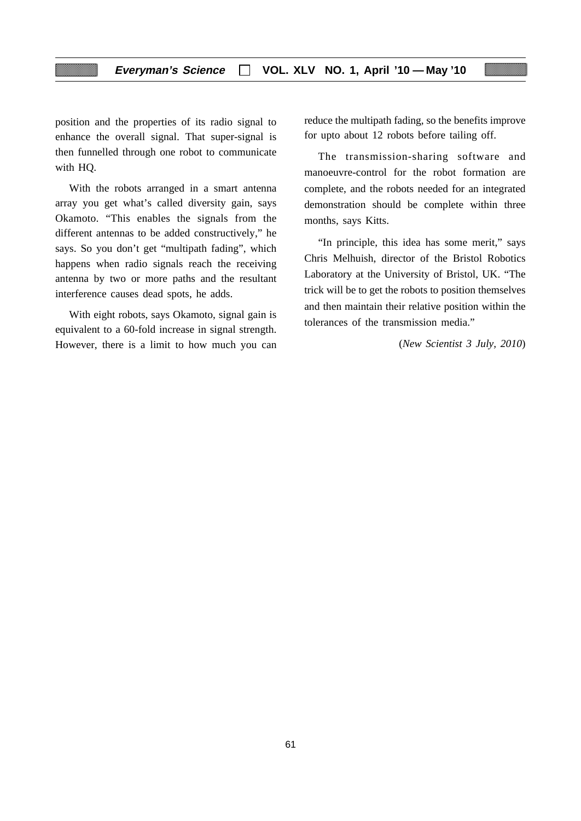## **Everyman's Science VOL. XLV NO. 1, April '10 — May '10**

position and the properties of its radio signal to enhance the overall signal. That super-signal is then funnelled through one robot to communicate with HQ.

With the robots arranged in a smart antenna array you get what's called diversity gain, says Okamoto. "This enables the signals from the different antennas to be added constructively," he says. So you don't get "multipath fading", which happens when radio signals reach the receiving antenna by two or more paths and the resultant interference causes dead spots, he adds.

With eight robots, says Okamoto, signal gain is equivalent to a 60-fold increase in signal strength. However, there is a limit to how much you can reduce the multipath fading, so the benefits improve for upto about 12 robots before tailing off.

The transmission-sharing software and manoeuvre-control for the robot formation are complete, and the robots needed for an integrated demonstration should be complete within three months, says Kitts.

"In principle, this idea has some merit," says Chris Melhuish, director of the Bristol Robotics Laboratory at the University of Bristol, UK. "The trick will be to get the robots to position themselves and then maintain their relative position within the tolerances of the transmission media."

(*New Scientist 3 July, 2010*)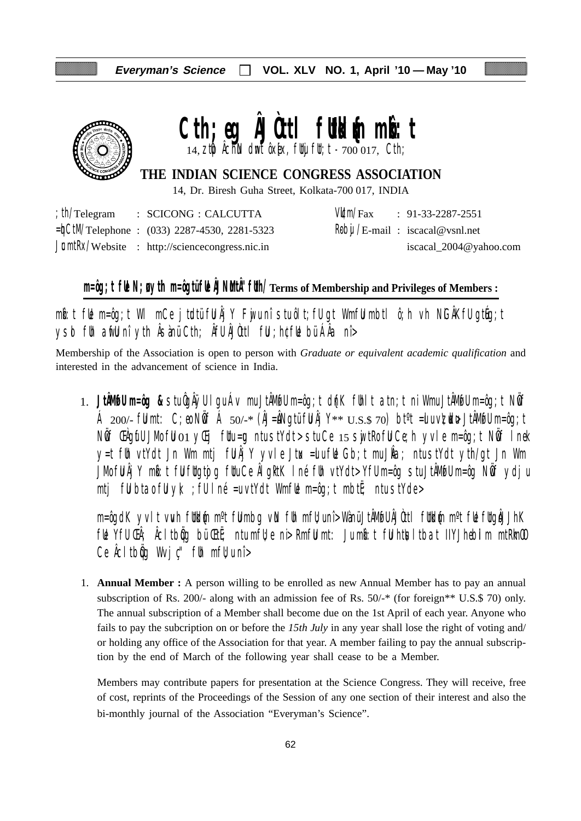

# Cth;eg **AJOttl futkl**{m mbott

14,  $z$ t $\phi$  Âchin dmt ôx[ex, futuj fut; t -  $700017$ , Cth;

**THE INDIAN SCIENCE CONGRESS ASSOCIATION**

14, Dr. Biresh Guha Street, Kolkata-700 017, INDIA

|  | $\therefore$ th/Telegram $\therefore$ SCICONG $\therefore$ CALCUTTA |  | $V/Lm/Fax$ : 91-33-2287-2551                     |
|--|---------------------------------------------------------------------|--|--------------------------------------------------|
|  | $=\n\frac{1}{2}$ CtM/Telephone : (033) 2287-4530, 2281-5323         |  | $\frac{R}{\theta}$ bij /E-mail: iscacal@vsnl.net |
|  | $J$ <b>c</b> mtRx/Website : http://sciencecongress.nic.in           |  | iscacal_2004@yahoo.com                           |

# **m=ôg;t fUe N;uø ytih m=ôgtü fUe ÂJNuMtÂ"fUth/Terms of Membership and Privileges of Members :**

 $m$ b:t fue m=ôg;t WI mCe jtudtü fu Âj Y Fuju nî stu ôlt;fu gt Wmfu mbtl ô;h vh NiGÂKfu gtueg;t ysd fih arfli nî yth Âsànü Cth; Âfli ÂJùttl fii ; h¢fli bü ÁÂa nî>

Membership of the Association is open to person with *Graduate or equivalent academic qualification* and interested in the advancement of science in India.

1. **JtÂMøfU m=ôg &** stu ÔgÂÿU lgu Áv mu JtÂMøfU m=ôg;t d{nK fUhlt atn;t ni Wmu JtÂMøfU m=ôg;t NwÖf Á 200/- fümt: C;eo Nöf Á 50/-\* (ÂJ=åNgtü fü Âj Y\*\*  $U.S.S.$  70) bt<sup>o</sup>t =ulu v $\nabla$ udu+ JtÂMofu m=ôg;t Nif ŒAgifU JMo fiJ 01 yŒij fUtu=¤ ntu stYdt> stu Ce 15 swjtRo fiJ Ce;h yvle m=ôg;t Nif I nek y=t füh vtYdt Jn Wm mtj fü $\hat{A}$ jY yvle Jtux =ulu fül Gb;t mu J $\hat{A}a$ ; ntu stYdt yth/gt Jn Wm JMo fü Âj Y mbi:t fü füqtojq füu Ce ÂlgktK I né füh vtYdt> Yfü m=ôg stu JtÂMofü m=ôg Nöf ydju mtj fülbta $\delta$  fülyk; ; fülné =u vtYdt WmfWe m=ôg;t mbtË; ntu stYde>

m=ôgdK yvlt vwh füldin m°t fülmbg vin füh mfü;unî> Wànü JtÂMofü ÂJÒttl füldin m°t füe fügiÅJhK  $f$ u Yfu  $f$ A $f$ )  $f$  A $f$  tb $\ddot{g}$  bu  $f$ tt $\ddot{f}$ ; ntu mfl $f$ e n $\dot{\triangleright}$  Rmfu mt: Ju mbot ful htusltbat IIYJhebilm mtRkm $f$ Ce  $\hat{A}$ cltb $\hat{q}$ g Wvj $\hat{c}$ " f $\hat{b}$ h mf $\hat{b}$ u nî >

1. **Annual Member :** A person willing to be enrolled as new Annual Member has to pay an annual subscription of Rs. 200/- along with an admission fee of Rs. 50/-\* (for foreign\*\* U.S.\$ 70) only. The annual subscription of a Member shall become due on the 1st April of each year. Anyone who fails to pay the subcription on or before the *15th July* in any year shall lose the right of voting and/ or holding any office of the Association for that year. A member failing to pay the annual subscription by the end of March of the following year shall cease to be a Member.

Members may contribute papers for presentation at the Science Congress. They will receive, free of cost, reprints of the Proceedings of the Session of any one section of their interest and also the bi-monthly journal of the Association "Everyman's Science".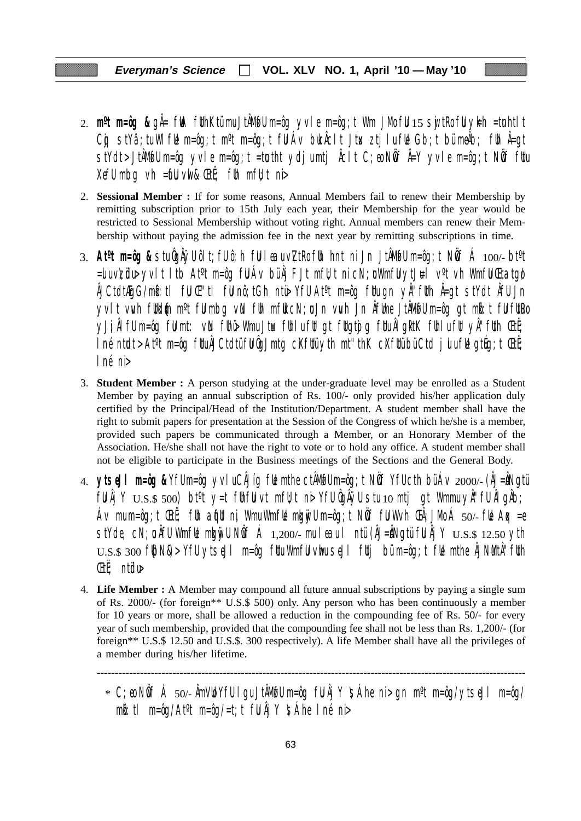- 2. **m<sup>o</sup>t m=ôg &** gÅ= fWA fUthKtümu JtÅMwfU m=ôg yvle m=ôg;t Wm JMo fU 15 swjtRo fU yk=h =tunhtlt Cg stYâ;tu WlfUe m=ôg;t m<sup>o</sup>t m=ôg;t fU Áv buk Âclt Jtux ztjlu fUe Gb;t bü meÂb; fUn Â=gt stYdt>JtÂM@Um=ôg yvle m=ôg;t =tœtht ydjumtj Åclt C;eo NÖf Å=Y yvle m=ôg;t NÖf fUu XefU mbg vh =  $\mathbf{f}$ U vwl &  $\mathbf{E}$ t $\ddot{\mathbf{f}}$ ; fUh mfU; t ni
- 2. **Sessional Member :** If for some reasons, Annual Members fail to renew their Membership by remitting subscription prior to 15th July each year, their Membership for the year would be restricted to Sessional Membership without voting right. Annual members can renew their Membership without paying the admission fee in the next year by remitting subscriptions in time.
- 3. **Atºt m=ôg &** stu ÔgÂÿU ôlt;fU ô;h fuU leau v\ZtRo fUh hnt ni Jn JtÂMøfU m=ôg;t NwÖf Á 100/- btºt  $=$ uvzülu yvlt ltb At<sup>o</sup>t m=ôg ful Áv bü Âj FJt mfu;t ni cN;u Wmfu ytJ#l v<sup>o</sup>t vh Wmfu Ctatgo ÂJCtdtÆgG/mkô:tl fuU Œ"tl fuU nô;tGh ntü> YfU Atºt m=ôg fUtu gn yÂ"fUth Â=gt stYdt ÂfU Jn yvlt vwh futkum m<sup>o</sup>t fulmbg vin fuh mfut cN;u Jn vwh Jn Âfume JtÂMofu m=ôg gt mbit ful futro yJi;ÂlfU m=ôg fümt: vin fühü> Wmu Jtux fühlu füt gt fütgtojg fütu ÂlgktK fühlu füt yÂ"füth ŒtË;  $\ln$ é ntudt > At<sup>o</sup>t m=ôg futu $\hat{A}$ JCtdtü fu $\hat{Q}$ Jmtg c $X$ futü yth mt"thK c $X$ futü bü Ctd julu fue gtúg;t Œtë; lné ni>
- 3. **Student Member :** A person studying at the under-graduate level may be enrolled as a Student Member by paying an annual subscription of Rs. 100/- only provided his/her application duly certified by the Principal/Head of the Institution/Department. A student member shall have the right to submit papers for presentation at the Session of the Congress of which he/she is a member, provided such papers be communicated through a Member, or an Honorary Member of the Association. He/she shall not have the right to vote or to hold any office. A student member shall not be eligible to participate in the Business meetings of the Sections and the General Body.
- 4. **ytseJl m=ôg &** YfU m=ôg yvlu CÂJíg fUe mthe ctÂMøfU m=ôg;t NwÖf YfU cth bü Áv 2000/- (ÂJ=uÂNgtü  $f \llbracket \mathbf{U} \rrbracket$   $\llbracket \mathbf{Y} \rrbracket$   $\cup$   $\llbracket \mathbf{S} \rrbracket$   $\llbracket \mathbf{S} \rrbracket$  bt<sup>o</sup>t  $\lor$   $\llbracket \mathbf{U} \rrbracket$   $\llbracket \mathbf{U} \rrbracket$   $\llbracket \mathbf{U} \rrbracket$   $\llbracket \mathbf{U} \rrbracket$   $\llbracket \mathbf{U} \rrbracket$   $\llbracket \mathbf{U} \rrbracket$   $\llbracket \mathbf{U} \rrbracket$   $\llbracket \mathbf{U} \rrbracket$ Áv mu m=ôg;t ŒtË; fUh aqfut ni, Wmu WmfLe mkgnivU m=ôg;t NÖff fU W $\vee$ h ŒÂ;JMo Á 50/- fLe Aqx =e stYde, cN;  $\mathfrak a$  ÂfU WmfUe mku vull N $\mathfrak b$ f Á 1,200/- mu leau l ntü (ÂJ=ÂNgtü fU Âj Y  $\mathop{\rm U.S.}\nolimits$  12.50 yth  $U.S.S.$  300 f $|bN\&>$  YfU ytseJI m=ôg fUtu WmfU vhu seJI fUtj bü m=ôg;t fUe mthe ÅJNMtÅ''fUth ŒtË; ntüdu>
- 4. **Life Member :** A Member may compound all future annual subscriptions by paying a single sum of Rs. 2000/- (for foreign\*\* U.S.\$ 500) only. Any person who has been continuously a member for 10 years or more, shall be allowed a reduction in the compounding fee of Rs. 50/- for every year of such membership, provided that the compounding fee shall not be less than Rs. 1,200/- (for foreign\*\* U.S.\$ 12.50 and U.S.\$. 300 respectively). A life Member shall have all the privileges of a member during his/her lifetime.

 $*$  C;eo NÖf Á 50/- ÂmVLO YfU I gu JtÂMufU m=ôg fU Âj Y  $\mathfrak{S}$ Áhe ni > gn m $\mathfrak{m}$ =ôg/ytseJl m=ôg/  $m\ddot{\bm{\delta}}$ :tl m=ôg/At<sup>o</sup>t m=ôg/=t;t fül Âj Y \sáhe Iné ni>

<sup>-----------------------------------------------------------------------------------------------------------------------</sup>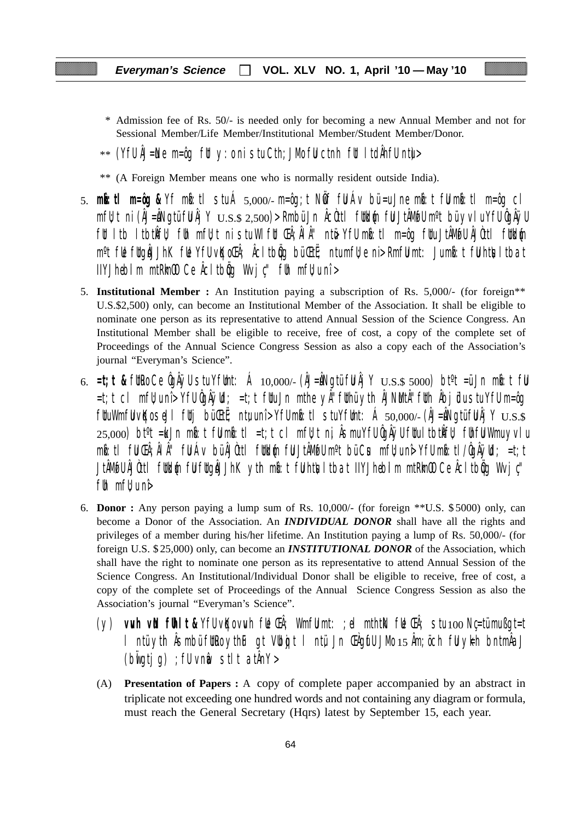- \* Admission fee of Rs. 50/- is needed only for becoming a new Annual Member and not for Sessional Member/Life Member/Institutional Member/Student Member/Donor.
- $**$  (YfU ÅJ=Ne m=ôg fUt y:o ni stu Cth;JMo fU ctnh fUt ItdÄhfU ntu $>$
- \*\* (A Foreign Member means one who is normally resident outside India).
- 5. **mkô:tl m=ôg &** Yf mkô:tl stu Á 5,000/- m=ôg;t NwÖf fuU Áv bü =u Jne mkô:t fuU mkô:tl m=ôg cl  $mf$ u;t ni (ÂJ=ÂNgtü fu Âj Y  $_{\rm U.S.S.}$   $_{\rm 2,500}$ )> Rmbü Jn Âcùttl futkum fu JtÂMofu m°t bü yvlu Yfu ÔgÂÿu fut ltb ltbtkÎfu); fuh mfujt ni stu Wlfut Chi; ÂlÂ'' ntë Yfu mbi:tl m=ôg futu JtÂMøfu ÂJÒttl futklýn m<sup>o</sup>t fl**e** fltgåJJhK fle YfU vKoCh; Åcltbig bü Ctt; ntumfl;e ni> RmfU mt: Jumb:t fU htlsltbat  $I$ IYJhebilm mtRm $\omega$  Ce  $\hat{A}$ cltb $\hat{q}$ q Wvj $\psi$ " fuh mf $\psi$ u nî >
- 5. **Institutional Member :** An Institution paying a subscription of Rs. 5,000/- (for foreign\*\* U.S.\$2,500) only, can become an Institutional Member of the Association. It shall be eligible to nominate one person as its representative to attend Annual Session of the Science Congress. An Institutional Member shall be eligible to receive, free of cost, a copy of the complete set of Proceedings of the Annual Science Congress Session as also a copy each of the Association's journal "Everyman's Science".
- 6.  $=t$ ;**t &** futro Ce ÔgÂÿU stu YfUmt: Á 10,000/- (ÂJ=ÂNgtü fu Âj Y  $U.S.$ \$ 5000) bt<sup>o</sup>t =ü Jn mbi: t fu =t;t cl mfU;u nî> YfU ÔgÂÿUd; =t;t fUtu Jn mthe yÂ"fUthü ytih ÂJNuMtÂ"fUth Âbjüdu stu YfU m=ôg  $f$ UuWmfU vKo seJl futj bü $F$ uti; ntu unî> YfU mb: tl stu YfUmt: Á 50,000/- (ÂJ=ÂNgtü fu $\AA$ j Y  $_{\rm U.S.}$ s  $25,000$ ) bt $\textdegree t$  =ku Jn mbot fulmbot liet;t cl mfl $t$ t ni, Âsmu YfU ÔgÂÿU fltu ltbtkÎfl $t$  flhfu Wmu yvlu mb:tl fu ŒÂ;ÂlÂ" fu Áv bü ÂJÒttl futkl{n fu JtÂMøTU m°t bü Cus mfU;u nê YfU mb:tl/ÔgÂÿUd; =t;t JtÂM@U ÂJÒttl füldén fül füqåJJhK yth mb:t fühtisltbat IIYJhebilm mtRimOO Ce Âcltbög Wvjç'' f $\mathfrak h$  mf $\mathfrak l$  uni $\mathfrak d$
- 6. **Donor :** Any person paying a lump sum of Rs. 10,000/- (for foreign \*\*U.S. \$ 5000) only, can become a Donor of the Association. An *INDIVIDUAL DONOR* shall have all the rights and privileges of a member during his/her lifetime. An Institution paying a lump of Rs. 50,000/- (for foreign U.S. \$ 25,000) only, can become an *INSTITUTIONAL DONOR* of the Association, which shall have the right to nominate one person as its representative to attend Annual Session of the Science Congress. An Institutional/Individual Donor shall be eligible to receive, free of cost, a copy of the complete set of Proceedings of the Annual Science Congress Session as also the Association's journal "Everyman's Science".
	- (y) **vuvh vuN fUhlt &** YfU vqKo vuvh fUe ŒÂ; WmfuU mt: ;el mthtkN fUe ŒÂ; stu 100 Nç=tü mu ßgt=t l ntü yth Âsmbü futro ythuF gt Vubojt l ntü Jn Chaufu JMo 15 Âm; öch ful ykh bntmÂaJ  $(b$ wigtig) ; fU vnm $a$  stlt at  $AnY >$
	- (A) **Presentation of Papers :** A copy of complete paper accompanied by an abstract in triplicate not exceeding one hundred words and not containing any diagram or formula, must reach the General Secretary (Hqrs) latest by September 15, each year.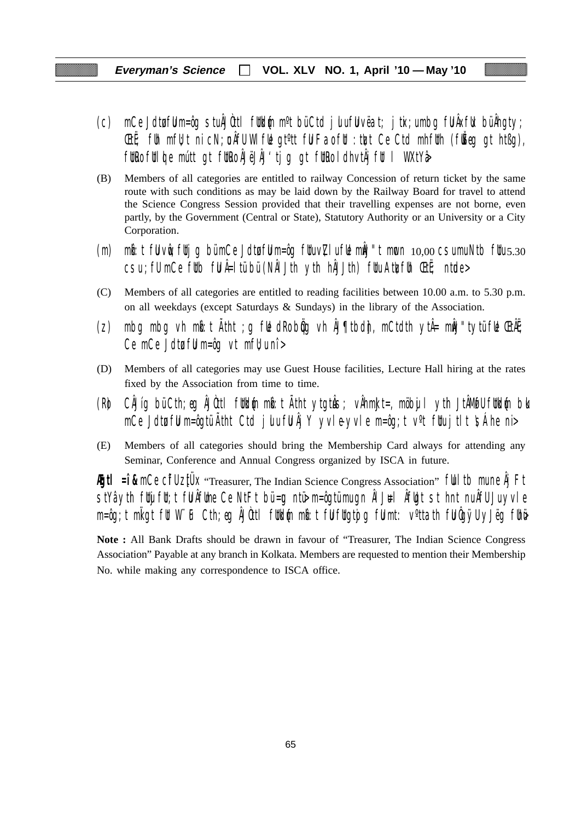- (c) mCe Jdtufuu m=ôg stu ÂJÒttl futkum m<sup>o</sup>t bü Ctd julu fuu vëat; jtix;u mbg fu Âxfuk bü Âhgty; **EtË**; fuh mfU; t ni cN; un AfU WI ful gt<sup>o</sup>tt ful Fao ful : tuzt Ce Ctd mhfuth (fu $\check{E}$ eg gt htßg), fütro fülde mútt gt fütro ÁJëJÄJ'tjg gt fütro ldhvtÅjfül l WXtYå
- (B) Members of all categories are entitled to railway Concession of return ticket by the same route with such conditions as may be laid down by the Railway Board for travel to attend the Science Congress Session provided that their travelling expenses are not borne, even partly, by the Government (Central or State), Statutory Authority or an University or a City Corporation.
- (m) mb: t fu vue; futjg bü mCe Jdtu fu m=ôg fuu v $Z$ lu fue můJ"t mucn  $10,00$  csu mu Ntb fuu  $5.30$  $\overline{c}$ su ; fU mCe futb fu Â=ltü bü (NÂI Jth yth hÂJJth) fuu Atu $\overline{c}$ fuh ŒtË; ntude>
- (C) Members of all categories are entitled to reading facilities between 10.00 a.m. to 5.30 p.m. on all weekdays (except Saturdays & Sundays) in the library of the Association.
- (z) mbg mbg vh m $\mathfrak{b}:$ t Atht ;g f $\mathfrak{b}$  dRo b $\mathfrak{g}$ g vh ÅJ¶tbd $\mathfrak{h}$ , mCtdth ytÅ= m $\mathfrak{h}$ J"tytü f $\mathfrak{b}$  ŒtÃE; Ce mCe Jdtu ful m=ôg vt mfl $\nu$ u nî >
- (D) Members of all categories may use Guest House facilities, Lecture Hall hiring at the rates fixed by the Association from time to time.
- (R) CÂJíg bü Cth;eg ÂJÒttl füld{n mb:t Ätht ytgtuŝ; vÅhmkJt=, möbujl yth JtÂMøfU füld{n blo mCe Jdtu fuu m=ôgtü Ãtht Ctd julu fu Âj Y yvle-yvle m=ôg;t v<sup>o</sup>t fuu jtlt  $\sinh$ e ni>
- (E) Members of all categories should bring the Membership Card always for attending any Seminar, Conference and Annual Congress organized by ISCA in future.

**Egtl = î &** mCe CifU ztUX "Treasurer, The Indian Science Congress Association" full tb mune Âj Ft  $\frac{1}{10}$ stYâ yth fuijfut;t fu Âfume Ce NtFt bü=ug ntü $\frac{1}{10}$  m=ôgtü mu gn ÂlJ $\frac{1}{10}$ l  $\frac{1}{10}$ t st hnt nu ÂfU Ju yvle m=ôg;t mligt fit W¨iF Cth;eg ÂJûttl fitkl{n mb}t fijfligtojg fijmt: v°ttath fijûgÿU yJëg fihë

**Note :** All Bank Drafts should be drawn in favour of "Treasurer, The Indian Science Congress Association" Payable at any branch in Kolkata. Members are requested to mention their Membership No. while making any correspondence to ISCA office.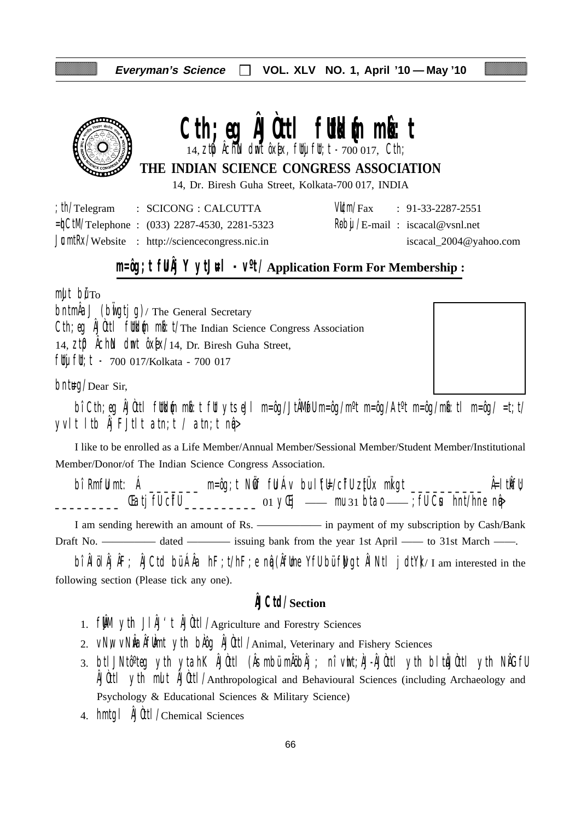

# Cth; eq **AJOttl fulkd**{m m**b**: t

 $14$ ,  $2$ t $\emptyset$  Âchin dmt ôx[x, flty flt; t - 700 017, Cth;

**THE INDIAN SCIENCE CONGRESS ASSOCIATION**

14, Dr. Biresh Guha Street, Kolkata-700 017, INDIA

| th/Telegram | : SCICONG : CALCUTTA                                    |  | $VU/m/Fax$ : 91-33-2287-2551            |
|-------------|---------------------------------------------------------|--|-----------------------------------------|
|             | $=\n\frac{1}{2}$ Telephone : (033) 2287-4530, 2281-5323 |  | $R\theta$ bij /E-mail: iscacal@vsnl.net |
|             | $JcmłRx/Website$ : http://sciencecongress.nic.in        |  | iscacal_2004@yahoo.com                  |

# **m=ôg;t fUÂj Y ytJ#l** -  $V^0t/A$ pplication Form For Membership :

 $m$ ult bu $T<sub>O</sub>$ 

 $\Delta J$  (build ig)/ The General Secretary Cth; eg ÂJÙttl futblin milit/The Indian Science Congress Association 14,  $Zt\mathbf{D}$   $\hat{\theta}$ ch $\hat{\theta}$  dmt  $\hat{\theta}$ x $\hat{\theta}$ x $/14$ , Dr. Biresh Guha Street, fluj flu; t - 700 017/Kolkata - 700 017

 $b$ nt#g/Dear Sir,

bî Cth;eg ÂJÒttl füldin mið:t füt ytseJl m=ôg/JtÂMøfU m=ôg/m<sup>o</sup>t m=ôg/At<sup>o</sup>t m=ôg/mið:tl m=ôg/ =t;t/ yvlt ltb  $\hat{A}$ j FJtlt atn;t / atn;t n $\hat{q}$ 

I like to be enrolled as a Life Member/Annual Member/Sessional Member/Student Member/Institutional Member/Donor/of The Indian Science Congress Association.

bî RmfU mt: Á \_\_\_\_\_\_\_ m=ôg;t NÖf fU Áv bu lYEl/cifU zitÜx miligt \_\_\_\_\_\_\_\_\_\_ Â=ltikfU; \_\_\_\_\_\_\_\_\_ ŒatjfU cîfU \_\_\_\_\_\_\_\_\_\_ 01 yŒij —— mu 31 btao —— ;fU Cus hnt/hne nqâ>

I am sending herewith an amount of Rs. ————— in payment of my subscription by Cash/Bank Draft No. ————— dated ———— issuing bank from the year 1st April —— to 31st March ——.

bî ÂlölÂjÂF; ÂJCtd bü ÂÂa hF;t/hF;e ng (ÂfUme YfU bü fWgt ÂlNtl jdtY)/I am interested in the following section (Please tick any one).

## **ÂJCtd/Section**

- 1.  $f \mathbf{M}$  yth  $J \mathbf{M}'$ t  $\mathbf{M}$ Utl/Agriculture and Forestry Sciences
- 2. VNW VNWAÂfUmt yth bAog ÂJOttl/Animal, Veterinary and Fishery Sciences
- 3. btlJNtô°teg yth ytahK ÂJÒttl (Âsmbü mÂöbÂj ; nî vht;ÀJ-ÂJÒttl yth bltÂJÒttl yth NÂGfU ÂJÒttl ytih mult ÂJÒttl/Anthropological and Behavioural Sciences (including Archaeology and Psychology & Educational Sciences & Military Science)
- 4. hmtgl ÂJÒttl/Chemical Sciences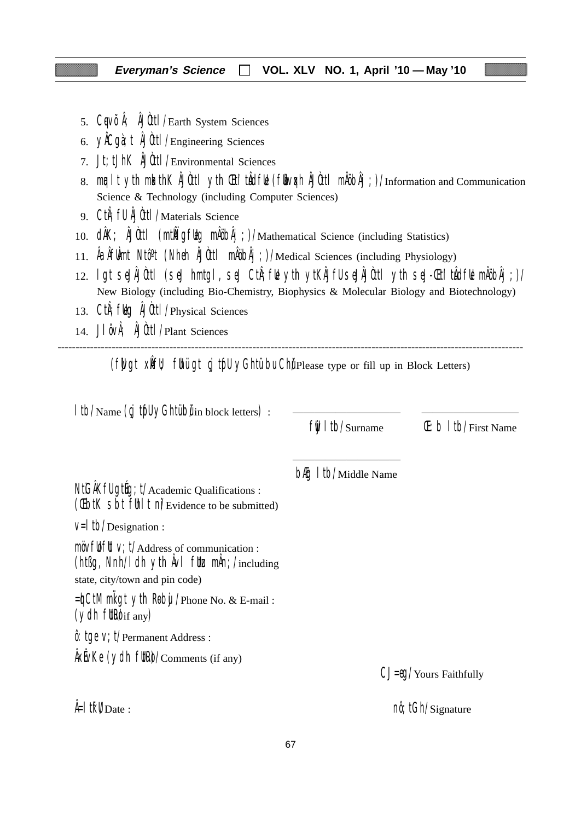- 5. CqVÕÅ; ÅJÙttl/Earth System Sciences
- 6. yÂCgà;t ÂJÒttl/Engineering Sciences
- 7. Jt;tJhK ÂJÒttl/Environmental Sciences
- 8. mualt yth mkathK ÂJÙttl yth Chi'tuÂdful (fubvoch ÂJÙttl mÅöbÂj;)/Information and Communication Science & Technology (including Computer Sciences)
- 9. CtiÂ;fU ÂJÒttl/Materials Science
- 10. dÂK; ÂJÙtl (mtÑİgfkg mÅöbÂj;)/Mathematical Science (including Statistics)
- 11. ÂaÂfUmt Ntô<sup>o</sup>t (Nheh ÂJÙtl mÂöbÂj;)/Medical Sciences (including Physiology)
- 12. lgt seJÂJÒttl (seJ hmtgl, seJ CtiÂ;fUe ytih ytKÂJfU seJÂJÒttl ytih seJ-Œti'tuÂdfUe mÂöbÂj;)/ New Biology (including Bio-Chemistry, Biophysics & Molecular Biology and Biotechnology)
- 13. Cth; fulg AJUttl / Physical Sciences
- 14. JlôvÂ; ÂJÒttl/Plant Sciences

--------------------------------------------------------------------------------------------------------------------------------- ( $f$ ]Uvgt  $x$  $\hat{F}$  $U$ ;  $f$ ] $U$   $\hat{F}$  $U$   $\hat{F}$  $U$   $\hat{F}$  $U$  $V$  $G$  $\hat{F}$  $U$  $U$  $U$  $\hat{F}$  $U$  $U$  $\hat{F}$  $U$  $\hat{F}$  $U$  $\hat{F}$  $U$  $U$  $\hat{F}$  $U$  $U$  $\hat{F}$  $U$  $U$  $\hat{F}$  $U$  $U$  $\hat{F}$  $U$  $U$  $U$  $\hat{F}$  $U$  $U$  $U$  $\hat{F}$  $U$  $U$  $U$ 

| Itb/Name (cj tfll yGhtübilin block letters) :                                                                                                                              |                                        |                                           |
|----------------------------------------------------------------------------------------------------------------------------------------------------------------------------|----------------------------------------|-------------------------------------------|
|                                                                                                                                                                            | $\frac{f}{\sinh(\theta)}$   tb/Surname | $(E: b   t )/$ First Name                 |
| NtGAKfU gtug; t/Academic Qualifications :<br>(Cibil Sbi fill I ni/Evidence to be submitted)                                                                                | <b>b<sub>f</sub>g</b> I tb/Middle Name |                                           |
| $V=$   tb/Designation :                                                                                                                                                    |                                        |                                           |
| $m\ddot{o}v$ full $v$ ; $t/A$ ddress of communication :<br>(ht $\beta$ g, Nnh/I dh yth $\hat{A}$ vI flt $\chi$ m $\hat{A}$ n; /including<br>state, city/town and pin code) |                                        |                                           |
| $=\n{\phi}$ CtM mligt yth Roby / Phone No. & E-mail:<br>$(ydh$ fltk $\mathbf{W}$ if any)                                                                                   |                                        |                                           |
| $\hat{\theta}$ : tge V; t/Permanent Address :                                                                                                                              |                                        |                                           |
| $\frac{\hat{A}}{\hat{A}}$ XEVKe (ydh fltR $\hat{O}/$ Comments (if any)                                                                                                     |                                        | $CJ = \theta Q / \text{Yours}$ Faithfully |
| $\frac{1}{2}$ if $\mathsf{W}_{\mathrm{Date}}$ :                                                                                                                            |                                        | nô; tGh/Signature                         |